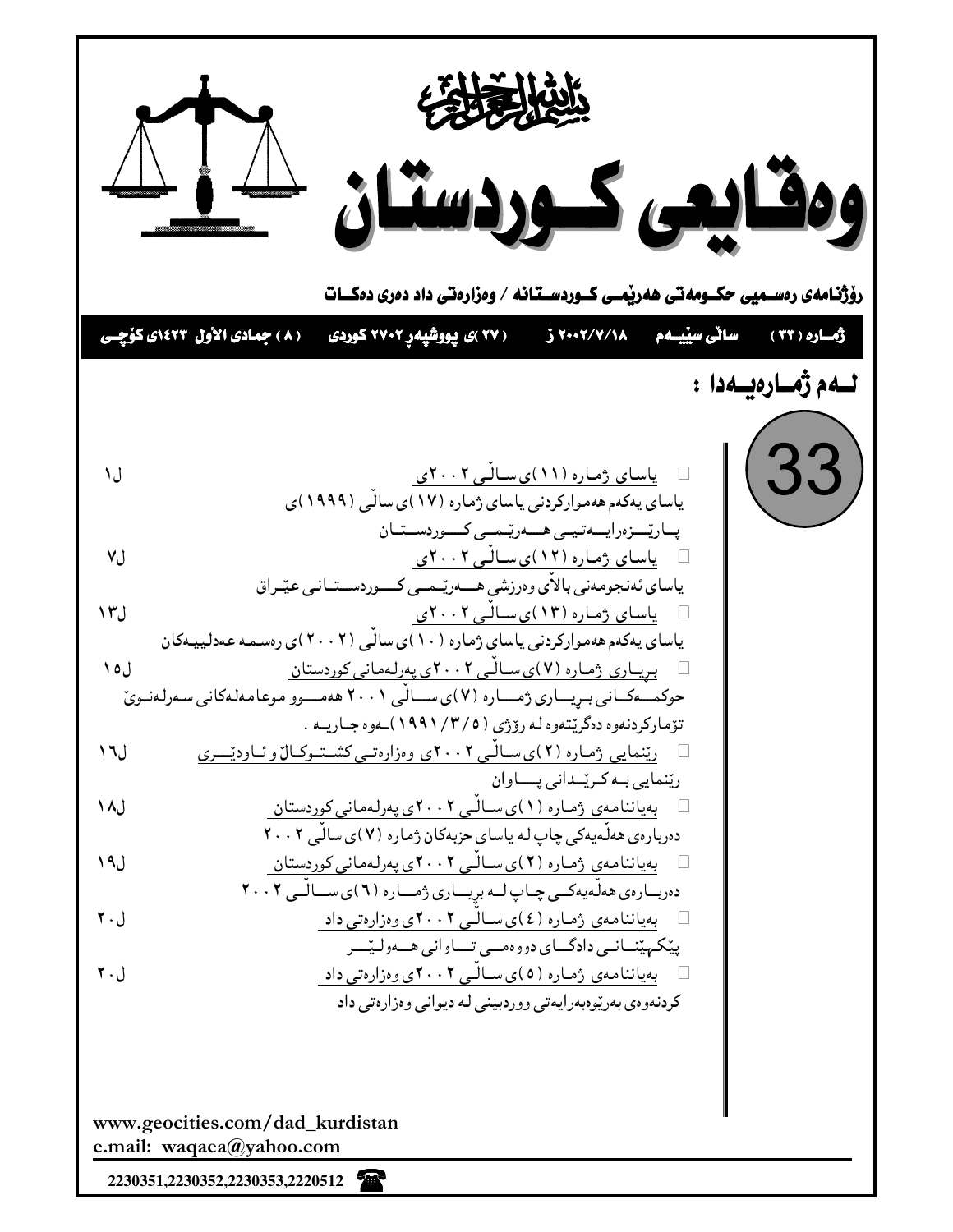

2230351,2230352,2230353,2220512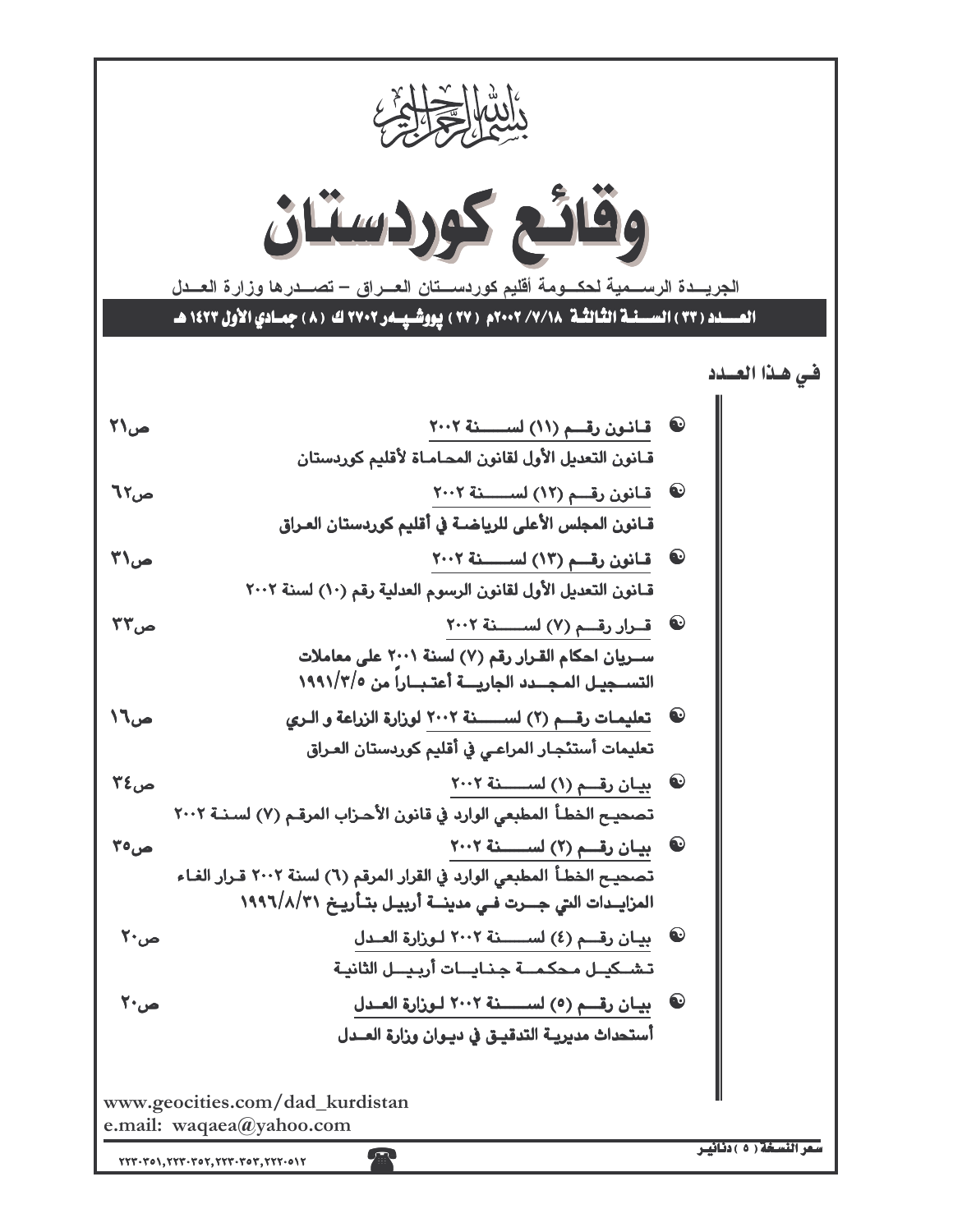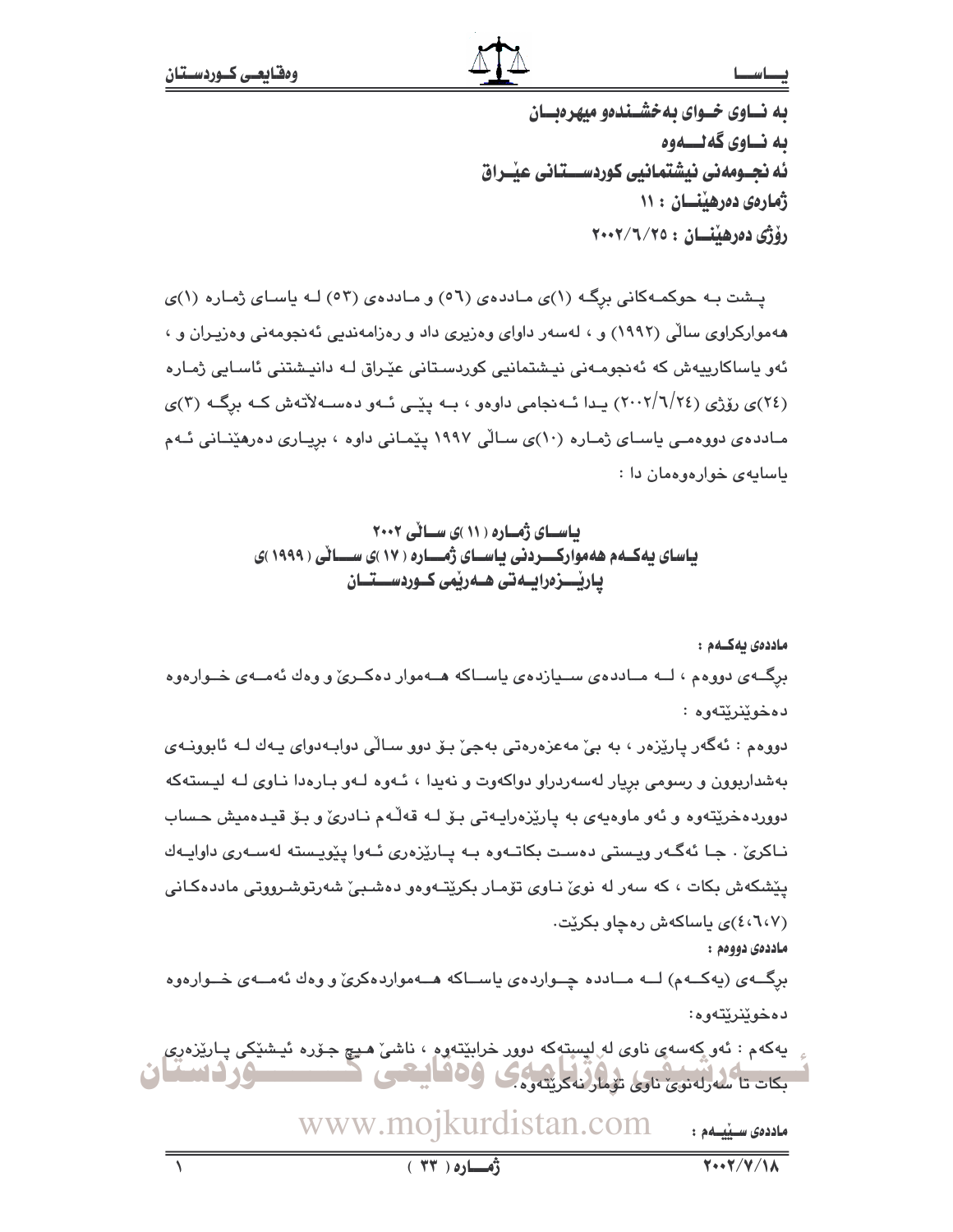## بصاسط

به نساوی خسوای به خشسنده میهر دیسان ىه نــاوى گەنــــەوە ئه نجــومەنى نيشتمانيى كوردســـتانى عيْــراق ژمارهى دەرھىنسان : ١١ رۆژى دەرھننسان : ٢٠٠٢/٦/٢٥

پـشت بـه حوکمـهکانی برگـه (۱)ی مـاددهی (٥٦) و مـاددهی (٥٣) لـه پاسـای ژمـاره (۱)ی ههموارکراوی سالّی (۱۹۹۲) و ، لهسهر داوای وهزیری داد و رهزامهندیی ئهنجومهنی وهزیـران و ، ئەو ياساكارىيەش كە ئەنجومـەنى نيـشتمانىي كوردسـتانى عٽـراق لـە دانيـشتنى ئاسـابى ژمـارە (٢٤)ی روّژی (٢٠٠٢/٦/٢٤) پيدا ئيه نجامي داوهو ، بيه پٽيي ئيهو دهسيهلاتهش کيه برگيه (٣)ی مـادده،ی دووهمـی یاسـای ژمـاره (۱۰)ی سـالّی ۱۹۹۷ پیّمـانی داوه ، برِیـاری دهرهیّنـانی ئـهم ياسايەي خوارەوەمان دا :

> باسای ژماره ( ۱۱ )ی سالی ۲۰۰۲ یاسای یه کــهم هه موارکـــردنی یاســای ژمـــاره ( ۱۷ )ی ســـانی ( ۱۹۹۹ )ی یاریْـــزەرایــەتى ھــەریْمی كــوردســـتــان

> > ماددەي بەكــەم :

برگــهى دووهم ، لــه مــاددهى ســيازدهى ياســاكه هــهموار دهكــرىّ و وهك ئهمــهى خــوارهوه دەخوێنرێتەوە :

دووهم : ئەگەر پارێزەر ، بە بے' مەعزەرەتى بەجى' بىۆ دوڧ سىالّى دوابەدواي پەك لـە ئابوونـەي بهشداربوون و رسومی بریار لهسهردراو دواکهوت و نهیدا ، ئـهوه لـهو بـارهدا نـاوی لـه لیـستهکه دووردهخرێتەوه و ئەو ماوەيەى بە پارێزەرايـەتى بىۆ لـە قەڵەم نـادرىٚ و بـۆ قيـدەميش حـساب نـاکريٰ . جـا ئهگـهر ويـستي دهسـت بکاتـهوه بـه پـارێزهري ئـهوا پێويـسته لهسـهري داواپـهك پێشکهش بکات ، که سهر له نویؒ نـاوی تۆمـار بکرێتـهوهو دهشـبیؒ شهرتوشـرووتی ماددهکـانی (٤،٦،٧)ی باساکهش رهجاو بکریت.

ماددەي دووەم :

برگــهي (پهکــهم) لــه مــادده چــواردهي پاســاکه هــهمواردهکريّ و وهك ئهمــهي خــوارهوه دەخوێنرێتەوە:

يەكەم : ئەر كەسەي ناوي لە<sub>ر</sub>ليستەكە دوور خرابێتەرە ، ناشى ھىچ جۆرە ئىشى<sub>ك</sub>كى پـارێزەر*ى* بكات تاكسه رلەنوى ناوى تۆمارنەكرىتەرەك **6ء ( اسمایا ٹ**  $\blacksquare$  . The set of  $\blacksquare$ 

> www.mojkurdistan.com ماددەى سىنىمم :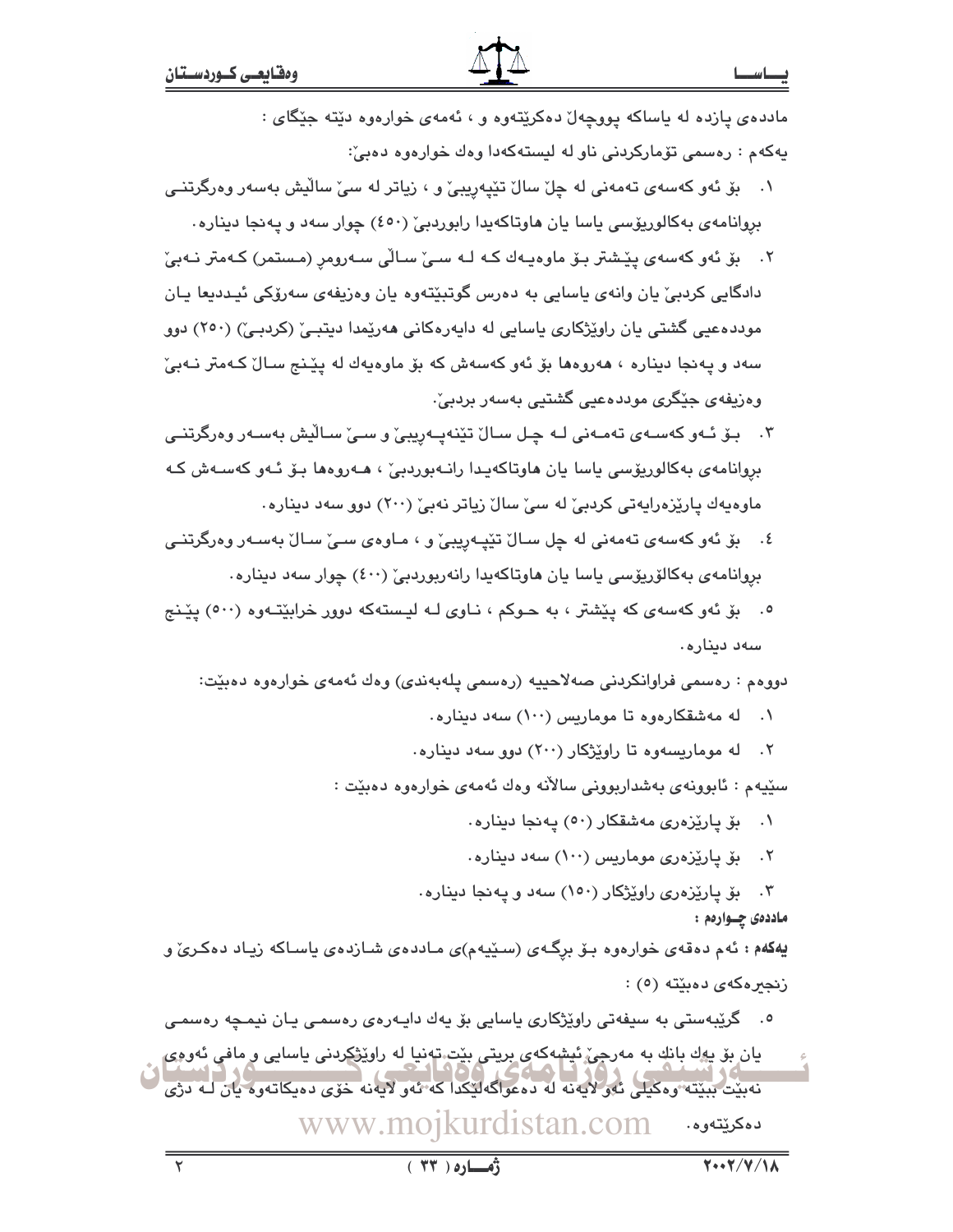مادده ی پازده له یاساکه پووچهلّ دهکریِّتهوه و ، ئهمهی خوارهوه دیّته جنگای : پهکهم : رەسمى تۆمارکردنى ناو له ليستهکهدا وەك خوارەوە دەبىؒ:

- ۰۱ \_ بۆ ئەو كەسەي تەمەنى لە چل سالْ تێپەريبيْ و ، زياتر لە سى سالْيش بەسەر وەرگرتنـي بروانامهی بهکالوریۆسی یاسا یان هاوتاکهیدا رابوردییؒ (٤٥٠) چوار سهد و پهنجا دیناره۰
- ٢. بِقَ ئَەو كەسەي يِيْشتر بِـق ماوەيـەك كـه لـه سـيّ سـالّى سـەرومر (مـستمر) كـەمتر نـەبـيّ دادگايي کردييّ يان وانهي ياسايي به دهرس گوتبێتهوه يان وهزيفهي سهرۆکي ئيـدديعا يـان موددهعیی گشتی بان راوێژکاری باسایی له دایهرهکانی ههرێمدا دیتیے٬ (کردیے٬) (۲۵۰) دوو سهد و پهنجا ديناره ، ههروهها بۆ ئەو كەسەش كە بۆ ماوەپەك لە يێنج سـالٌ كـﻪمتر نـﻪبىؒ وەزیفەی جێگری موددەعیی گشتیی بەسەر بردبیٚ٠
- ۳. بـۆ ئـهو كەسـەى تەمـەنى لـە چـل سـالٌ تێنەپـەرپبى ٚو سـىِّ سـالْيش بەسـەر وەرگرتنـى بروانامەي بەكالوريۆسى ياسا يان ھاوتاكەيدا رانـەبوردبىٚ ، ھـەروەھا بـۆ ئـەو كەسـەش كـە ماوەيەك يارێزەرايەتى كردېێ لە سێ سالٚ زياتر نەبێ (٢٠٠) دور سەد دينارە٠
- ٤. \_ بۆ ئەو كەسەي تەمەنى لە چل سـالٌ تێپـەريبيٌ و ، مـاوەي سـيٌ سـالٌ بەسـەر وەرگرتنـي بروانامەي بەكالۆريۆسى ياسا يان ھاوتاكەيدا رانەربوردىيْ (٤٠٠) چوار سەد دېنارە٠
- ۰. بِیْ نُهو کهسهی که پیشتر ، به حـوکم ، نـاوی لـه لیـستهکه دوور خرابیّتـهوه (٥٠٠) پیّـنج سەد دينارە .

دووهم : رەسمى فراوانكردنى صەلاحييە (رەسمى يلەبەندى) وەك ئەمەي خوارەوە دەبێت:

- له مەشقكارەوە تا موماريس (١٠٠) سەد دينارە.  $\cdot$
- ۲. له موماریسهوه تا راویژکار (۲۰۰) دوو سهد دیناره.

سێپهم : ئابوونهي بەشداربووني سالانه وەك ئەمەي خوارەوە دەبێت :

بۆ يارێزەرى مەشقكار (٥٠) يەنجا دېنارە.  $\cdot$ 

بۆ يارێزەرى مومارىس (١٠٠) سەد دېنارە.  $.5$ 

بۆ پارێزەرى راوێژكار (١٥٠) سەد و پەنجا دېنارە.  $\cdot$ ۳ ماددهۍ چــوارهم :

یهکمم : ئهم دهقهی خوارهوه بـۆ برگـهی (سـێیهم)ی مـاددهی شـازدهی یاسـاکه زیـاد دهکـریّ و زنجبرهكەي دەبێتە (٥) :

<sup>0</sup>. گرێبەستى بە سىفەتى راوێژكارى ياسايى بۆ يەك دايـەرەي رەسمى يـان نيمـچە رەسمـي يان بۆ يەك بانك بە مەرجى، ئېشەكەي بريتى بێت تەنيا لە راوێۋكردنى ياسايى و مافى ئەودى نەبيّت بېيتتە وەكيلى ئەولايەنە لە دەعواگەليكدا كە ئەولايەنە خۆي دەيكاتەوە يان لـە دژي ىدىمكىيتەرە. www.mojkurdistan.com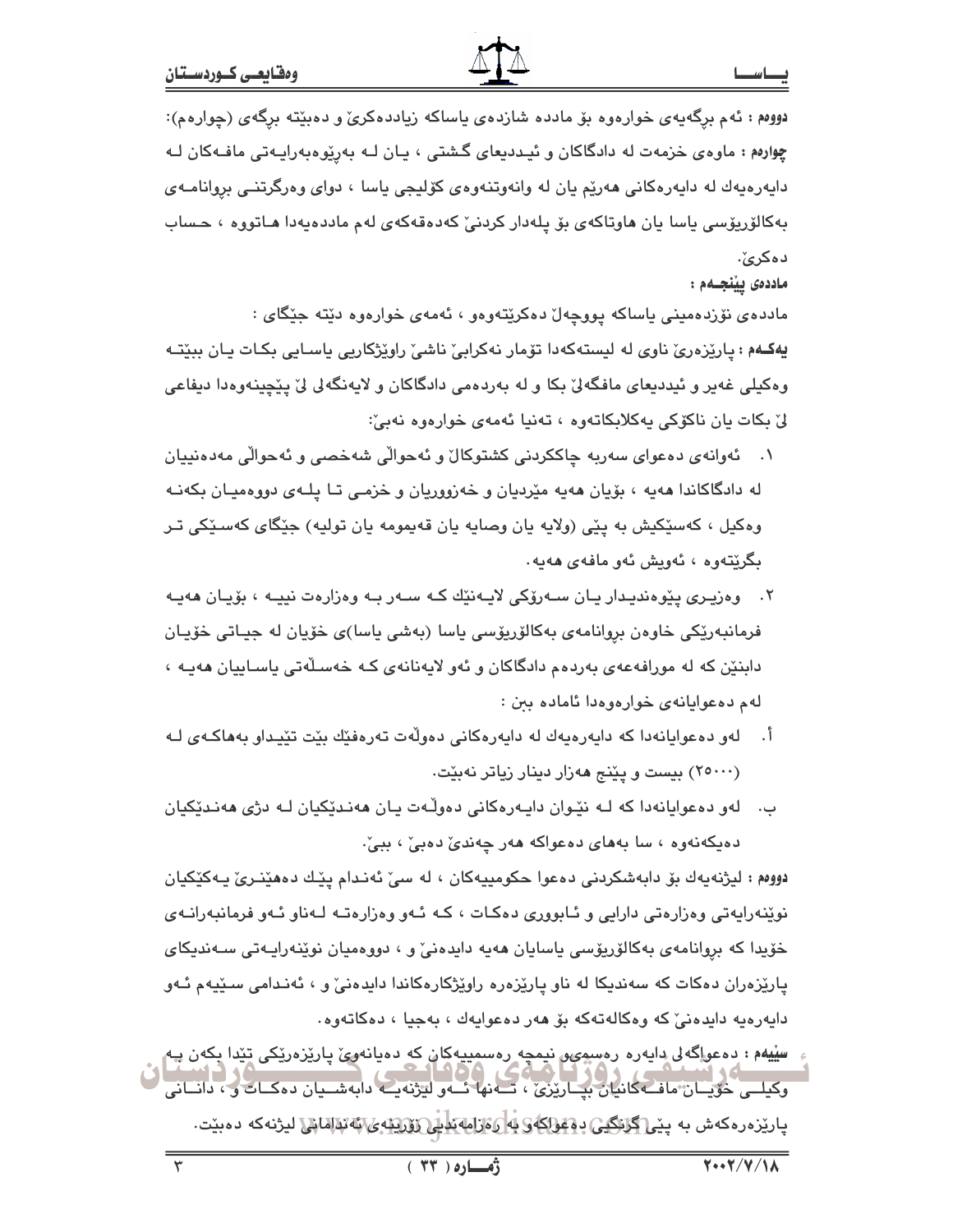دووهم : ئهم برگهیهی خوارهوه بۆ مادده شازدهی یاساکه زیاددهکریّ و دهبێته برگهی (چوارهم): چوارهم : ماوهي خزمهت له دادگاکان و ئيـدديعاي گـشتي ، پـان لـه بهرێوهبهرايـهتي مافـهکان لـه دايەرەپەك لە دايەرەكانى ھەرێم يان لە وانەوتنەوەي كۆليجى ياسا ، دواي وەرگرتنــى بروانامــەي بهکالۆريۆسى ياسا يان ھاوتاكەي بۆ يلەدار كردنى كەدەقەكەي لەم ماددەيەدا ھـاتووە ، حـساب دەكرىٰ:

ماددەى يېٽچىمم :

ماددەی نۆردەمىنى ياساكە يووچەل دەكرێتەوەو ، ئەمەی خوارەوە دێتە جێگای : يهکـهم : پارێزەرێ ناوی له لیستهکەدا تۆمار نەکرابیٚ ناشیٚ راوێژکاریی پاسـایی بکـات پـان ببێتـه وهکیلی غهیر و ئیددیعای مافگهانی بکا و له بهردهمی دادگاکان و لایهنگهای لیّ پیّچینهوهدا دیفاعی ليٌ بكات يان ناكوّكي يەكلابكاتەوە ، تەنيا ئەمەي خوارەوە نەبىُ:

- ئەوانەي دەعواي سەريە چاككردنى كشتوكالٌ و ئەحوالٌي شەخصى و ئەحوالٌي مەدەنپيان  $\cdot$ له دادگاکاندا ههیه ، بۆیان ههیه مێردیان و خەزووریان و خزمے، تـا پـلـهی دووهمیـان یکهنـه وهکيل ، کهسێکيش به پێی (ولايه يان وصايه يان قهيمومه يان توليه) جێگای کهسـێکی تـر بگرێتەوە ، ئەويش ئەو مافەي ھەيە.
- ۲. وەزيـرى يـێوەنديـدار يـان سـەرۆكى لايـەنێك كـه سـەر بـه وەزارەت نييـه ، بۆيـان ھەيـە فرمانبەرێِکی خاوەن بروانامەی بەکالۆرپۆسی پاسا (بەشی پاسا)ی خۆپان لە جیـاتی خۆپـان دابنٽن که له مورافهعهي بهردهم دادگاکان و ئهو لايهنانهي کـه خهسـلهتي ياسـاييان ههيـه ، لهم دەعوايانەي خوارەوەدا ئامادە بىن :
- اً. لەو دەعوايانەدا كە دايەرەيەك لە دايەرەكانى دەولەت تەرەفێك بێت تێيداو بەھاكـەي لـە (۲۵۰۰۰) بیست و یێنج ههزار دینار زیاتر نهبێت.
- لهو ده عوایانهدا که لـه نێوان دایـهرهکانی دهولـّهت یـان ههنـدێکیان لـه دژی ههنـدێکیان ب . دهیکهنهوه ، سا بههای دهعواکه ههر چهندیؒ دهبیؒ ، ببیؒ ِ

دووهم : ليژنهيهك بۆ دابەشكردنى دەعوا حكومييەكان ، له سىّ ئەندام يێك دەھێنرىّ يەكێكيان نوێنەراپەتى وەزارەتى دارايى و ئـابوورى دەكـات ، كـە ئـەو وەزارەتـە لـەناو ئـەو فرمانبەرانـەى خۆيدا كه بروانامەي بەكالۆريۆسى ياسايان ھەيە دايدەنىؒ و ، دووەميان نوێنەراپـەتى سـەندىكاي پارێزەران دەكات كە سەندىكا لە ناو پارێزەرە راوێژكارەكاندا داپدەنىٚ و ، ئەنىدامى سىێپەم ئـەو دايەرەيە دايدەنى كە وەكالەتەكە بۆ ھەر دەعوايەك ، بەجيا ، دەكاتەوە.

وکیلسی حویسان ماف کانیان بیساریزی ، تب نها شور لیژنه یک دابه شسیان ده کیات و ، دانسانی پارێزەرەكەش بە <u>پێى[گانِلگیى</u> د<u>ەقواكە§ بە]ى،ازامەئدىدى،كەتتىرتە ئ</u>\ئەتقالمانى لىژنەكە دەبێت.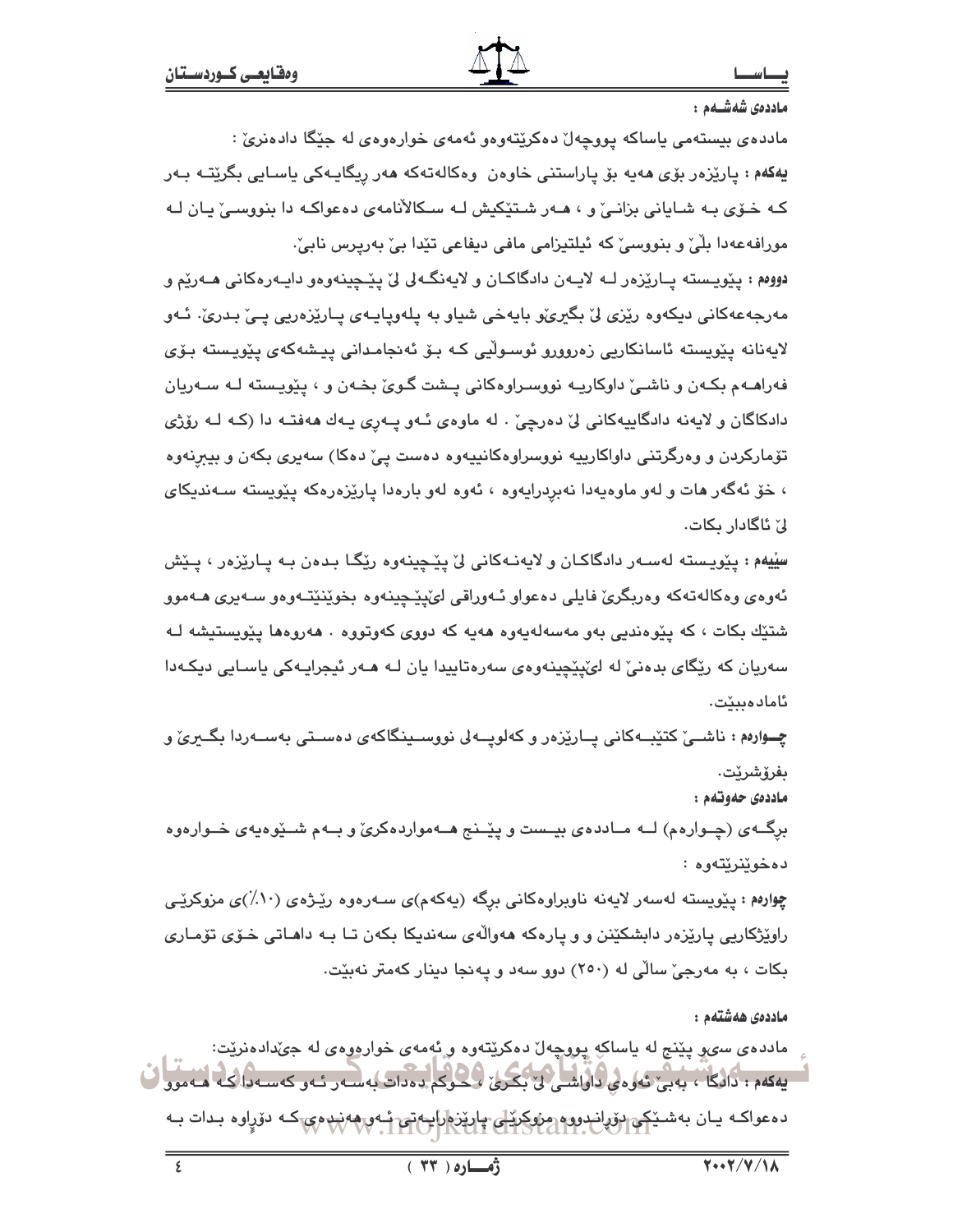ماددەى شەشــەم :

مادده ی بیستهمی یاساکه پووچهل دهکریتهوهو ئهمهی خوارهوهی له جێگا دادهنریؒ : <mark>يەكەم : يارێزەر بۆی مەيە بۆ پاراستنی خاو</mark>ەن وەكالەتەكە ھەر رىگايـەكى ياسـايى بگرێتـﻪ بـﻪر کـه خــوّی بـه شــایانی بزانــیّ و ، هــهر شـتیّکیش لــه ســکالأنامهی دهعواکــه دا بنووســیّ یــان لــه مورافەعەدا بِلّیْ و بنووسیؒ کە ئیلتیزامی مافی دیفاعی تێدا بیٚ بەریرس نابیؒ۰ دووهم : پێویسته پـارێزەر لــه لایــهن دادگاکـان و لایهنگــه لی لی پیّــچینـهوهو دایــهرهکانی هــهریم و مەرجەعەكانى دىكەوە رێزى لىٚ بگىرى،و بايەخى شياو بە يلەوپايـەى پـارێزەريى پـى بىدرى، ئـەو لايەنانە پێویستە ئاسانكاریی زەروورو ئوسىوڵیی كـە بـۆ ئەنجامـدانی پیـشەكەی پێویـستە بـۆی فهراهـهم بکـهن و ناشـی داوکاریـِه نووسـراوهکانی پـشت گـوی بخـهن و ، پێویـسته لـه سـهریان دادکاگان و لايهنه دادگاييهکاني ليّ دهرچيّ . له ماوهي ئـهو پــهري پـهك ههفتـه دا (کـه لـه رۆژي تۆمارکردن و وەرگرتنى داواكارىيە نووسراوەكانىيەوە دەست يىّ دەكا) سەيرى بكەن و بيېرنەوە ، خۆ ئەگەر مات و لەو ماوەپەدا نەبردرايەوە ، ئەوە لەو بارەدا يارێزەرەكە يێويستە سـەندىكاي لیٰ ئاگادار بکات.

سێيهم : پێوپسته لهسـهر دادگاکـان و لايهنـهکانی لێ پێـچينهوه رێگـا بـدهن بـه پـارێزهر ، پـێش ئەوەي وەكالەتەكە وەربگرى فايلى دەعواو ئـەرراقى لىُپێچينەوە بخوێنێتـەوەو سـەيرى ھـﻪموو شتێِك بکات ، که پێوهندیی بهو مهسهلهیهوه ههیه که دووی کهوتووه ٠ ههروهها پێویستیشه لـه سەريان كە رێگاى بدەنىؒ لە لێێێچینەوەی سەرەتاپیدا يان لـە ھـەر ئیجرایـەكى ياسـايى دیكـەدا ئامادەبېيت.

چــوارهم : ناشــی کتێبــهکانی پــارێزەر و کەلوپــەلى نووســینگاکەی دەسـتی بەســەردا بگــری و ىفرۆشرۆت.

ماددەي جەوتەم :

برگــهي (چــوارهم) لــه مــاددهي بيــست و پێــنج هــهمواردهکريّ و بــهم شــێوهيهي خــوارهوه دەخوێنرێتەوە :

چوارهم : پێویسته لهسهر لایهنه ناوبراوهکانی برگه (یهکهم)ی سـهرهوه رێـژهی (۱۰٪)ی مزوکرێـی راوێژکاریی پارێزەر دابشکێنن و و پارەکە ھەواڵەی سەندىکا بکەن تـا بـە داھـاتى خـۆی تۆمـاری بکات ، به مەرجىؒ سالْی له (٢٥٠) دوو سەد و پەنجا دینار کەمتر نەبێت.

ماددەى ھەشتەم :

مادده ی سیو پێنج له یاساکه پووچهل دهکرێتهوه و ئهمهی خوارموهی له جیٌدادهنرێت: یهکهم : دانگا ، بهبی تهوهی داواشتی لی بکری لیکوکم دهدات به سه ر تـهو که سـه دا کـه هـه موو ده عواکـه يـان بهشـ<u>ێکې ب</u>ۆرلندوړه مِزوکريکی پارێِزهارايـهټۍ ئـهوېغده چېکه دۆراوه بـدات بـه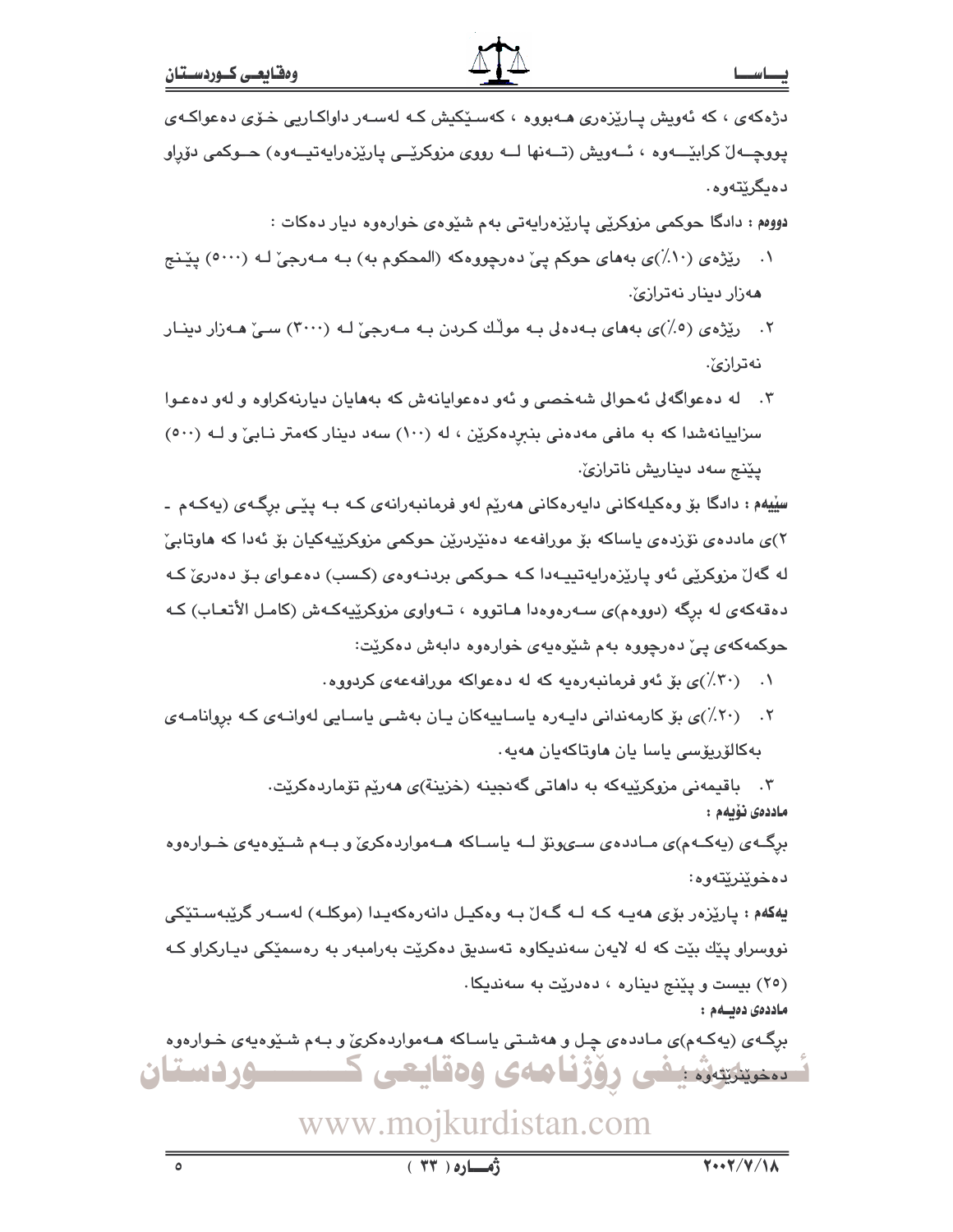دژهکهی ، که ئهویش پـارێزهری هـهبووه ، کهسـێکیش کـه لهسـهر داواکـاریی خـۆی دهعواکـهی يووڃــه لُ كرابيْـــهوه ، ئــهويش (تــهنها لــه رووى مزوكريْــى ياريْزەرايەتيــهوه) حــوكمى دۆراو دەيگرێتەوە.

دووهم : دادگا حوکمي مزوکرێي پارێزهراپهتي بهم شێوهي خوارهوه ديار دهکات :

- ۰۱ رێژه ی (۸۰٪)ی به های حوکم پیّ دهرچووهکه (المحکوم به) بـه مـهرجیّ لـه (۵۰۰۰) پێنج ھەزار دېنار نەترازىؒ.
- ۲. رێژەي (٥٪)ي بەھاي بـﻪدەلى بـﻪ موڵك كـردن بـﻪ مـﻪرجيّ لـﻪ (٣٠٠٠) سـيّ ھـﻪزار دينـار نەترازىؒ.
- ۳. له دهعواگهلی ئهحوالی شهخصی و ئهو دهعوایانهش که بههایان دیارنهکراوه و لهو دهعوا سزاییانهشدا که به مافی مهدهنی بنبرِدهکرین ، له (۱۰۰) سهد دینار کهمتر نـابیٌ و لــه (۵۰۰) يێنج سەد ديناريش ناترازێ.

سِڀْيهم : دادگا بۆ وەكيلەكانى دايەرەكانى ھەرێم لەو فرمانبەرانەي كـه بـه يێـى برگـەي (يەكـەم ـ ٢)ي ماددەي نۆردەي ياساكە بۆ مورافەعە دەنٽردرێن چوكمى مزوكرێپەكپان بۆ ئەدا كە ھاوتابىٚ له گەل مزوکرێی ئەو پارێزەراپەتپپـەدا کـﻪ حـوکمی بردنـﻪوەی (کـسب) دەعـوای بـۆ دەدریٚ کـﻪ دهقهکهی له برگه (دووهم)ی سـهرهوهدا هـاتووه ، تـهواوی مزوکرێپهکـهش (کامـل الأتعـاب) کـه حوکمهکهی پیّ دهرچووه بهم شێوهیهی خوارهوه دابهش دهکرێت:

- ۰۱ (۳۰٪)ی بوّ ئهو فرمانبهرهیه که له دهعواکه مورافهعهی کردووه.
- ۰۲ ـــ (۲۰٪)ی بۆ کارمەندانی دايـەرە ياسـاييەکان يـان بەشـی ياسـايی لەوانـەی کـه بروانامـەی بەكالۆريۆسى ياسا يان ھاوتاكەيان ھەيە٠

۰۳ باقیمەنی مزوکرێیەکە بە داھاتی گەنجینە (خزینة)ی ھەرێم تۆماردەكرێت. ماددەى ئۆيەم :

برگــهی (پهکــهم)ی مــاددهی ســوهونوّ لــه پاســاکه هــهمواردهکریّ و بــهم شـــدّوهپهی خــوارهوه دەخوێنرێتەوە:

**يەكەم :** پارێزەر بۆى ھەيـە كـە لـە گـەلّ بـە وەكيـل دانەرەكەيـدا (موكلـە) لەسـەر گرێبەسـتێكى نووسراو پێك بێت كه له لايەن سەندىكاوە تەسدىق دەكرێت بەرامبەر بە رەسمێكى دىياركراو كـﻪ (٢٥) بيست و يێنج ديناره ، دەدرێت به سەنديكا.

ماددەى دەيسەم :

برگـهی (پهکـهم)ی مـاددهی چـل و ههشـتی پاسـاکه هـهمواردهکریّ و بـهم شـێوهیهی خـوارهوه سنینیس نیفی روژنامهی وهقایعی ک <u> مستان</u>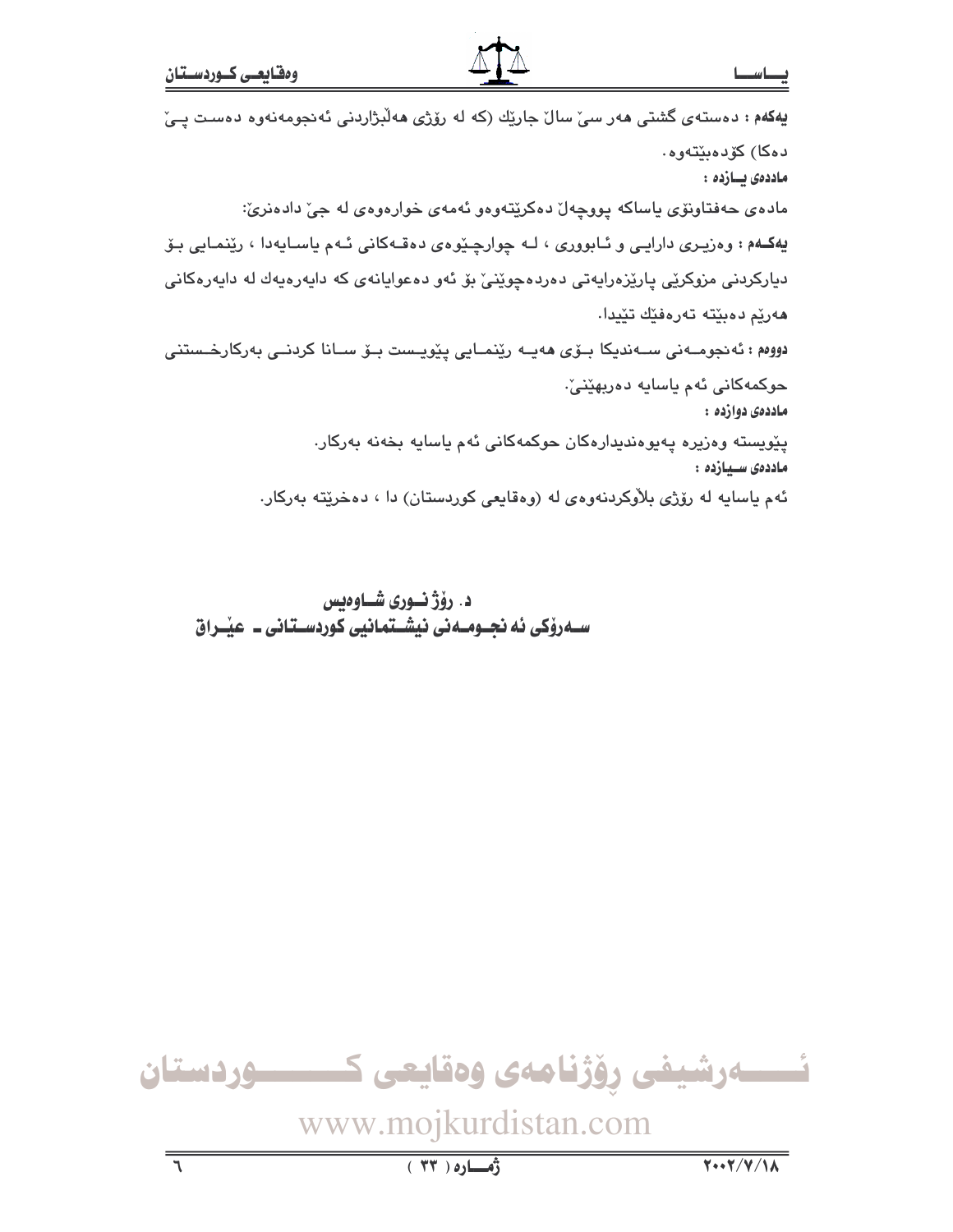دهكا) كۆدەبتتەوە.

# یهکمم : دهستهی گشتی مهر سیّ سالّ جاریّك (که له روّژی مهلّبژاردنی ئهنجومهنهوه دهست یـیّ

ماددەى يسازدە : مادەي حەفتاونۆى ياساكە يووچەل دەكريتەوەو ئەمەي خوارەوەي لە جىّ دادەنرىّ: پهکـهم : وهزیـِری دارایـی و ئـابووری ، لـه چوارچـێوهی دهقـهکانی ئـهم یاسـایهدا ، رێنمـایی بـۆ دبارکردنی مزوکرێی پارێزەرايەتی دەردەچوێنیٚ بۆ ئەو دەعوايانەی کە دايەرەيەك لە دايەرەکانی هەريم دەبيتە تەرەفيك تێيدا. دووەم : ئەنجومــەنى ســەندىكا بـۆى ھەيــە رێنمــايى پێويـست بـۆ ســانا كردنــى بەركارخــستنى حوکمەکانى ئەم ياسايە دەربھێنىٚ٠ ماددەي دوازدە :

يٽويسته وهزيره پهيوهنديدارهکان حوکمهکاني ئهم ياسايه بخهنه بهرکار. ماددەى سىيازدە :

ئهم ياسايه له رۆژى بلاْوكردنەوەي لە (وەقايعى كوردستان) دا ، دەخرێتە بەركار.

د. رۆژنـورى شـاوەبس ســـدروٰکی ئه نجــومــدنی نیشــتمـانیی کوردســتـانی ــ عیـْــراق

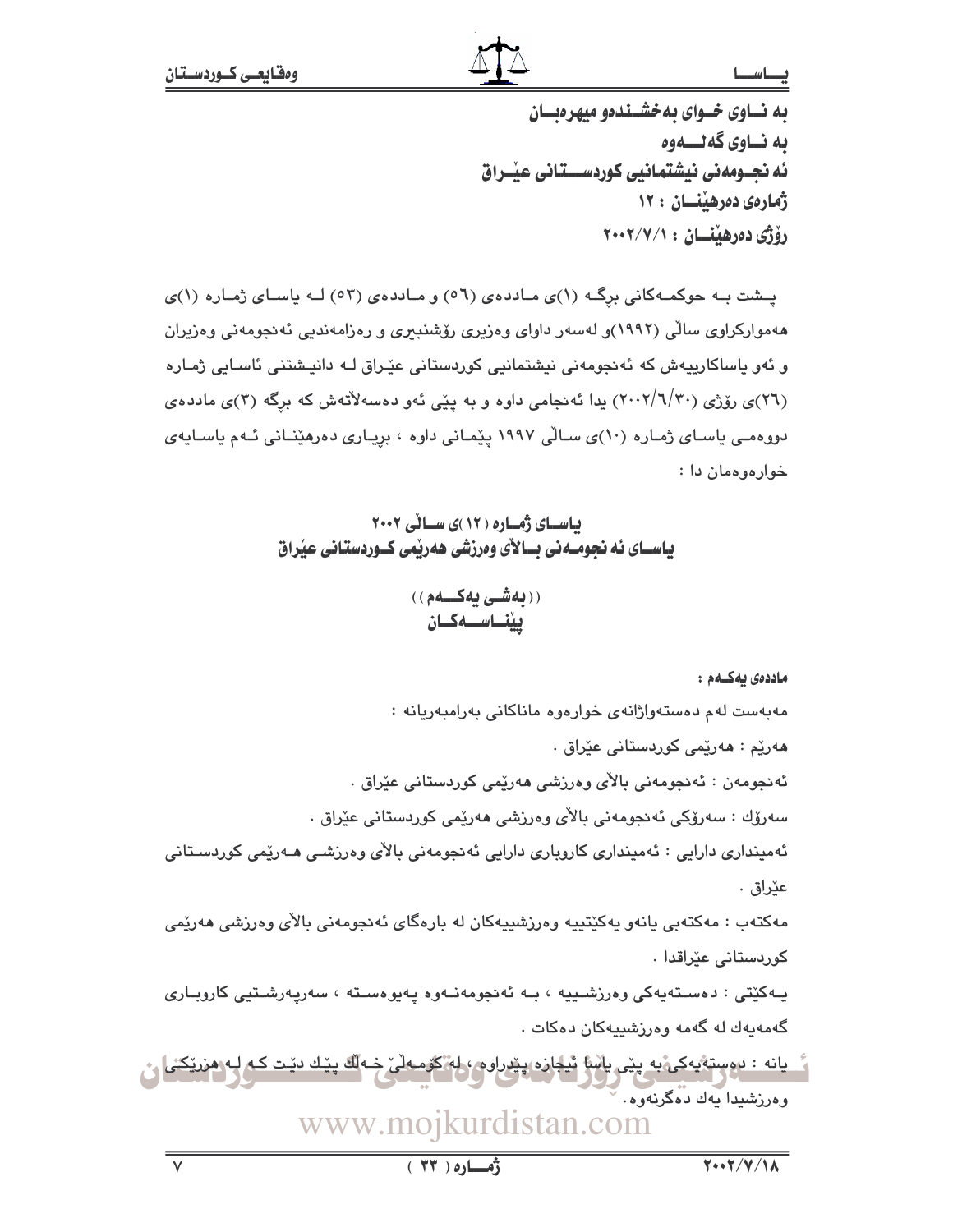# بصاسط

به نساوی خسوای به خشیندهو میهره بسان ىه نــاوى گەنــــەوە ئه نجــومەنى نيشتمانيى كوردســـتانى عيْــراق ژمارەي دەرھىنسان : ١٢ رۆژى دەرھىنسان : ٢٠٠٢/٧/١

یشت به حوکمهکانی برگ (۱)ی ماددهی (٥٦) و ماددهی (٥٣) لـه یاسای ژماره (۱)ی ههموارکراوی سالّی (۱۹۹۲)و لهسهر داوای وهزیری رۆشنبیری و رهزامهندیی ئهنجومهنی وهزیران و ئەو ياساكارىيەش كە ئەنجومەنى نيشتمانيى كوردستانى عێراق كە دانيـشتنى ئاسـايى ژمـارە (٢٦)ی رۆژی (٢٠٠٢/٦/٢٠) يدا ئەنجامی داوه و به پێی ئەو دەسەلاتەش کە برگە (٣)ی ماددەی دووهمـی یاسـای ژمـاره (۱۰)ی سـالّی ۱۹۹۷ پیّمـانی داوه ، برِیـاری دهرهیّنـانی نـّهم یاسـایهی خوارهوهمان دا :

بیاسیای ژمیاره ( ۱۲ )ی سیانی ۲۰۰۲ یاســای ئه نجومــهنی بــالأی وهرزشی ههریْمی کــوردستـانی عیْراق

((**بەشى يەكــەم**)) ينناسـەكـان

ماددەى بەكــەم :

مەبەست لەم دەستەواژانەي خوارەوە ماناكانى بەرامبەريانە :

هەريّم : ھەرپّمى كوردستانى عيّراق ٠

ئەنجومەن : ئەنجومەنى بالآي وەرزشى ھەرپمى كوردستانى عێراق ٠

سەرۆك : سەرۆكى ئەنجومەنى بالأى وەرزشى ھەرێمى كوردستانى عێراق .

ئەمینداری دارایی : ئەمینداری کاروباری دارایی ئەنجومەنی بالآی وەرزشى ھـەرێمى كوردسـتانی عێراق .

مەكتەب : مەكتەبى يانەو پەكێتىپە وەرزشىپيەكان لە بارەگاي ئەنجومەنى بالأي وەرزشى ھەرێمى كوردستانى عێراقدا .

يـهکێتى : دەسـتەيەکى وەرزشـييە ، بـه ئەنجومەنـەوە پەيوەسـتە ، سەرپەرشـتيى کاروبـارى گەمەيەك لە گەمە وەرزشىيەكان دەكات .

يانه : دوستهٔيهکي به يێي پاسا پُيلباره پێږراوم ؛ له گومـهڵي خـه لَّك يێـك دێـت کـه لـِ وەرزشيدا يەك دەگرنەوە.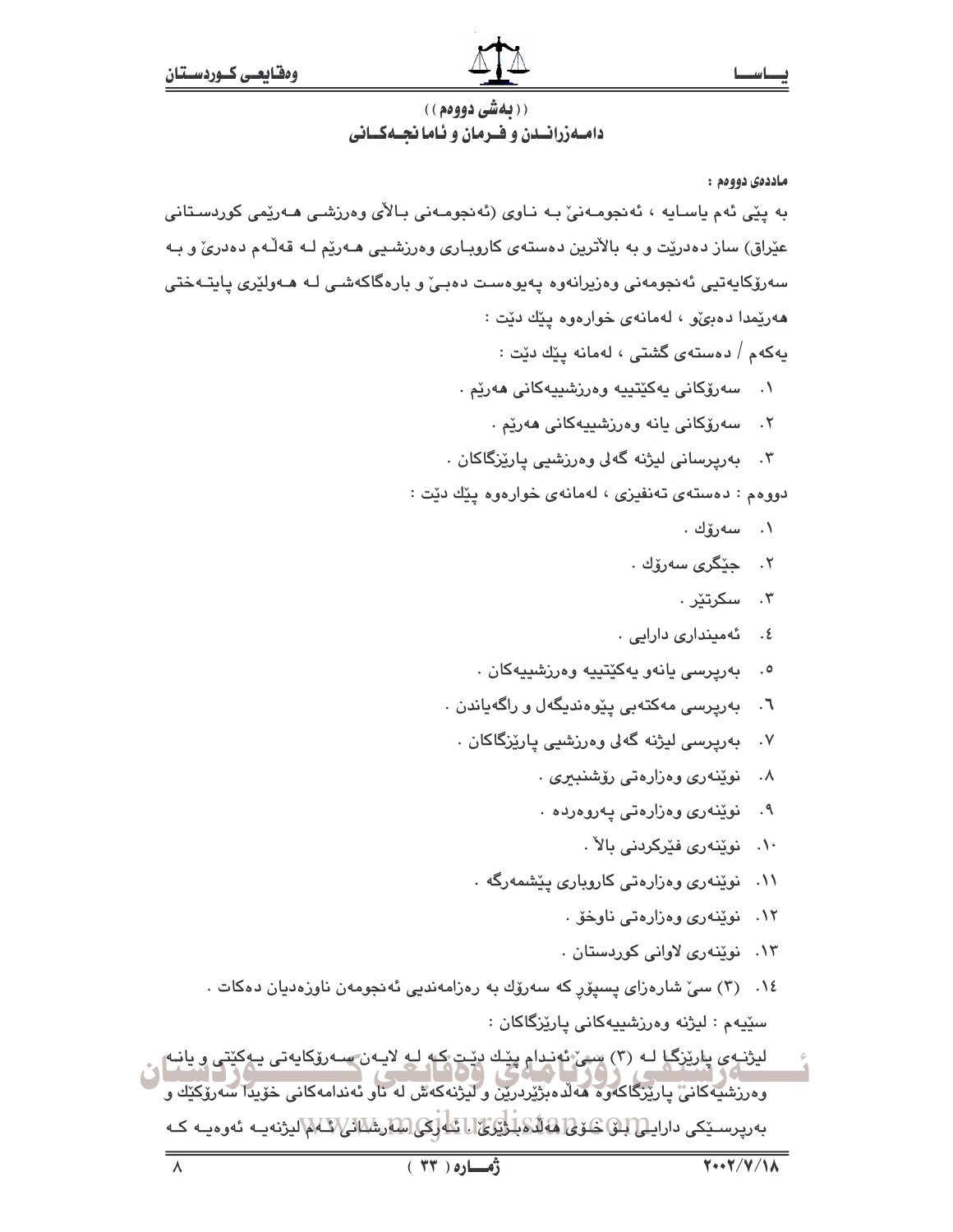# ( ( **به شي دووهم** ) ) دامـهزرانــدن و فــرمان و ئـاما نجــهكــانى

ماددەي دووەم :

به پێی ئهم یاسایه ، ئەنجومەنیٚ بـه نـاوی (ئەنجومـەنی بـالآی وەرزشـی هـەرێمی کوردسـتانی عێراق) ساز دەدرێت و به بالأترین دەستەی کاروبـاری وەرزشـیی هـەرێم لــه قەڵـهم دەدریٚ و بــه سەرۆکايەتيى ئەنجومەنى وەزيرانەوە پەيوەست دەبىؒ و بارەگاكەشى لـە ھـەولێرى يايتـەختى ههريمدا دهيي، لهمانهي خوارهوه ييّك ديّت :

يەكەم / دەستەي گشتى ، لەمانە يێك دێت :

- ٠. سەرۆكانى يەكێتىيە وەرزشىيەكانى ھەرێم .
	- ٢. سەرۆكانى يانە وەرزشىيەكانى ھەرێم .
- ۳. بەرپرسانى ليژنە گەلى وەرزشىي يارێزگاكان .

دووهم : دهستهى تەنفيزى ، لهمانهى خوارەوه يێك دێت :

- ۰۱ سەرۆك .
- ۰۲ جێگر*ی* سەرۆك .
	- ۰۳ سکرتٽر
- ٤. ئەمىندارى دارايى .
- ۰. بەرپرسى يانەو يەك<u>ێ</u>تييە وەرزشىييەكان .
- ٦. پهريرسي مهکتهيې پێوهنديگهل و راگهپاندن ٠
	- ۷. بەرپرسى ليژنە گەلى وەرزشىي يارێزگاكان .
		- ۸. نوټنهري وهزارهتي رۆشنېيرې .
		- ۹. نوێنەرى وەزارەتى پەروەردە .
			- ١٠. نوێنەرى فێركردنى بالآ .
		- ۱۱. نویندری وهزارهتی کاروباری ییشمهرگه .
			- ۰۱۲ نوینهری وهزارهتی ناوخو .
			- ۱۳. نوینەری لاوانی کوردستان .
- ۰۱٤ (۳) سیّ شارەزای پسیۆر که سەرۆك بە رەزامەندیی ئەنجومەن ناوزەدیان دەکات . سٽيهم : ليژنه وهرزشيپهکاني پارٽِزگاکان :
- لیژند*ي پ*اریزگیا لـه (۳) سی ئهندام پیّـك دیده كه لـه لایـهن سـه روکایهتی یـهکیّتی و یانـه<br>استاد که در استاد استاد که در استاد که استاد که استاد استاد استاد استاد استاد استاد استاد استاد استاد وەرزشيەكانى پارىزگاكەوە ھەلدەبژىردرىن و ليژنەكەش لە ناو ئەندامەكانى خۆپدا سەرۆكىك و بەريرسىيكى داراي<u>لى[لىكى كىرى] ئەللىكىلىۋى كىلىكى اسلارشىلىلانى</u>/كىلىمالىژنەيـە ئەرەپـە كـە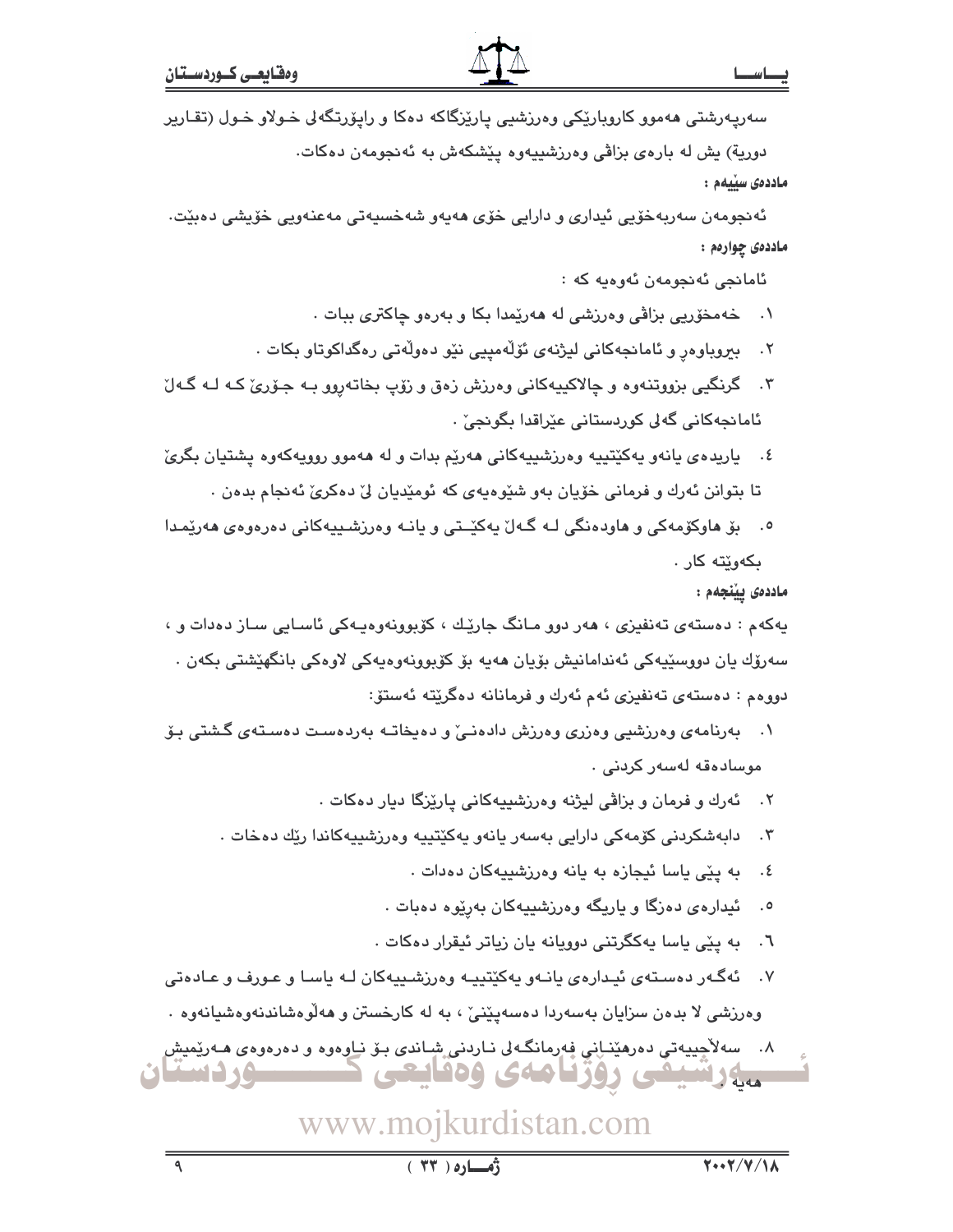سەرپەرشتى ھەمور كاروبارێِكى وەرزشىي پارێزگاكە دەكا و راپۆرتگەلى خـولاو خـول (تقـارير دوریة) یش له بارهی بزاڤی وهرزشییهوه یێشکهش به ئهنجومهن دهکات.

ماددەي سىيەم :

ئەنجومەن سەربەخۆيى ئېدارى و دارايى خۆي ھەپەو شەخسپەتى مەعنەويى خۆپشى دەبێت٠ ماددەى چوارەم :

ئامانجى ئەنجومەن ئەوەيە كە :

- ۰۱ خه مخوّریی بزاڤی وهرزشی له ههرێمدا بکا و بهرهو چاکتری ببات .
- ببروباوەر و ئامانجەكانى ليژنەي ئۆلەمپيى نێو دەولّەتى رەگداكوتاو بكات .  $\cdot$   $\cdot$   $\cdot$
- ۴. گرنگيي بزووتنهوه و ڇالاکيپهکاني وهرزش زهق و زۆپ بخاتهروو بـه جـۆرئ کـه لـه گـهلّ ئامائچەكانى گەلى كوردستانى عٽراقدا بگوئجى .
- ٤. پاريدهي يانهو پهکێتيپه وهرزشيپهکاني ههرێم بدات و له ههموو رووپهکهوه پشتيان بگريّ تا بتوانن ئەرك و فرمانى خۆيان بەو شێوەپەي كە ئومێديان لى دەكرى ئەنجام بدەن .
- بۆ ھاوكۆمەكى و ھاودەنگى لـه گـەلْ پەكێـتى و پانـه وەرزشـيپەكانى دەرەوەي ھەرێمـدا  $\cdot$ . ىكەوتتە كار .

ماددەى يېنجەم :

پهکهم : دهستهي تهنفيزي ، ههر دوو مـانگ جاريّك ، کۆبوونهوهپـهکي ئاسـايي سـاز دهدات و ، سەرۆك يان دووسٽييەكى ئەندامانيش بۆيان ھەيە بۆ كۆبوونەوەيەكى لاوەكى بانگھێشتى بكەن . دووهم : دەستەي تەنفيزى ئەم ئەرك و فرمانانە دەگريتە ئەستۆ:

- ۰۱ به رنامهی وهرزشیی وهزری وهرزش دادهنی و دهیخاتـه بهردهست دهستهی گشتی بـوّ موسادەقە لەسەر كردنى .
	- ئەرك و فرمان و بزاڤي ليژنه وەرزشييەكانى پارێزگا ديار دەكات .  $\cdot$   $\cdot$   $\cdot$
	- دابەشكردنى كۆمەكى دارايى بەسەر يانەو پەكێتپپە وەرزشىپپەكاندا رێك دەخات .  $\cdot$   $\mathsf{r}$ 
		- به پێی یاسا ئیجازه به یانه وهرزشیپهکان دهدات .  $\cdot$  5
		- ئیدارهی دهزگا و پاریگه وهرزشییهکان بهرێوه دهبات .  $\cdot$ .0
		- به ییّی یاسا یهکگرتنی دوویانه یان زیاتر ئیقرار دهکات .  $\mathcal{F}$ .
- ۰۷ نهگهر دهستهی ئیدارهی یانـهو یهکێتییـه وهرزشـییهکان لـه یاسـا و عـورف و عـادهتی وهرزشی لا بدهن سزایان بهسهردا دهسهپینی ، به له کارخستن و ههلوهشاندنهوهشیانهوه .

۸. سەلاّچیپەتى دەرھێنـانى فەرمانگـەلى نـاردنى شِـاندى بـۆ نـاوەوە و دەرەوەى ھـەرێمیش ـــــوردستان مهارشيفي روزنامهى ودنايعي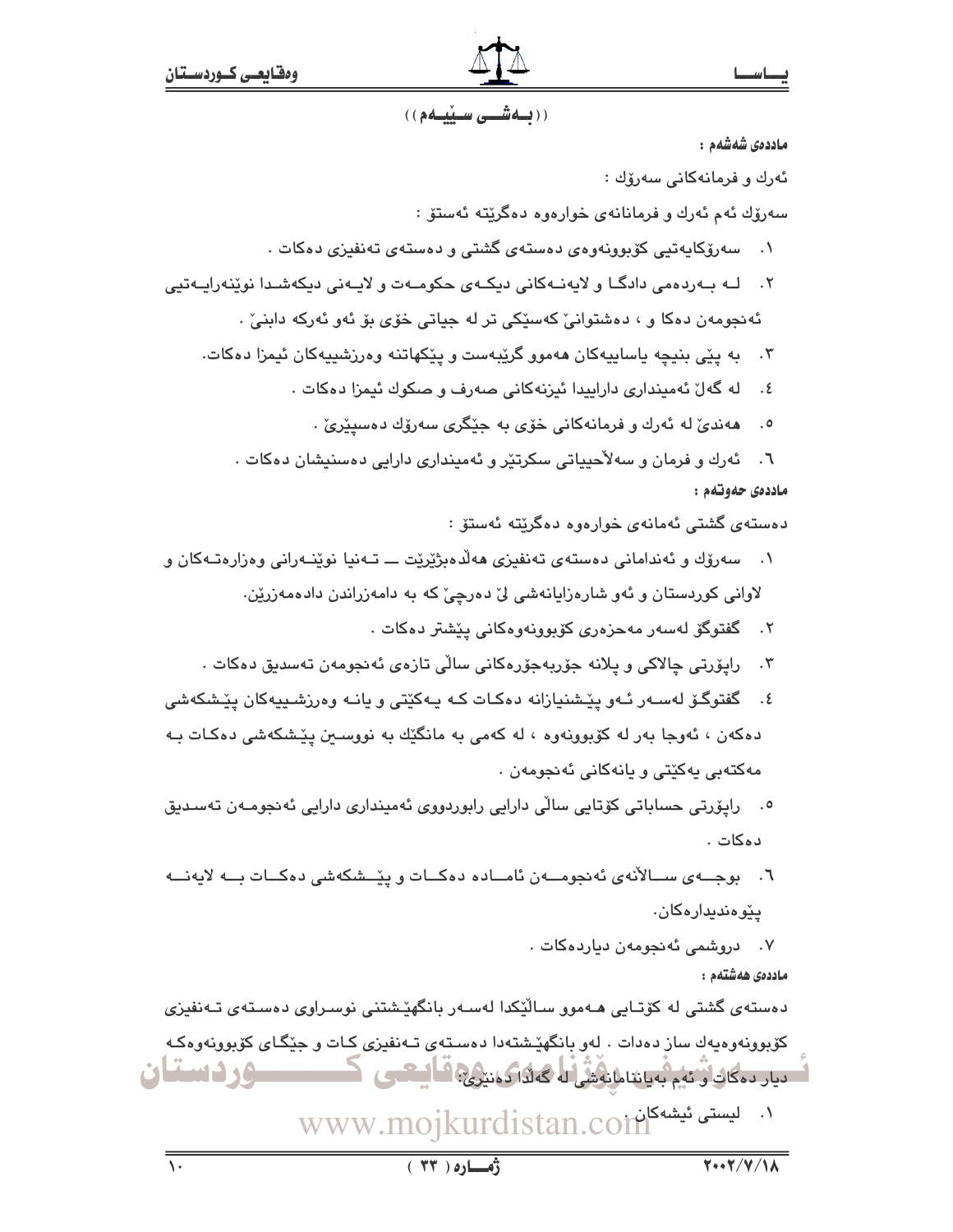# ((محمشتی سینیمم))

ماددەى شەشەم :

ئەرك و فرمانەكانى سەرۆك :

سەرۆك ئەم ئەرك و فرمانانەي خوارەوە دەگرێتە ئەستۆ :

- سەرۆكاپەتيى كۆپوونەوەي دەستەي گشتى و دەستەي تەنفىزى دەكات .  $\cdot$
- لـه بـهردهمي دادگـا و لايهنـهكاني ديكـهي حكومـهت و لايـهني ديكهشـدا نوێنهرايـهتيي  $\cdot$   $\mathsf{r}$ ئەنجومەن دەكا و ، دەشتوانى كەسىكى تر لە جياتى خۆى بۆ ئەو ئەركە دابنى .

۳. به پێی بنیچه یاساییهکان ههموو گرێبهست و پێکهاتنه وهرزشییهکان ئیمزا دهکات.

- ٤. له گەلْ ئەميندارى داراييدا ئيزنەكانى صەرف و صكوك ئيمزا دەكات .
	- هەندىٰ لە ئەرك و فرمانەكانى خۆي بە جێگرى سەرۆك دەسپێرىٰ .  $\cdot$ .0

٦. ئەرك و فرمان و سەلاّحيياتى سكرتێر و ئەميندارى دارايى دەسنيشان دەكات . ماددەي حەوتەم :

دەستەي گشتى ئەمانەي خوارەوە دەگرێتە ئەستۆ :

- سەرۆك و ئەندامانى دەستەي تەنفيزى ھەلدەبژێرێت ـــ تــەنيا نوێنــەرانى وەزارەتــەكان و  $\cdot$ . لاوانی کوردستان و ئەو شارەزايانەشى لىٌ دەرچىٌ کە بە دامەزراندن دادەمەزريْن.
	- ۲. گفتوگۆ لەسەر مەحزەرى كۆبوونەوەكانى يېشتر دەكات .
	- ۴. رايۆرتى چالاكى و پلانە جۆربەجۆرەكانى سالى تازەي ئەنجومەن تەسدىق دەكات .
- ٤. گفتوگـۆ لەسـەر ئـەو پێـشنيازانە دەكـات كـە پـەكێتى و يانـە وەرزشـىييەكان پێـشكەشى دهکەن ، ئەوجا بەر لە کۆبوونەوە ، لە کەمى بە مانگێك بە نووسىين پێشکەشى دەکـات بـﻪ مەكتەبى يەكێتى و يانەكانى ئەنجومەن .
- ۰۵ رايۆرتى حساباتى كۆتايى سالى دارايى رابوردووى ئەمىندارى دارايى ئەنجومـەن تەسـدىق دەكات .
- ٦. بوجــهى ســالأنهى ئەنجومــهن ئامــادە دەكــات و پێــشكەشى دەكــات بــه لايەنـــه يێٯەندىدارەكان.

۰۷ دروشمی ئەنجومەن دياردەكات .

ماددەى ھەشتەم :

دەستەي گشتى لە كۆتـايى ھـەموو سـالێكدا لەسـەر بانگهێشتنى نوسـراوي دەسـتەي تـەنفيزى کۆبوونەوەپەك ساز دەدات . لەو بانگهێشتەدا دەسـتەی تـﻪنفیزی کـات و جێِگـای کۆبوونەوەکـە ــوردستان لَّصِيارِ دِوْكَانِ أَوْ نَهُمْ بِهِيَا يَنَامُا نِهْشُ اللَّهِ كَهَلْنَا رَوْمَتِيْرِيٌّ ۚ قَا أَيْتَعَصَى الْ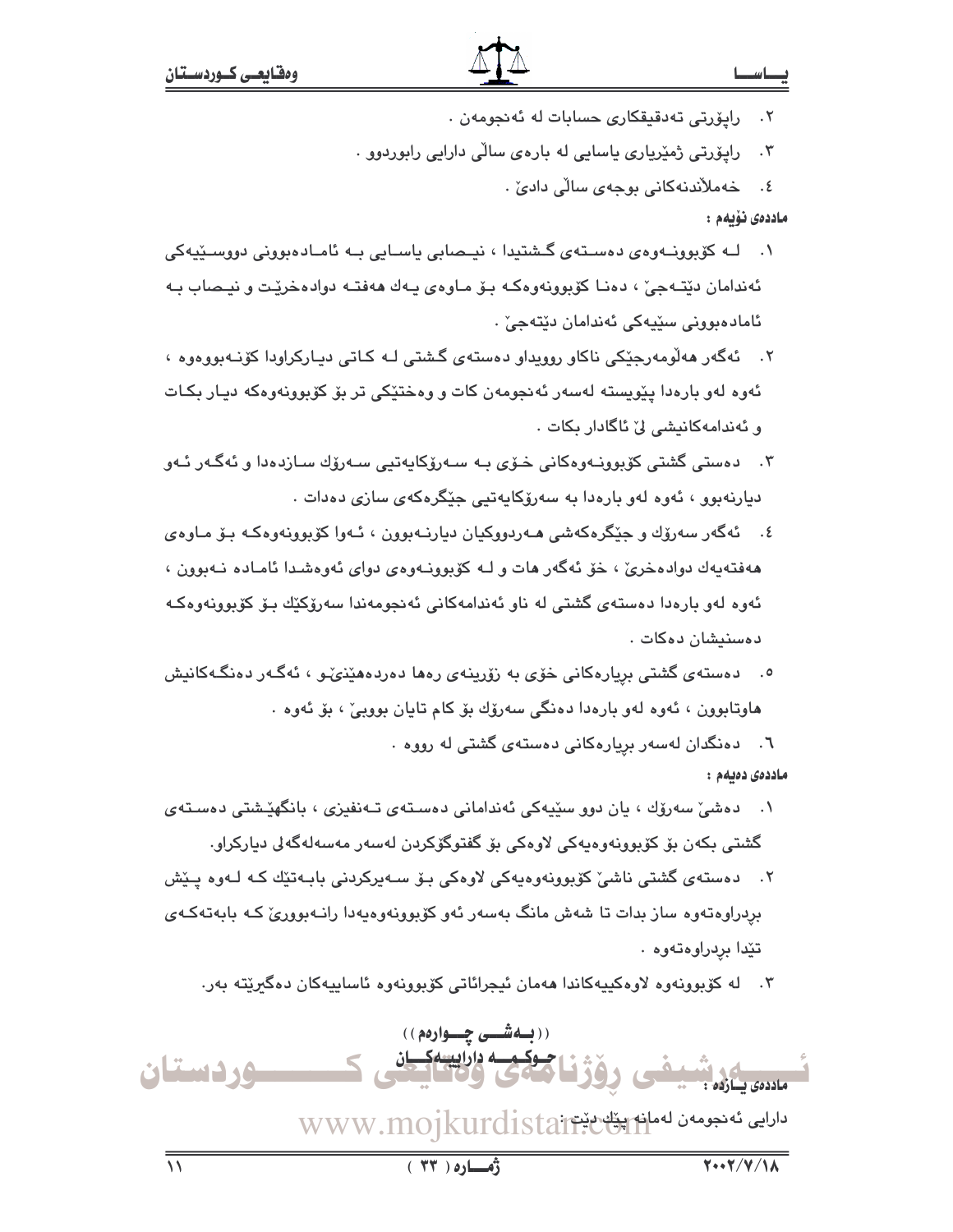- ٢. رايۆرتى تەدقىقكارى حسابات لە ئەنجومەن .
- ِ رايۆرتى ژمێريارى ياسايى له بارەي سالى دارايى رابوردوو .  $\cdot$   $\mathsf{r}$ 
	- ٤. خەملاندنەكانى بوجەي سالى دادىٚ .

ماددەى ئۆيەم :

- لـه کۆبوونــهوهي دهسـتهي گـشتيدا ، نيـحمابي ياسـايي بـه ئامـادهبووني دووسـێيهکي  $\cdot$ ئەندامان دێتـﻪجێ ، دەنـا كۆبوونەوەكـﻪ بـۆ مـاوەي پـﻪك ھەڧتـﻪ دوادەخرێت و نيـصاب بـﻪ ئامادەبوونى سێڀەكى ئەندامان دێتەجێ ٠
- ۲. ئەگەر ھەلْومەرجێكى ناكاو روويداو دەستەي گشتى لـە كـاتى ديـاركراودا كۆنـەبووەوە ، ئەوە لەو بارەدا يێويستە لەسەر ئەنجومەن كات و وەختێكى تر بۆ كۆبوونەوەكە ديـار بكـات و ئەندامەكانيشى لىْ ئاگادار بكات ٠
- ۴. دەستى گشتى كۆپوونـەوەكانى خـۆي بـە سـەرۆكاپەتىي سـەرۆك سـازدەدا و ئەگـەر ئـەو دیارنهبوو ، ئەوە لەو بارەدا بە سەرۆكايەتيى جێگرەكەي سازى دەدات .
- ٤. ئەگەر سەرۆك و جێگرەكەشى ھـەردووكيان ديارنــەبوون ، ئــەوا كۆبوونەوەكـە بـۆ مـاوەي ههفتهيهك دوادهخريّ ، خوّ ئهگهر هات و لـه كوّبوونـهوهي دواي ئهوهشـدا ئامـاده نـهبوون ، ئەوە لەو بارەدا دەستەي گشتى لە ناو ئەندامەكانى ئەنجومەندا سەرۆكێك بىۆ كۆپوونەوەكـە دەسنىشان دەكات .
- ۰. دەستەي گشتى بريارەكانى خۆي بە زۆرينەي رەھا دەردەھێنى، ئەگەر دەنگەكانىش هاوتابوون ، ئەوە لەو بارەدا دەنگى سەرۆك بۆ كام تايان بووبىؒ ، بۆ ئەوە ٠
	- ٦. دەنگدان لەسەر بريارەكانى دەستەي گشتى لە رووە ٠

ماددەى دەيەم :

- دەشى سەرۆك ، يان دوۋ سێپەكى ئەندامانى دەستەي تـەنفىزى ، بانگھێشتى دەستەي  $\cdot$ . گشتی بکەن بۆ کۆبورنەرەپەکی لارەکی بۆ گفتوگۆکردن لەسەر مەسەلەگەلى دياركرار.
- ۲. دهستهی گشتی ناشیؒ کۆبورنەوەپەکی لاوەکی بىۆ سـەپرکردنی بابـەتێك کـه لـەوە پــێش بردراوەتەوە ساز بدات تا شەش مانگ بەسەر ئەو كۆبوونەوەپەدا رانـەبوورىّ كـە بابەتەكـەي تێدا بردراوهتەوه .
	- ۳. له کۆبوونەوه لاوەکپيەکاندا ھەمان ئيجرائاتى کۆبوونەوە ئاساييەکان دەگىرىيتە بەر.

((بهشــی چــوارهم)) ـه داراييسهکـ **6 د دستان** أماددهي بسارده : ىلالى ئەنجومەن لەماق ئەن ئالىش WWW.mojkurdistaj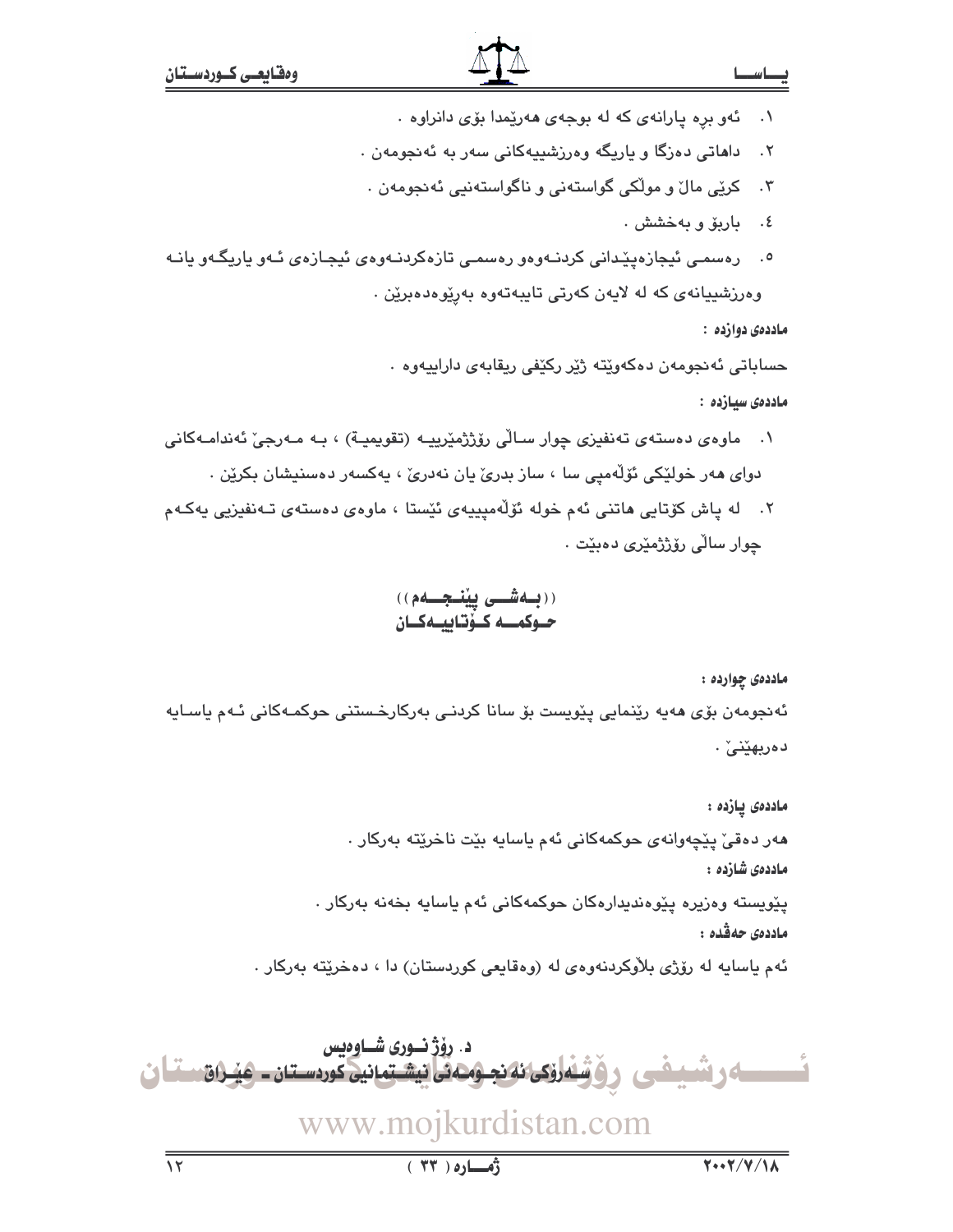۰۱ ـ ئەو بره يارانەي كە لە بوجەي ھەرپىمدا بۆي دانراوە .

داهاتی دەزگا و ياريگه وەرزشييەكانی سەر بە ئەنجومەن .  $.7$ 

- کرێِی مالٚ و مولّکی گواستەنی و ناگواستەنیی ئەنجومەن ٠  $\cdot$   $\mathsf{r}$ 
	- ٤. باريق و به خشش .
- ٥. رەسمى ئيجازەپێدانى كردنـﻪوەو رەسمى تازەكردنـﻪوەي ئيجـازەي ئـﻪو ياريگـﻪو يانـﻪ وەرزشىيانەي كە لە لايەن كەرتى تايبەتەوە بەرێوەدەبرێن .

ماددهۍ دوارده :

حساباتي ئەنجومەن دەكەوپتە ژێر ركێفى ريقابەي داراييەوە .

ماددەى سىازدە :

- ۰۱ ماوەي دەستەي تەنفيزى چوار سـالْي رۆژژمێریپـه (تقویمپـة) ، بـه مـەرجىٚ ئەندامـەكانى دوای هەر خولێکی ئۆلّەمپی سا ، ساز بدریٚ یان نەدریٚ ، پەکسەر دەسنیشان بکرێن .
- ۲. له ياش کۆتايى ماتنى ئەم خولە ئۆلەمىييەى ئێستا ، ماوەي دەستەي تـەنفىزيى يەكـەم جوار سالّي ر<u>ۆ</u>ژژمێ*ری د*هبێت ٠

# ((بلەشىي يېنىجىلەم)) حـوكمـــه كــۆتـاييــهكــان

ماددەى چواردە :

ئەنجومەن بۆی مەپە رێنمايى پێوپست بۆ سانا كردنـى بەركارخـستنى حوكمـەكانى ئـەم ياسـايە دەربھێنىٚ .

ماددەى يازدە : هەر دەقى يێچەوانەي حوكمەكانى ئەم ياسايە بێت ناخرێتە بەركار . ماددەى شازدە : پێویسته وەزیرە پێوەندیدارەکان حوکمەکانی ئەم یاسایە بخەنە بەرکار . ماددەى حەڤدە :

ئهم ياسايه له رۆژى بلاوكردنهوەي له (وەقايعى كوردستان) دا ، دەخرێتە بەركار .

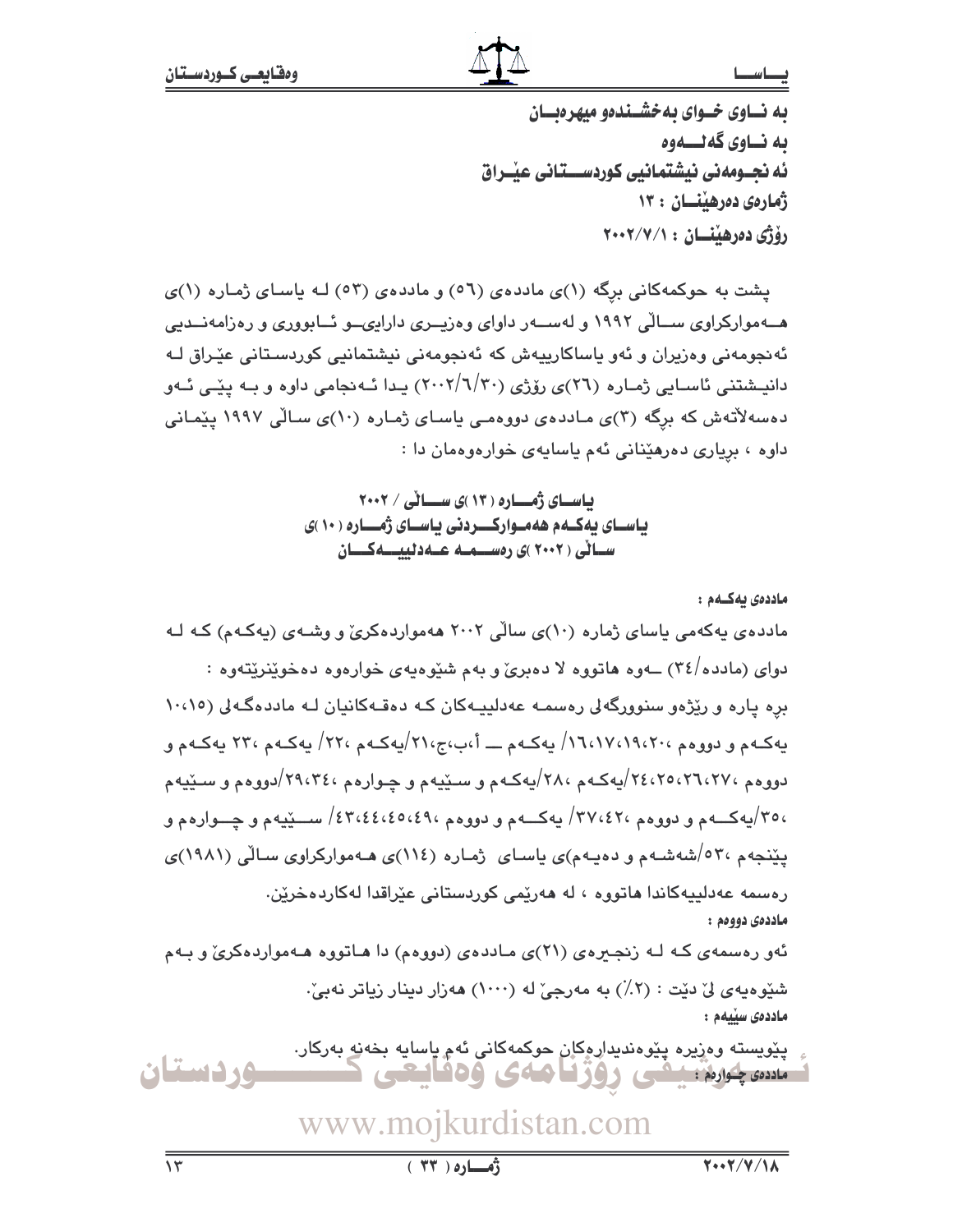# بصاسط

به نساوی خسوای به خشسنده میهر دیسان ىه نــاوى گەنــــەوە ئه نجــومەنى نيشتمانيى كوردســـتانى عيْــراق ژمارەي دەرھىنسان : ١٣ رۆژى دەرھىنسان : ٢٠٠٢/٧/١

یشت به حوکمهکانی برگه (۱)ی ماددهی (٥٦) و ماددهی (٥٣) لـه یاسـای ژمـاره (۱)ی هــهموارکراوی ســالّی ۱۹۹۲ و لهســهر داوای وهزیــری دارایىــو ئــابووری و رهزامهنــدیی ئەنجومەنى وەزيران و ئەو ياساكارييەش كە ئەنجومەنى نيشتمانيى كوردسىتانى عێـراق لـﻪ دانیـشتنی ئاسـابی ژمـاره (٢٦)ی رۆژی (٢٠/٦/٢٠) پـدا ئـه نجامی داوه و بـه پێـی ئـهو دهسهلاتهش که برگه (۳)ی ماددهی دووهمی یاسای ژماره (۱۰)ی سالی ۱۹۹۷ ییمانی داوه ، بریاری دهرهیدانی ئهم یاسایهی خوارهوهمان دا :

> بیاسسای ژمسساره ( ۱۳ )ی سسسائی / ۲۰۰۲ یاسـای یهکـهم ههمـوارکـــردنی یاسـای ژمـــاره ( ۱۰ )ی ســانی ( ۲۰۰۲ )ی رەســـمــه عـــهدنییــــهکـــان

ماددەي يەكــەم : مادده ی په کهمی پاسای ژماره (۱۰)ی سالی ۲۰۰۲ ههمواردهکری و وشبهی (په کهم) کـه لـه دوای (مادده/۳٤) ــهوه هاتووه لا دهبریّ و بهم شَبّوهبهی خوارهوه دهخویّنریّتهوه : بره یاره و ریّژهو سنوورگهلی رهسمه عهدلییهکان که دهقهکانیان لـه ماددهگهلی (۱۰،۱۰ پهکـهم و دووهم ١٦،١٧،١٩،٧٠١٩) پهکـهم ــــ أ،ب،ج،٢١/پهکـهم ،٢٢/ پهکـهم ،٢٣ پهکـهم و دووهم ،۲۹،۲۷،۲۵ /۲٤،۲۵ /پهکـهم ،۲۸ /پهکـهم و سـێپـهم و چـوارهم ،۲۹،۳٤ /دووهم و سـێپـهم ،٣٥/يهکــهم و دووهم ٣٧،٤٢، پهکــهم و دووهم ،٤٣،٤٤،٤٥،٤٩/ ســـێيهم و چـــوارهم و یێنجهم ٬۵۲۰شهشـهم و دهیـهم)ی یاسـای ژمـاره (۱۱٤)ی هـهموارکراوی سـالّی (۱۹۸۱)ی رەسمە عەدلىيەكاندا ھاتووە ، لە ھەرێمى كوردستانى عێراقدا لەكاردەخرێن. ماددەي دووەم : ئەو رەسمەي كـه لـه زنجـيرەي (٢١)ى مـاددەي (دووەم) دا ھـاتووە ھـەمواردەكرىّ و بـەم شێوهیهی لیٌ دێت : (۲٪) به مەرجیٌ له (۱۰۰۰) هەزار دینار زیاتر نەبیؒ. ماددەى سىيەم :

پێويسته وەزيرە پێوەنديدارەكان حوكمەكانى ئەم ياسايە بخەنە بەركار. وردستان مسويلون يبعى روزنامەي وەقايتى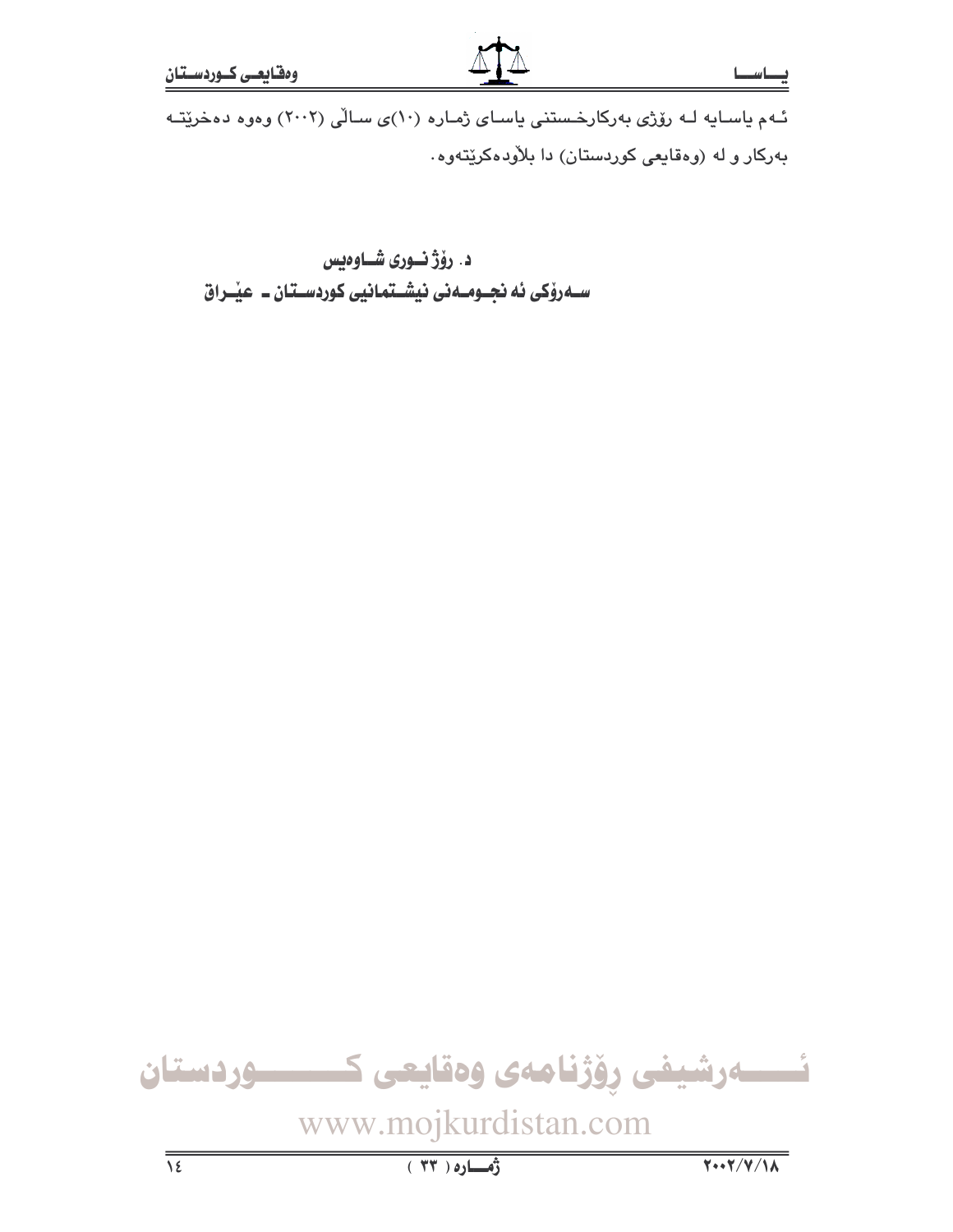ئهم یاسایه له رۆژی بهرکارخستنی یاسای ژماره (۱۰)ی سالی (۲۰۰۲) وهوه دهخریته بهرکار و له (وهقایعی کوردستان) دا بلاّودهکریّتهوه.

# د. رۆژنسورى شاوەيس ســهروٰکی ئه نجــومــهنی نیشــتمـانیی کوردســتـان ــ عیـْــراق

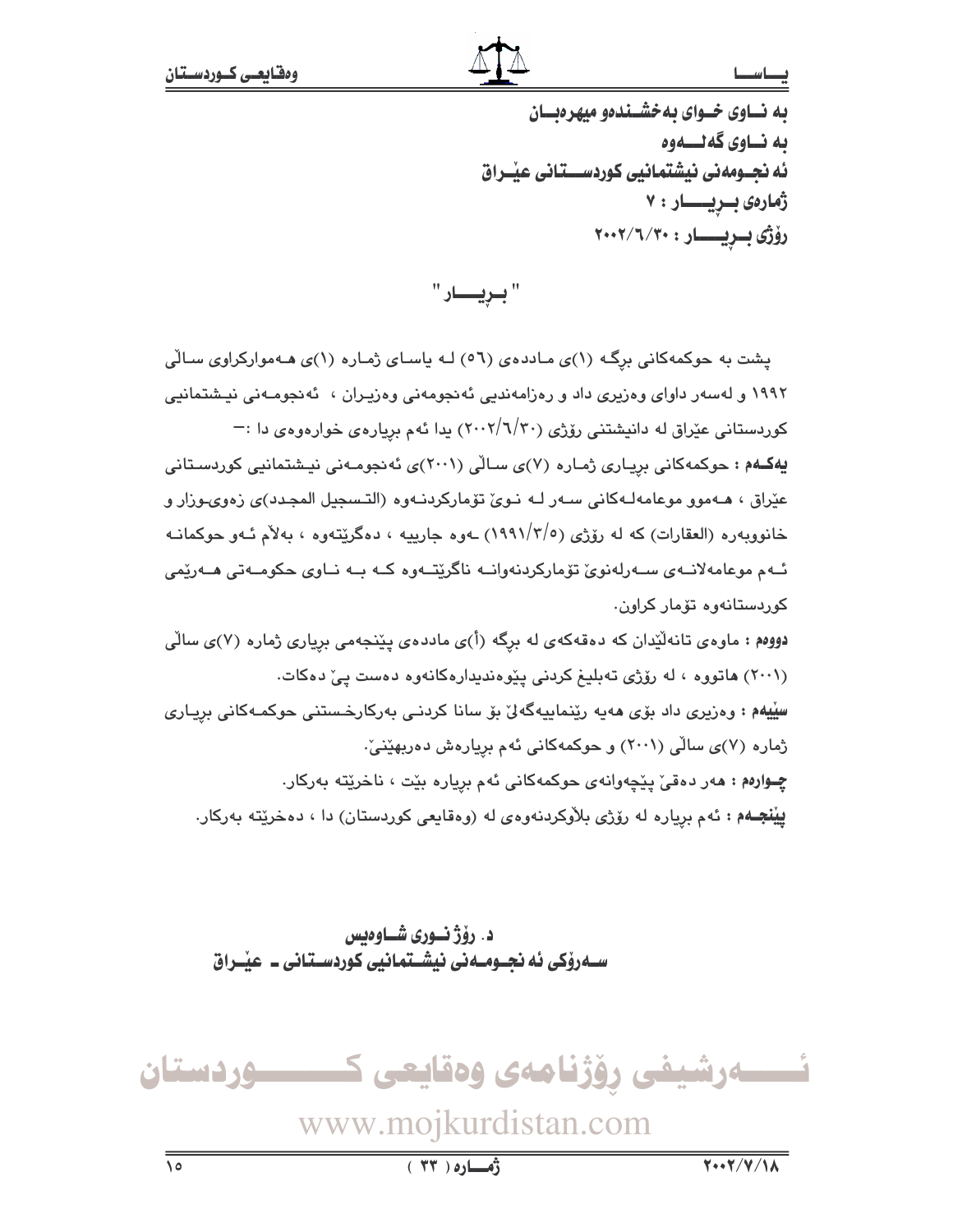### فصط سط

به نساوی خسوای به خشیندهو میهره بسان ىه نــاوى گەنــــەوە ئه نجــومەنى نيشتمانيى كوردســـتانى عيْــراق ژمارەى بىريسىار: ٧ رۆژى بىريسسار: ٢٠٠٢/٦/٣٠

"بريسار "

پشت به حوکمهکانی برگ (۱)ی ماددهی (۵٦) لـه یاسـای ژمـاره (۱)ی هـهموارکراوی سـالّی ۱۹۹۲ و لهسهر داوای وهزیری داد و رهزامهندیی ئهنجومهنی وهزیـران ، ئهنجومـهنی نیـشتمانیی کوردستانی عێراق له دانیشتنی رۆژی (۲۰۰۲/٦/۳۰) بدا ئهم بریارهی خوارهوهی دا :— یهکـهم : حوکمهکانی بریـاری ژمـاره (۷)ی سـالّی (۲۰۰۱)ی ئهنجومـهنی نیـشتمانیی کوردسـتانی عێراق ، هــهموو موعامهلـهكانى سـهر لــه نـوىٰ تۆماركردنـهوه (التـسجيل المجـدد)ى زەوىـوزار و خانوويهره (العقارات) که له رۆژي (١٩٩١/٣/٥) ـهوه جارييه ، دهگريّتهوه ، بهلاّم ئـهو حوکمانـه ئــهم موعامهلانــهى ســهرلهنوئ تۆماركردنهوانــه ناگرێتــهوه كــه بــه نــاوى حكومــهتى هــهرێمى کوردستانەوە تۆمار کراون. دووهم : ماوهی تانهلیدان که دهقهکهی له برگه (أ)ی ماددهی پینجهمی بریاری ژماره (۷)ی سالی (۲۰۰۱) هاتووه ، له روّژی تهبلیغ کردنی ییّوهندیدارهکانهوه دهست ییّ دهکات.

سِلِيهِم : وەزيرى داد بۆي ھەيە رێنماييەگەلێ بۆ سانا كردنـي بەركارخـستنى حوكمـەكانى بريـارى ژماره (۷)ی سالّی (۲۰۰۱) و حوکمهکانی ئهم بریارهش دهربهێنیّ: چوارهم: هەر دەقى يێچەوانەي جوكمەكانى ئەم بريارە بێت ، ناخرێتە بەركار. **ییْنجـه**م : ئهم بریاره له رۆژی بلاّوکردنهوهی له (وهقایعی کوردستان) دا ، دهخریّته بهرکار.

د. رۆژنـوري شــاوەبس ســهروْکی ئه نجــومــه نی نیشــتمانیی کوردسـتـانی ــ عیّــراق



www.mojkurdistan.com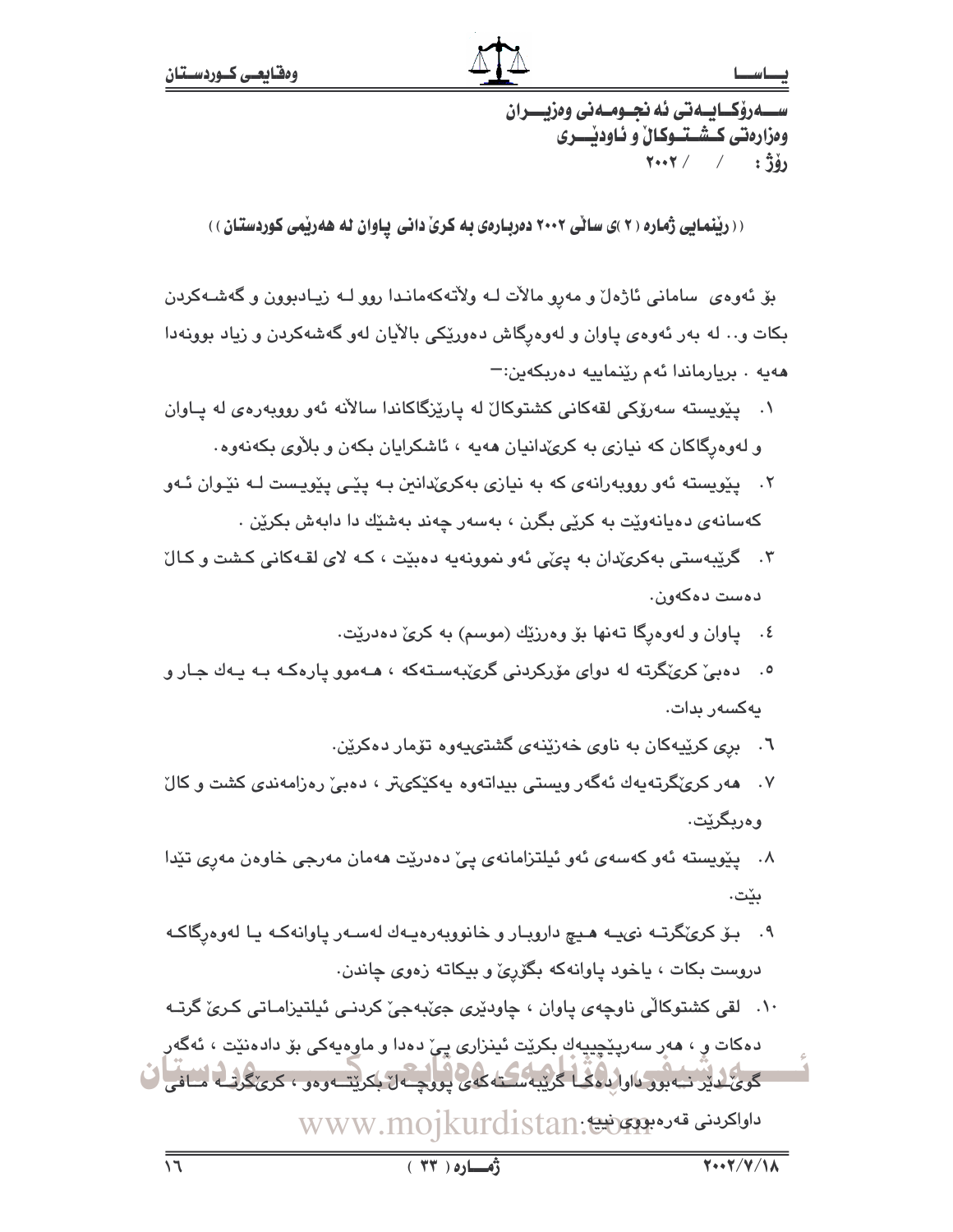( ( ریْنمایی ژماره ( ۲ )ی ساٽی ۲۰۰۲ دهربارهی به کری دانی پاوان له ههریمی کوردستان ) )

بۆ ئەوەي سامانى ئاژەل و مەرو مالات لــه ولاتەكەمانىدا روو لــه زيـادبوون و گەشــەكردن بکات و… له بهر ئهوهی یاوان و لهوهرگاش دهوریکی بالآیان لهو گهشهکردن و زیاد بوونهدا هەبە ، بريارماندا ئەم رێنماييە دەريكەين:=

- ۰۱ پێویسته سەرۆکی لقەکانی کشتوکال له پارێزگاکاندا سالانه ئەو رووپەرەی لە پاوان و لهوهرگاکان که نیازی به کریٌدانیان ههیه ، ئاشکرایان بکهن و بلاْوی بکهنهوه.
- ۲. ییویسته ئهو رووبهرانهی که به نیازی بهکریٌدانین بـه ییّـی ییّویست لـه نیّـوان ئـهو کهسانهی دهیانهوێت به کرێی بگرن ، بهسهر چهند بهشێك دا دابهش بکرێن .
- ۴. گرێبهستی بهکرئدان به یئی ئهو نموونهیه دهبێت ، کـه لای لقـهکانی کـشت و کـالّ دەست دەكەون.
	- ٤. پاوان و لهوهرگا تهنها بۆ وەرزێك (موسم) به كرىّ دەدرێت.
- ۰. ده یی کری گرته له دوای مۆرکردنی گری به سته که ، هـهموو یاره کـه بـه یـهك جـار و بەكسەر بدات.
	- ٦. بری کرێپهکان به ناوی خهزێنهی گشتیپهوه تۆمار دهکرێن.
- ۷. هەر كرېڭگرتەيەك ئەگەر ويستى بېداتەوە يەكێكىتر ، دەبى رەزامەندى كشت و كال و ەرىگرٽت.
- ۸. پێویسته ئەو کەسەی ئەو ئیلتزامانەی ییّ دەدرێت ھەمان مەرجى خاوەن مەری تێدا ىنت.
- ۹. بـۆ كرىڭگرتــه نىيــه هـيـچ دارويــار و خانوويەرەيــەك لەســەر ياوانەكــه يــا لەوەرگاكــه دروست بکات ، پاخود پاوانهکه بگوریّ و بیکاته زهوی چاندن.
- ١٠. لقى كشتوكالى ناوچەي پاوان ، چاودێرى جىٚبەجىٚ كردنـى ئيلتيزامـاتى كـرىٰ گرتـه

دەكات و ، ھەر سەريێڃييەك بكرێت ئينزارى يىّ دەدا و ماوەيەكى بۆ دادەنێت ، ئەگەر گوئ لدین نیه بود داوالده که گریبه سکته که چ لوو چه ن بکریت و دو ، کری گرنسه اسافی ف ىراكىدىنى قەرەبوق تون WWW.mojkurdistan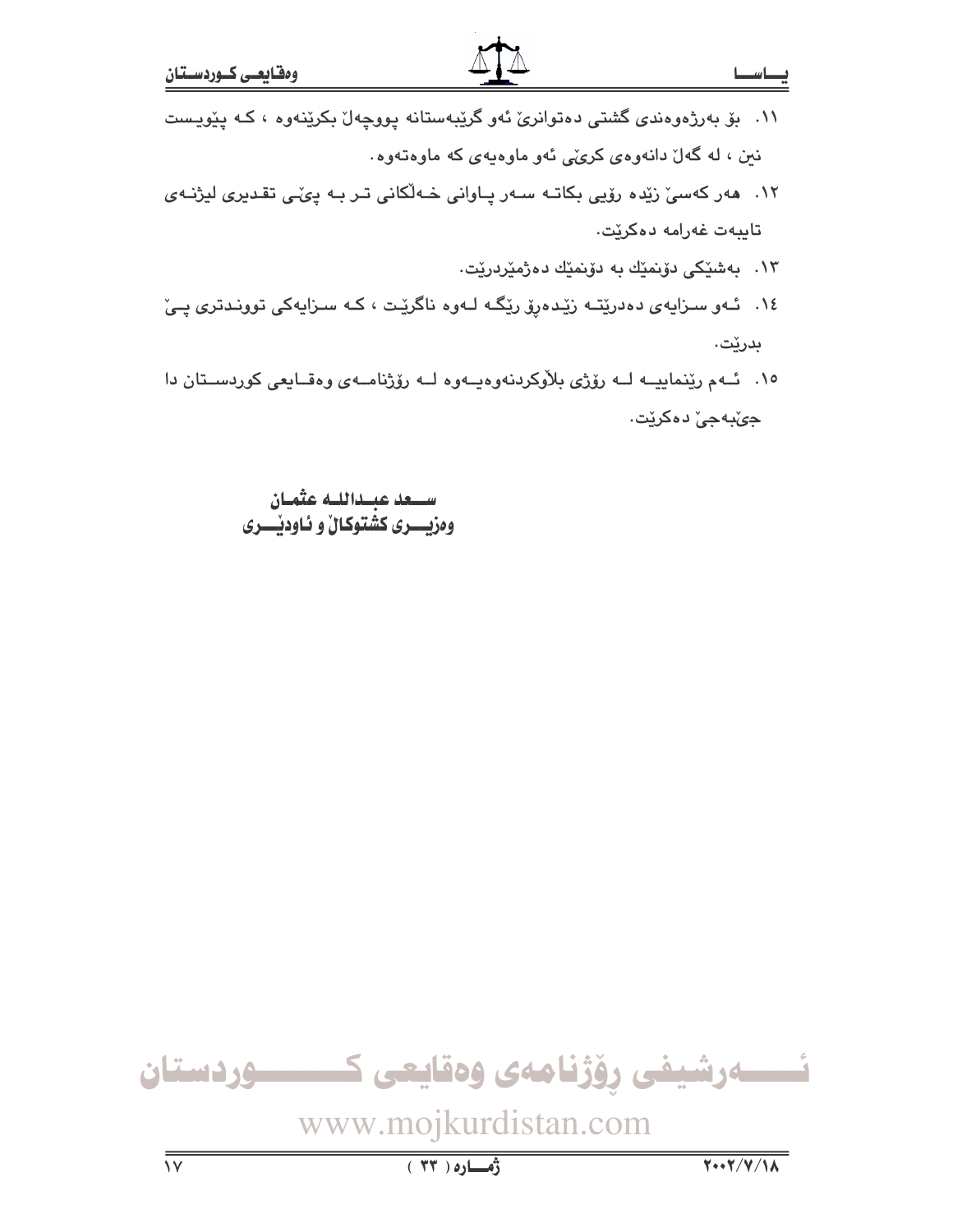- ۱۱. بۆ بەرژەوەندى گشتى دەتوانرى ئەو گرێبەستانە يووچەل بكرێنەوە ، كـە يێويست نین ، له گهلٌ دانهوهی کرئی ئهو ماوهیهی که ماوهتهوه.
- ۱۲. هەر كەسىّ زێدە رۆيى بكاتـه سـەر پـاوانى خـەلّكانى تـر بـه پىّـى تقـديرى ليژنـەى تايبەت غەرامە دەكرێت.
	- ۱۳. بەشى<u>ن</u>كى دۆىنم<u>ن</u>ك بە دۆنمىك دەۋمىردىرىيت.
- ١٤. ئـهو سـزايهى دەدرێتـه زێدەرۆ رێگـه لـهوه ناگرێت ، كـه سـزايهكى توونـدترى پـێ بدرێت.
- ١٥. ئـهم رينماييــه لــه رۆژى بلاوكردنهوهيــهوه لــه رۆژنامــهى وهقــايعى كوردســتان دا جي⁄بهجيٰ دهکريٽ.

ســـعد عبــداللــه عثمـان وهزيسري كشتوكال و ئاوديسري

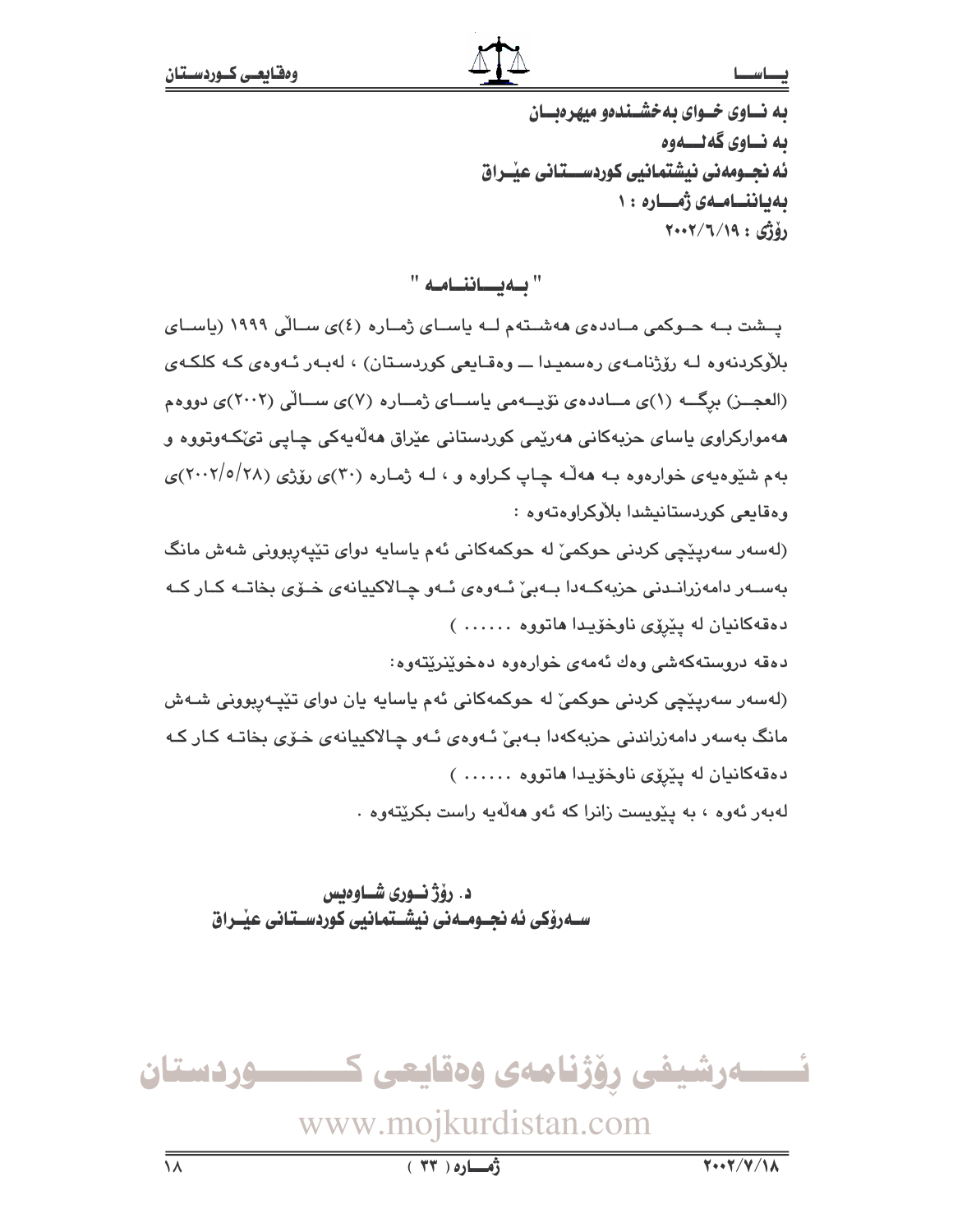### نصط سط

به نساوی خسوای به خشیندهو میهره بسان به نساوي گەنسىموە ئه نجــومەنى نيشتمانيى كوردســـتانى عيْــراق ىەياننسامىەي ژەسسارە ١٠  $Y+Y/T/19:61$ 

" به يساننامه "

یسشت به حسوکمی میاددهی ههشتهم لیه یاسیای ژمیاره (٤)ی سیالی ۱۹۹۹ (یاسیای بلاْوِکردنهوه لـه رۆژنامـهي رەسمىيدا ـــ وەقـايعى کوردسـتان) ، لهبـهر ئـهوەي کـه کلکـهي (العجــز) برگــه (١)ي مــاددهي نويــهمي ياســاي ژمــاره (٧)ي ســالي (٢٠٠٢)ي دووهم ههموارکراوي باساي حزبهکاني ههرٽمي کورڊستاني عٽراق ههلهبهکي چاپي تئکهوتووه و بهم شنوه به ی خوارهوه بـه هه له چاپ کراوه و ، لـه ژماره (۳۰)ی رۆژی (۲۸/۰/۱/۰/)ی وەقايعى كوردستانيشدا بلاوكراوەتەوە :

(لهسهر سهریێڇی کردنی حوکمیٚ له حوکمهکانی ئهم یاسایه دوای تێپهرپوونی شهش مانگ بەســەر دامەزرانــدنى حزبەكــەدا بــەبىؒ ئــەوەی ئــەو چـالاكييانەی خــۆی بخاتــە كـار كــە دهقهکانيان له ييروی ناوخويدا هاتووه ......)

دەقە دروستەكەشى وەك ئەمەي خوارەوە دەخوينريتەوە:

(لەسەر سەريٽچى كردنى حوكمىؒ لە حوكمەكانى ئەم ياسايە يان دواى تێپەربوونى شـەش مانگ بەسەر دامەزراندنى حزيەكەدا بـەبىؒ ئـەوەي ئـەو چـالاكيپانەي خـۆي بخاتـە كـار كـە دهقهكانيان له ييروی ناوخويدا هاتووه ......)

لەبەر ئەوە ، بە پێويست زانرا كە ئە<mark>و ھ</mark>ەلّەيە راست بكرێتەوە .

د. رۆژنسورى شساوەيس ســهروْکی ئه نجــومــهنی نیشــتمـانیی کوردســتـانی عیـْــراق

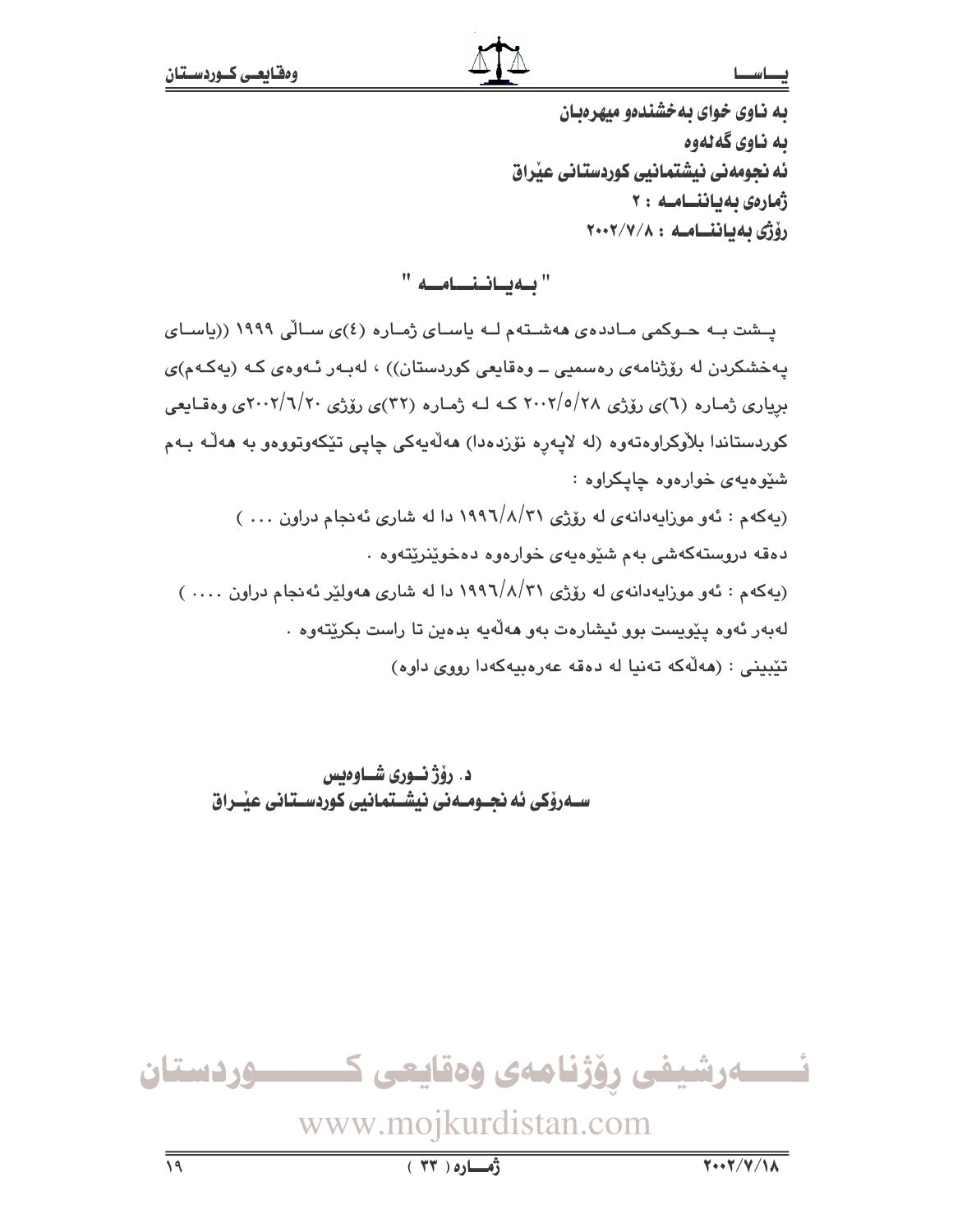يه ناوي خواي يه خشندهو ميهر ديان ىە ناوي گەلەوە ئه نحومهني نيشتمانيي كوردستاني عذراق ژمارەى ئەياننسامىھ : ۲ رۆژى ئەتائنساميە: ٢٠٠٢/٧/٨

"بهياننامه"

یشت به حوکمی ماددهی ههشتهم له یاسای ژماره (٤)ی سالی ١٩٩٩ ((یاسای پەخشكردن لە رۆژنامەي رەسمىي ــ وەقايعى كوردستان)) ، لەبـەر ئـەوەي كـە (پەكـەم)ى بریاری ژماره (٦)ی رۆژی ٢٨/٥/٢٨ کـه لـه ژماره (٣٢)ی رۆژی ٢٠٠٢/٦/٢٠ ی وهقـایعی کوردستاندا بلاّوکراوهتەوه (له لايەرە نۆزدەدا) ھەلّەيەكى چايى تێکەوتووەو بە ھەلّـە بـەم شئوهيهي خواردوه جايکراوه : (پهکهم : ئهو موزاپهدانهی له رۆژی ۶/۸/۳۱ دا له شاری ئه نجام دراون ... ) دهقه دروستهکهشی بهم شێوهیهی خوارهوه دهخوێنرێتهوه ٠ (پهکهم : ئهو موزايهدانهي له رۆژى ١٩٩٦/٨/٣١ دا له شارى ههولێر ئهنجام دراون .... )

لەبەر ئەوە يێويست بوو ئیشارەت بەو ھەلّەيە بدەين تا راست بكرێتەوە ٠

تێبينى : (مەڵەكە تەنيا لە دەقە عەرەبيەكەدا رووى داوە)

د. رۆژنسورى شــاوەبس سـەرۆكى ئە نحـومـەنى نىشـتمانىي كوردسـتانى عنـراق

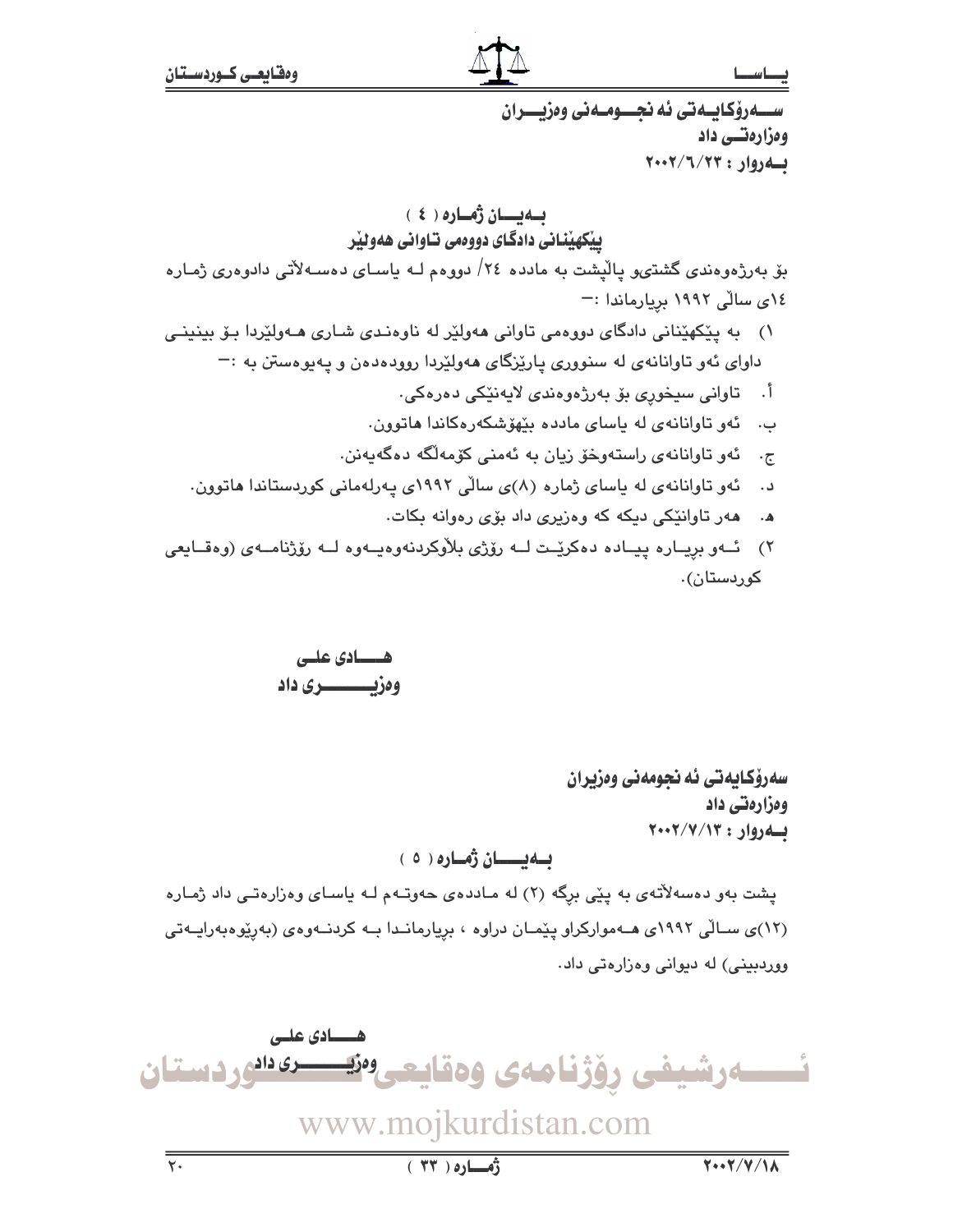ســـهرۆكايــەتى ئە نحـــومــەنى وەزيـــران ومزارهتسي داد به دوار: ٢٠٠٢/٦/٢٠٠٢ ىلەيسان ژەسارە (ئ ييكهيناني دادگاي دووهمي تـاواني ههوئير بۆ بەرژەوەندى گشتىپو پالْپشت بە ماددە ٢٤/ دووەم لـــ، ياســاي دەســـەلأتى دادوەرى ژمــارە ١٤ى سالّى ١٩٩٢ بريارماندا :-۱) به پێکهێنانی دادگای دووهمی تاوانی ههولێر له ناوهندی شـاری هـهولێردا بـۆ بینینـی داوای ئهو تاوانانهی له سنووری پارێزگای ههولێردا روودهدهن و پهپوهستن به :-أ. تاواني سيخوري بۆ بەرژەوەندى لايەنێكى دەرەكى. ب. گەو تاوانانەي لە ياساي ماددە بێهۆشكەرەكاندا ھاتوون. ج. ئەو تاوانانەي راستەوخۆ زيان بە ئەمنى كۆمەلگە دەگەبەنن. ئهو تاوانانهی له یاسای ژماره (٨)ی سالّی ١٩٩٢ی یهرلهمانی کوردستاندا هاتوون. د . ههر تاوانێکی دیکه که وهزیری داد بۆی رهوانه بکات.  $\cdot$  . A ٢) \_ ئــهو بريــاره ييــاده دهكريّــت لــه رۆژى بلاّوكردنهوهيــهوه لــه رۆژنامــهى (وهقــايعى

کورڊستان).

هـــــادی علــی وەزىسىسىرى داد

> سەرۆكـايەتى ئە نحومەنى وەزيران ومزارهتي داد بهروار: ٢٠٠٢/٧/١٣

# بــەيـــــان ژمــارە ( ٥ )

پشت بهو دهسهلاتهی به پێی برگه (۲) له ماددهی حهوتـهم لـه پاسـای وهزارهتـی داد ژمـاره (١٢)ی سالی ١٩٩٢ی هـهموارکراو پیّمـان دراوه ، بریارمانـدا بـه کردنـهوهی (بهریوهبهرایـهتی ووردبینی) له دیوانی وهزارهتی داد.

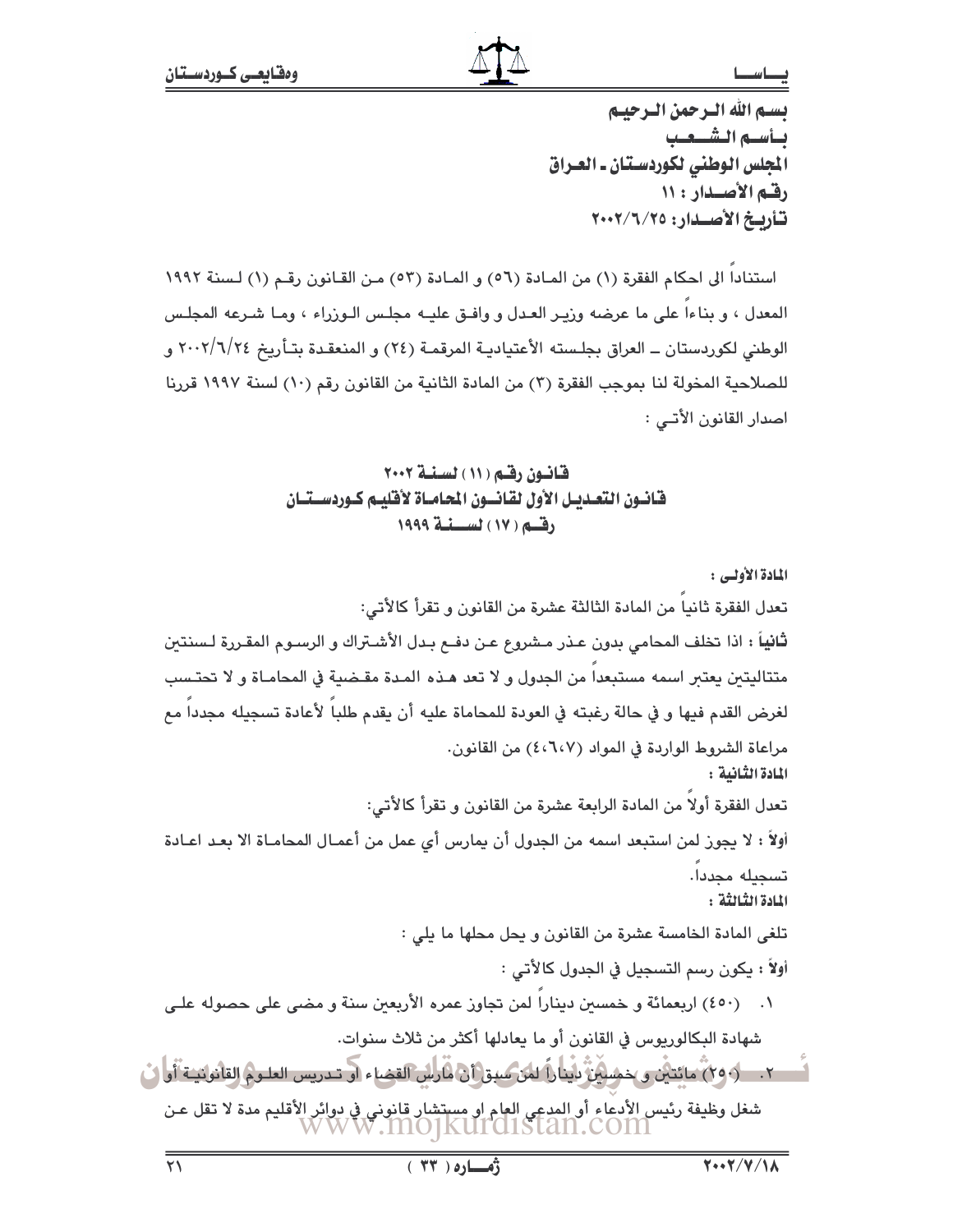تستم الله الترجمن الترجيبم تسأسته التشبعب الجلس الوطني لكوردستان ـ العـراق رقيم الأصيدار: ١١ تأريخ الأصدار: ٢٠٠٢/٦/٢٥

استنادا الى احكام الفقرة (١) من المادة (٥٦) و المادة (٥٣) من القانون رقم (١) لسنة ١٩٩٢ المعدل ، و بناءا على ما عرضه وزيـر العـدل و وافـق عليـه مجلـس الـوزراء ، ومـا شـرعه المجلـس الوطني لكوردستان ــ العراق بجلـسته الأعتياديـة المرقمـة (٢٤) و المنعقـدة بتـأريخ ٢٠٠٢/٦/٢٤ و للصلاحية المخولة لنا بموجب الفقرة (٣) من المادة الثانية من القانون رقم (١٠) لسنة ١٩٩٧ قررنا اصدار القانون الأتــي :

# قانون رقم ( ۱۱ ) لسنة ۲۰۰۲ فانون التعديل الأول لقانسون الحاماة لأفليم كوردستنان رقبه ( ١٧ ) لسنية ١٩٩٩

المادة الأولى : تعدل الفقرة ثانيا من المادة الثالثة عشرة من القانون و تقرأ كالأتي: ثانياً : اذا تخلف المحامى بدون عـذر مـشروع عـن دفــع بـدل الأشـتراك و الرسـوم المقـررة لـسنتين متتاليتين يعتبر اسمه مستبعدا من الجدول و لا تعد هـذه المـدة مقـضية في المحامـاة و لا تحتـسب لغرض القدم فيها و في حالة رغبته في العودة للمحاماة عليه أن يقدم طلباً لأعادة تسجيله مجدداً مع مراعاة الشروط الواردة في المواد (٤،٦،٧) من القانون. المادة الثّانية : تعدل الفقرة أولا من المادة الرابعة عشرة من القانون و تقرأ كالأتي: أولاً : لا يجوز لمن استبعد اسمه من الجدول أن يمارس أي عمل من أعمـال المحامـاة الا بعـد اعـادة تسحيله محددا. المادة الثنائثة : تلغي المادة الخامسة عشرة من القانون و يحل محلها ما يلي : أولاً : يكون رسم التسجيل في الجدول كالأتي : ١. - (٤٥٠) اربعمائة و خمسين ديناراً لمن تجاوز عمره الأربعين سنة و مضي على حصوله علـي شهادة البكالوريوس في القانون أو ما يعادلها أكثر من ثلاث سنوات. شغل وظيفة رئيس الأدعاء أو المدعي العام او مستشار قانوني في دوائر الأقليم مدة لا تقل عن<br>WWW .INO]KUI CLISTAN.COIN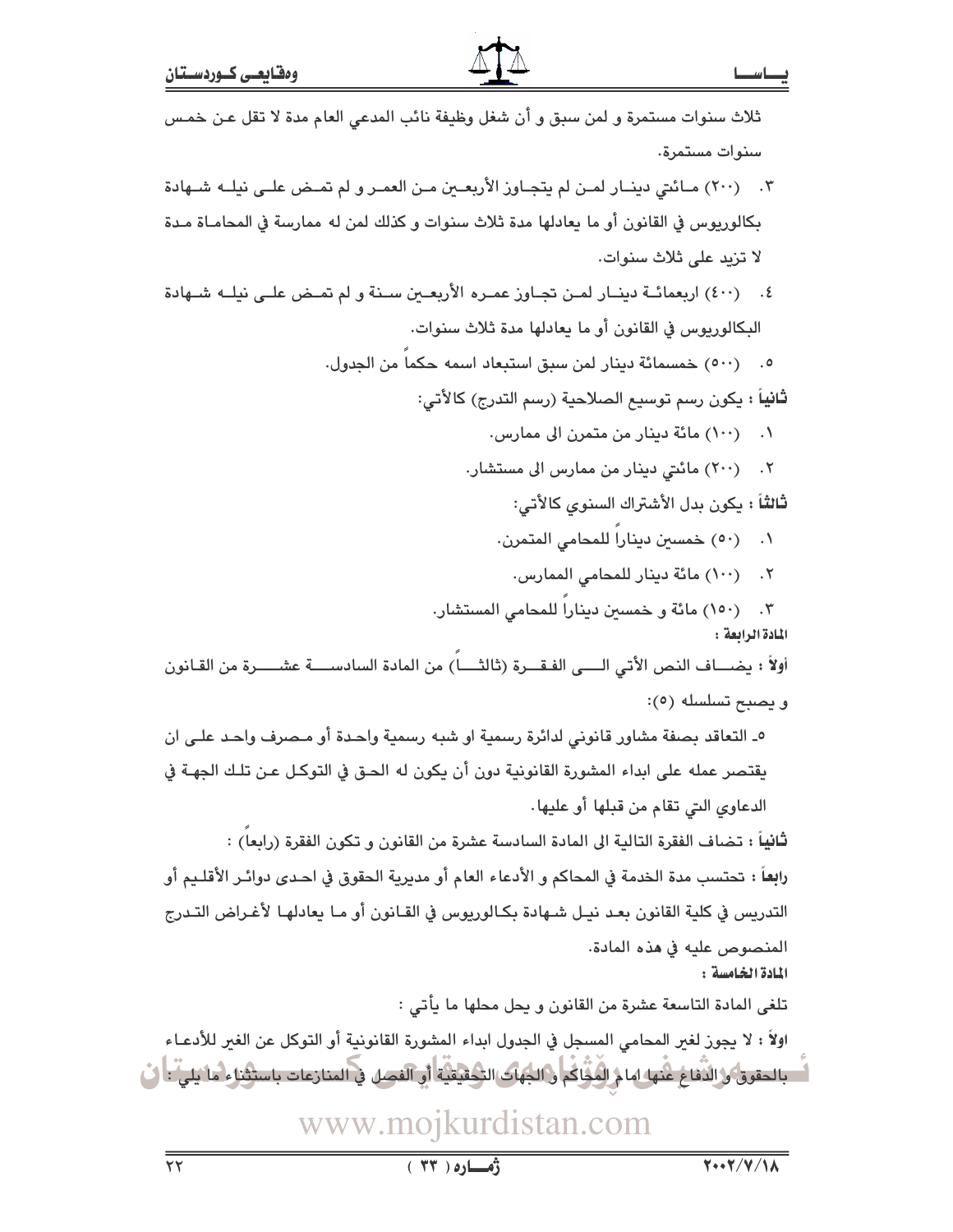| ثلاث سنوات مستمرة و لمن سبق و أن شغل وظيفة نائب المدعي العام مدة لا تقل عـن خمـس                                          |
|---------------------------------------------------------------------------------------------------------------------------|
| سنوات مستمرة.                                                                                                             |
| ۰۳       (۲۰۰) مـائتي دينــار لمـن لم يتجـاوز الأربعــين مـن العمـر و لم تمـض علـى نيلــه شــهادة                         |
| بكالوريوس في القانون أو ما يعادلها مدة ثلاث سنوات و كذلك لمن له ممارسة في المحامـاة مـدة                                  |
| لا تزيد على ثلاث سنوات.                                                                                                   |
| ٤٠ - (٤٠٠) اربعمائــة دينــار لمــن تجــاوز عمـره الأربعــين ســنة و لم تمــض علــى نيلــه شــهادة                        |
| البكالوريوس في القانون أو ما يعادلها مدة ثلاث سنوات.                                                                      |
| ٥. (٥٠٠) خمسمائة دينار لمن سبق استبعاد اسمه حكماً من الجدول.                                                              |
| <b>ثانياً :</b> يكون رسم توسيع الصلاحية (رسم التدرج) كالأتي:                                                              |
| ۰۱ (۱۰۰) مائة دينار من متمرن الى ممارس.                                                                                   |
| (۲۰۰) مائتی دینار من ممارس الی مستشار.<br>$\cdot$ $\cdot$ $\cdot$                                                         |
| ثالثاً : يكون بدل الأشتراك السنوي كالأتى:                                                                                 |
| (٥٠) خمسين ديناراً للمحامي المتمرن.<br>$\cdot$                                                                            |
| ٢. (١٠٠) مائة دينار للمحامي الممارس.                                                                                      |
| ٣.     (١٥٠) مائة و خمسين ديناراً للمحامي المستشار.                                                                       |
| المادة الرابعة :<br>أولاً : يضـــاف النص الأتي الــــى الفـقـــرة (ثالثــــا) من المادة السادســــة عشـــــرة من القـانون |
| و يصبح تسلسله (٥):                                                                                                        |
| ٥_ التعاقد بصفة مشاور قانوني لدائرة رسمية او شبه رسمية واحدة أو مـصرف واحـد علـى ان                                       |
| يقتصر عمله على ابداء المشورة القانونية دون أن يكون له الحـق في التوكـل عـن تلـك الجهـة في                                 |
| الدعاوي التي تقام من قبلها أو عليها.                                                                                      |
| <b>ثانياً :</b> تضاف الفقرة التالية الى المادة السادسة عشرة من القانون و تكون الفقرة (رابعا) :                            |
| را <b>به</b> اً : تحتسب مدة الخدمة في المحاكم و الأدعاء العام أو مديرية الحقوق في احـدى دوائـر الأقلـيم أو                |
| التدريس في كلية القانون بعد نيـل شـهادة بكـالوريوس في القـانون أو مـا يعادلهـا لأغـراض التـدرج                            |
| المنصوص عليه في هذه المادة.                                                                                               |
| المادة الخامسة:                                                                                                           |
| تلغى المادة التاسعة عشرة من القانون و يحل محلها ما يأتى :                                                                 |
| اولاً : لا يجوز لغير المحامي المسجل في الجدول ابداء المشورة القانونية أو التوكل عن الغير للأدعـاء                         |
| بالحقوق و الذَّفاع غُنها امام المُثْلُكُم و الجهاك التَّحقيقيَّة أو الفصل في المنازعات باستثناء ما يليُّ : ﴿ ل            |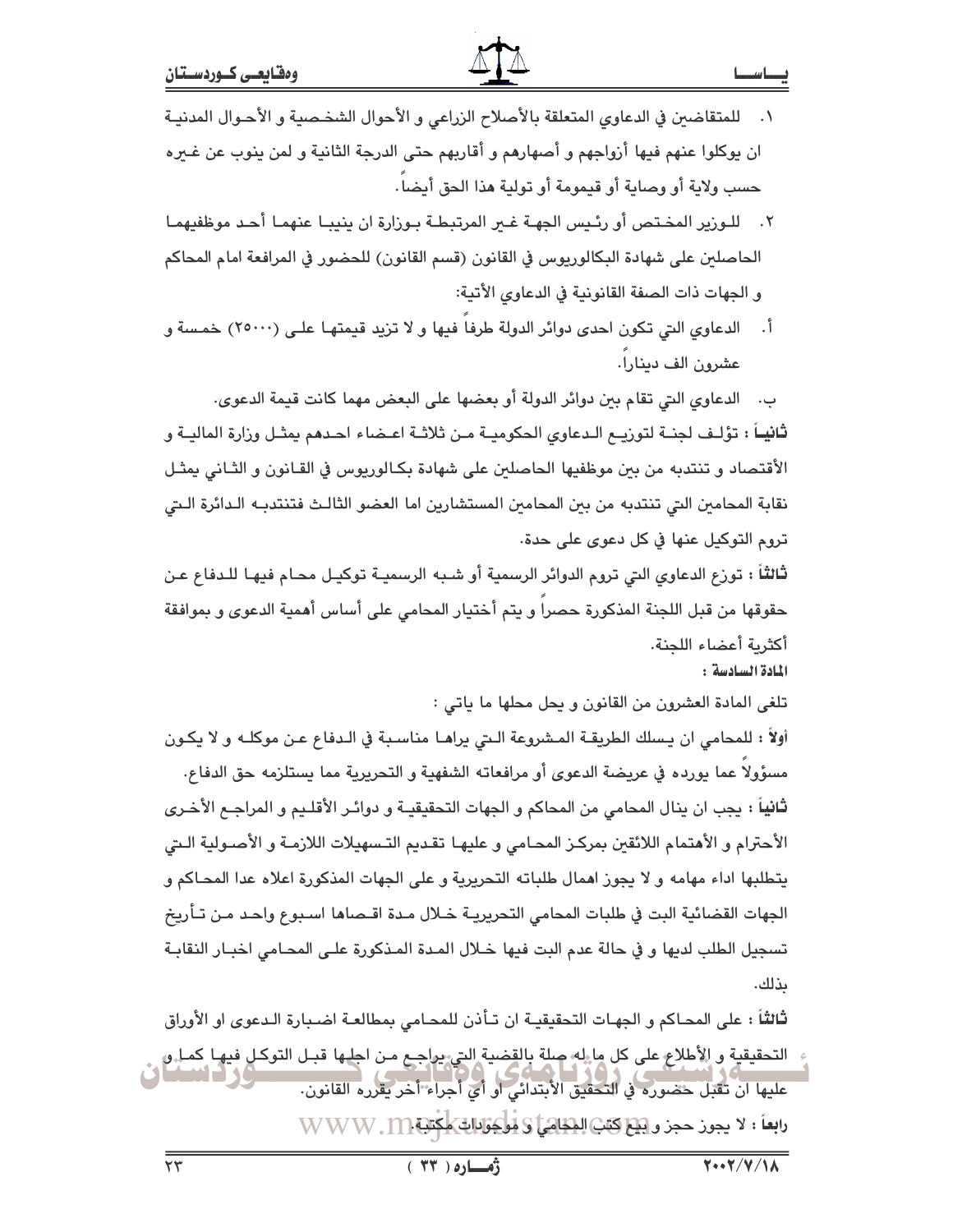| ' .     للمتقاضين في الدعاوي المتعلقة بالأصلاح الزراعي و الأحوال الشخـصية و الأحـوال المدنيــi |  |
|------------------------------------------------------------------------------------------------|--|
| ان يوكلوا عنهم فيها أزواجهم و أصهارهم و أقاربهم حتى الدرجة الثانية و لمن ينوب عن غـيره         |  |
| حسب ولاية أو وصاية أو قيمومة أو تولية هذا الحق أيضاً .                                         |  |

- ٢. للـورير المخـتص أو رئـيس الجهـة غـبر المرتبطـة بـورارة ان ينيبـا عنهمـا أحـد موظفيهمـا الحاصلين على شهادة البكالوريوس في القانون (قسم القانون) للحضور في المرافعة امام المحاكم و الجهات ذات الصفة القانونية في الدعاوى الأتية:
- أ. الدعاوى التي تكون احدى دوائر الدولة طرفا فيها و لا تزيد قيمتهـا علـي (٢٥٠٠٠) خمسة و عشرون الف دينارا.

ب. الدعاوى التي تقام بين دوائر الدولة أو بعضها على البعض مهما كانت قيمة الدعوى. **ثانيــاً :** تؤلـف لـجنــة لتوريــع الـدعاوى الحكوميــة مـن ثلاثــة اعــضاء احــدهم يمثــل ورارة الماليــة و الأقتصاد و تنتدبه من بين موظفيها الحاصلين على شهادة بكـالوريوس في القـانون و الثـاني يمثـل نقابة المحامين التي تنتدبه من بين المحامين المستشارين اما العضو الثالث فتنتدبـه الـدائرة الـتي تروم التوكيل عنها في كل دعوى على حدة.

ثَّالثَّاً : تورْع الدعاوى التي تروم الدوائر الرسمية أو شـبه الرسميـة توكيـل محـام فيهـا للـدفاع عـن حقوقها من قبل اللجنة المذكورة حصرا و يتم أختيار المحامى على أساس أهمية الدعوى و بموافقة أكثرية أعضاء اللحنة.

المادة السادسة:

تلغي المادة العشرون من القانون و يحل محلها ما ياتي :

أولاً : للمحامي ان يسلك الطريقـة المـشروعة الـتي يراهـا مناسـبة في الـدفاع عـن موكلـه و لا يكـون مسؤولا عما يورده في عريضة الدعوى أو مرافعاته الشفهية و التحريرية مما يستلزمه حق الدفاع. ثانياً : يجب ان ينال المحامي من المحاكم و الجهات التحقيقيـة و دوائـر الأقلـيم و المراجـم الأخـري الأحترام و الأهتمام اللائقين بمركـز المحـامي و عليهـا تقـديم التـسهيلات اللازمـة و الأصـولية الـتي يتطلبها اداء مهامه و لا يجوز اهمال طلباته التحريرية و على الجهات المذكورة اعلاه عدا المحـاكم و الجهات القضائية البت في طلبات المحامي التحريريـة خـلال مـدة اقـصاها اسـبوع واحـد مـن تـأريخ تسجيل الطلب لديها و في حالة عدم البت فيها خـلال المـدة المـذكورة علـي المحـامي اخبـار النقابـة ىذلك.

ثالثاً : على المحـاكم و الجهـات التحقيقيـة ان تـأذن للمحـامي بمطالعـة اضـبـارة الـدعوى او الأوراق التحقيقية و الأطلاع على كل ما إله صلة بالقضية التي يواجع مـن اجلـها قبـل التوكـل فيهـا كمـل و عليها انْ تَقْبَلَ حَصْورَه فِي التَّحَقِيقِ الْأَبْتَدَائِي أَو أَيْ أَجْرَاءَ أَخَرَ بِقَرْرِهِ القانون. رابعاً : لا يجوز حجز و يَبْتِرْ كَتَبْ الْمَطَاهِيِّ وَ يُوْجِئَ اللهِ مِخْتَبَةِ WWW. M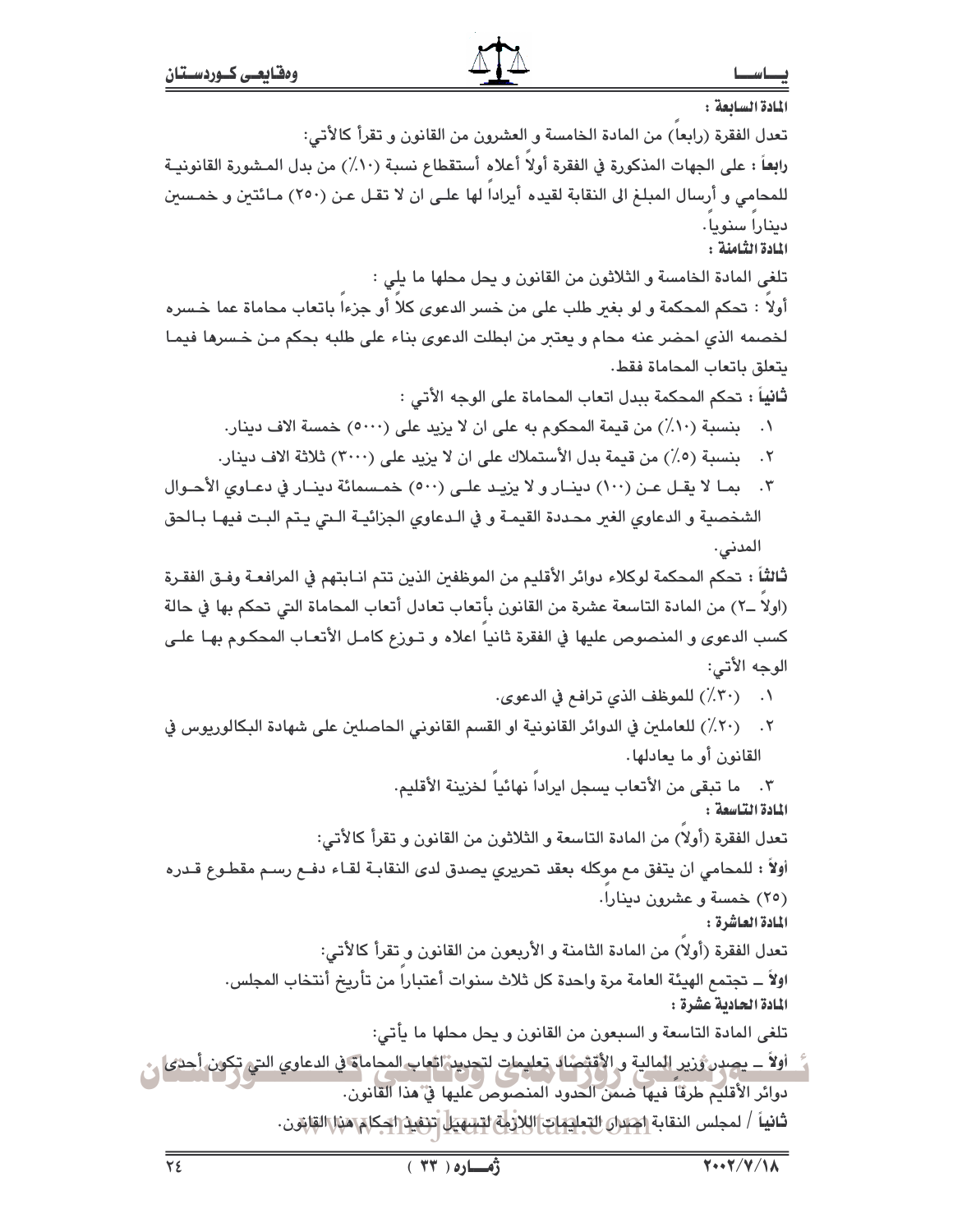المادة السائعة: تعدل الفقرة (رابعا) من المادة الخامسة و العشرون من القانون و تقرأ كالأتى: رابِعاً : على الجهات المذكورة في الفقرة أولاً أعلاه أستقطاع نسبة (١٠٪) من بدل المشورة القانونيـة للمحامي و أرسال المبلغ الى النقابة لقيده أيرادا لها علـى ان لا تقـل عـن (٢٥٠) مـائتين و خمـسين دينارا سنويا. المادة الثامنة : تلغي المادة الخامسة و الثلاثون من القانون و يحل محلها ما يلي : أولا : تحكم المحكمة و لو بغير طلب على من خسر الدعوى كلا أو جزءا باتعاب محاماة عما خسره لخصمه الذي احضر عنه محام و يعتبر من ابطلت الدعوى بناء على طلبه بحكم مـن خـسرها فيمـا يتعلق باتعاب المحاماة فقط. ثانياً : تحكم المحكمة ببدل اتعاب المحاماة على الوجه الأتى : ١. بنسبة (١٠٪) من قيمة المحكوم به على ان لا يزيد على (٥٠٠٠) خمسة الاف دينار. ٢. بنسبة (٥٪) من قيمة بدل الأستملاك على ان لا يزيد على (٣٠٠٠) ثلاثة الاف دينار. ٣. بما لا يقل عن (١٠٠) دينار و لا يزيد على (٥٠٠) خمسمائة دينار في دعاوى الأحـوال الشخصية و الدعاوي الغير محددة القيمـة و في الـدعاوي الجزائيـة الـتي يـتم البـت فيهـا بـالحق المدنى. ثالثاً : تحكم المحكمة لوكلاء دوائر الأقليم من الموظفين الذين تتم انـابتهم في المرافعـة وفـق الفقـرة (اولا ـ٢) من المادة التاسعة عشرة من القانون بأتعاب تعادل أتعاب المحاماة التي تحكم بها في حالة كسب الدعوى و المنصوص عليها في الفقرة ثانيا اعلاه و تـوزع كامـل الأتعـاب المحكـوم بهـا علـى الوجه الأتي: ٠١ (٣٠٪) للموظف الذي ترافع في الدعوى. ٢. (٢٠٪) للعاملين في الدوائر القانونية او القسم القانوني الحاصلين على شهادة البكالوريوس في القانون أو ما يعادلها. ٢. ما تبقى من الأتعاب يسجل ايراداً نهائياً لخزينة الأقليم. المادة التاسعة : تعدل الفقرة (أولا) من المادة التاسعة و الثلاثون من القانون و تقرأ كالأتي: أولاً : للمحامي ان يتفق مع موكله بعقد تحريري يصدق لدى النقابـة لقـاء دفـع رسـم مقطـوع قـدره (٢٥) خمسة و عشرون دينارا. المادة العاشرة : تعدل الفقرة (أولا) من المادة الثامنة و الأربعون من القانون و تقرأ كالأتي: اولاً ــ تجتمع الهيئة العامة مرة واحدة كل ثلاث سنوات أعتبارا من تأريخ أنتخاب المجلس. المادة الحادية عشرة : تلغي المادة التاسعة و السبعون من القانون و يحل محلها ما يأتي: <u>أولاً – يصدر ثرير المالية و الأقتصاد تعليمات لتحديد اثعاب المحاماة في الدعاوي التي تكون أحدى . .</u> دوائر الأقليم طرقًا فيها ضمنَ الحدود المنصوص عليها في هذا القانون. ثانياً / لمجلس النقابة احتران التعايمات اللازمة لتسهيل تتنفيذ احكام هنا القانون.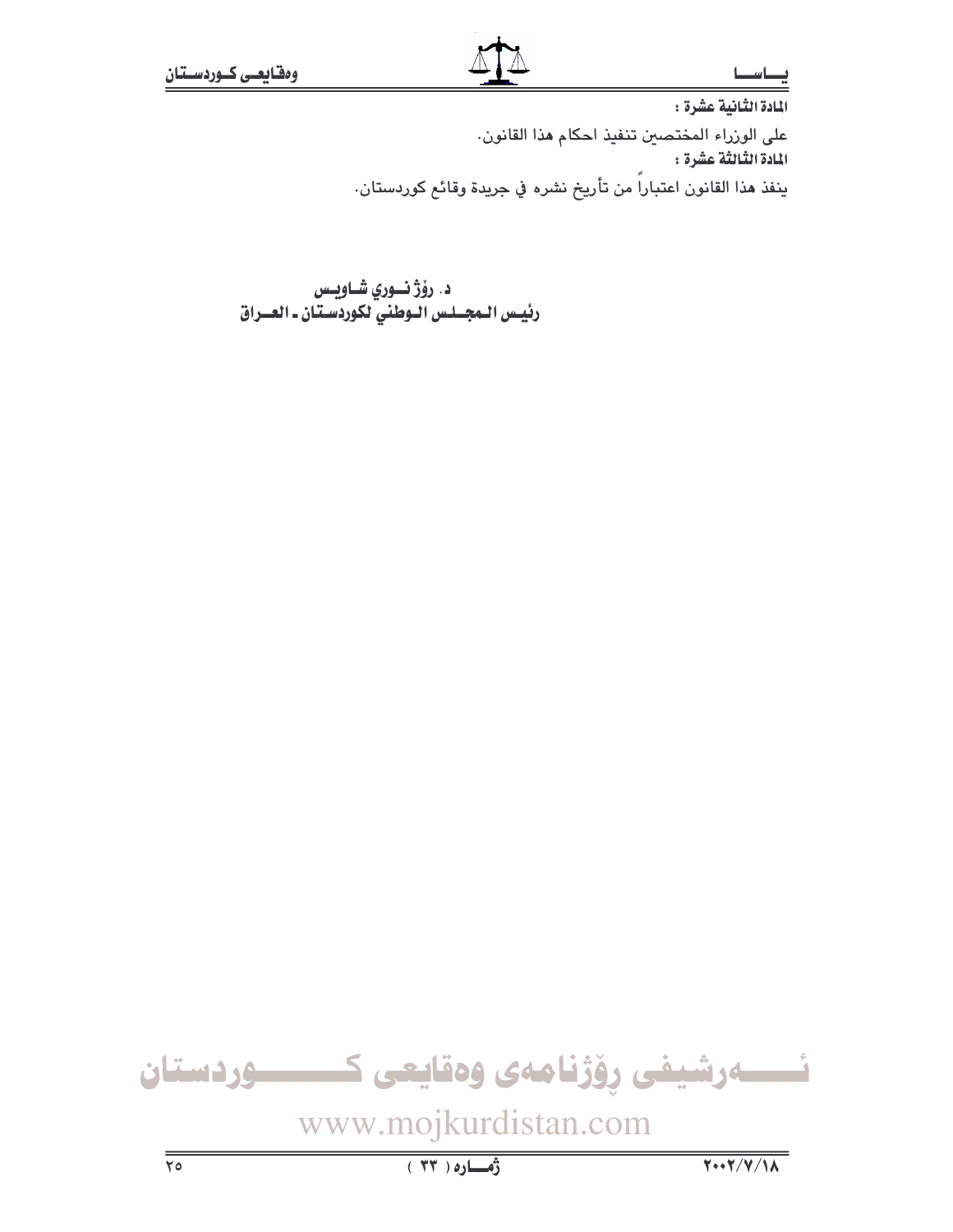المادة الثانية عشرة : على الوزراء المختصين تنفيذ احكام هذا القانون. المادة الثنالثة عشرة : ينفذ هذا القانون اعتباراً من تأريخ نشره في جريدة وقائع كوردستان.

د. رۆژ نوري شاويس رئيس الـمجــلـس الــوطني لكوردسـتـان ـ العـــراق

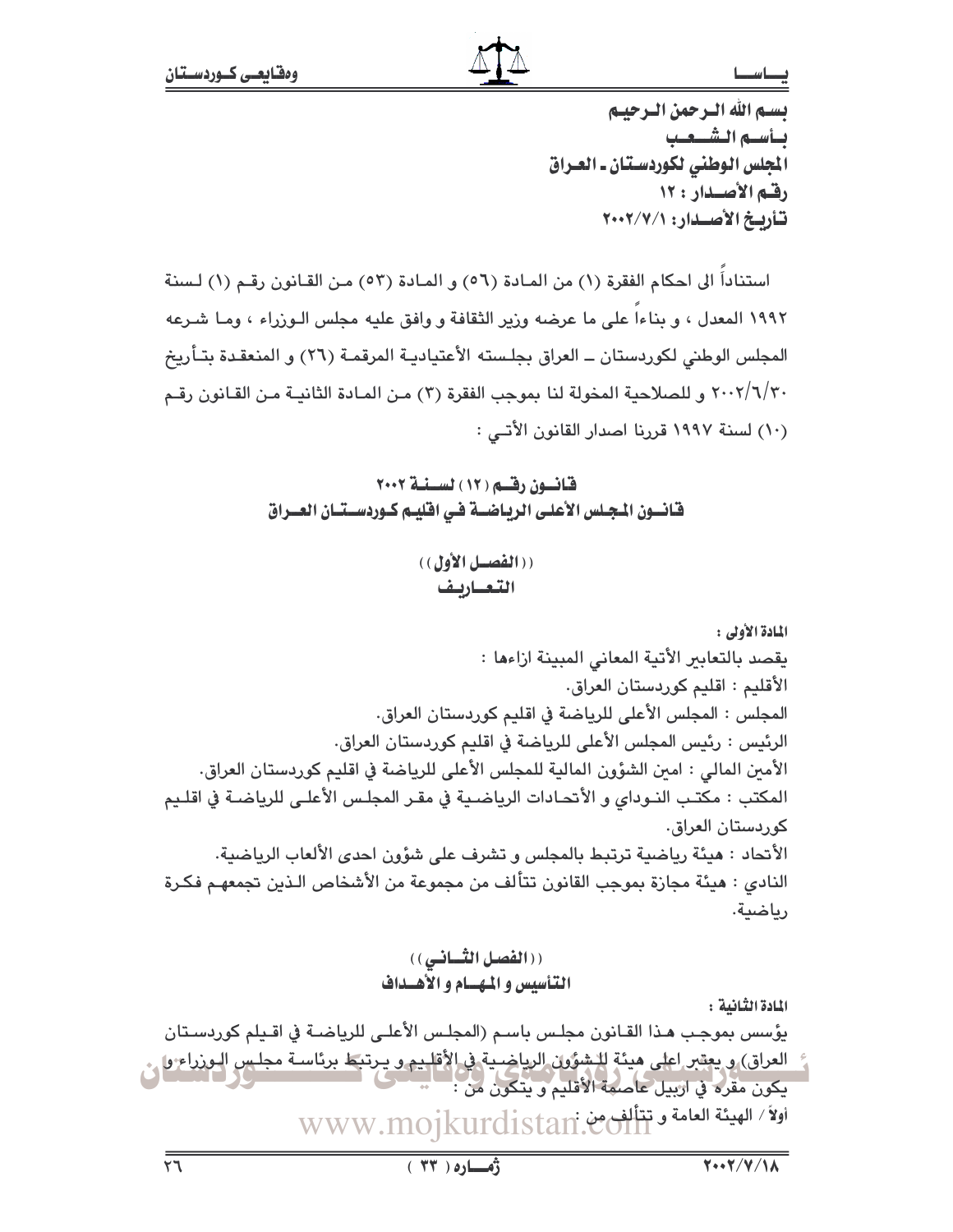### صاسط

تستم الله الترجمن الترجيبم تسأسته التشبعب الجلس الوطني لكوردستان ـ العـراق رقم الأصدار : ١٢ تأريخ الأصدار: ٢٠٠٢/٧/١

استناداً الى احكام الفقرة (١) من المادة (٥٦) و المادة (٥٣) من القانون رقم (١) لسنة ١٩٩٢ المعدل ، و بناءا على ما عرضه وزير الثقافة و وافق عليه مجلس الـوزراء ، ومـا شـرعه المجلس الوطني لكوردستان ــ العراق بجلـسته الأعتياديـة المرقمـة (٢٦) و المنعقـدة بتـأريخ ٢٠٠٢/٦/٣٠ و للصلاحية المخولة لنا بموجب الفقرة (٢) من المـادة الثانيـة مـن القـانون رقـم (١٠) لسنة ١٩٩٧ قررنا اصدار القانون الأتبي :

> قانسون رقسم ( ١٢ ) لسسنسة ٢٠٠٢ فانسون المجلس الأعلى الرياضـة فـى اقليـم كـوردسـتـان العــراق

> > ((الفصيل الأول)) التعاربف

المادة الأولى : يقصد بالتعابير الأتية المعاني المبينة ازاءها : الأقليم : اقليم كوردستان العراق. المجلس : المجلس الأعلى للرياضة في اقليم كوردستان العراق. الرئيس : رئيس المجلس الأعلى للرياضة في اقليم كوردستان العراق. الأمين المالي : امين الشؤون المالية للمجلس الأعلى للرياضة في اقليم كوردستان العراق. المكتب : مكتب النـوداي و الأتحـادات الرياضـية في مقـر المجلـس الأعلـي للرياضـة في اقلـيم كوردستان العراق. الأنحاد : هيئة رياضية ترتبط بالمجلس و تشرف على شؤون احدى الألعاب الرياضية. النادي : هيئة مجازة بموجب القانون تتألف من مجموعة من الأشخاص الـذين تجمعهـم فكـرة رياضية.

> ((الفصل الثساني)) التأسيس و المهسام و الأهسداف

المادة الثّانية :

يؤسس بموجب هـذا القـانون مجلـس باسـم (المجلـس الأعلـى للرياضـة في اقـيلم كوردسـتان .<br>العراق) و يعقبر اعلى هيئة للشؤون الرياضية في الأقليم و يرتبط برئاسة مجلس البوزراء وا ي يكون مقرد في اربيل عاصمة الأقليم ويتكون من : اولاً / الهيئة العامة وتتألفى من WWW.mojkurdistan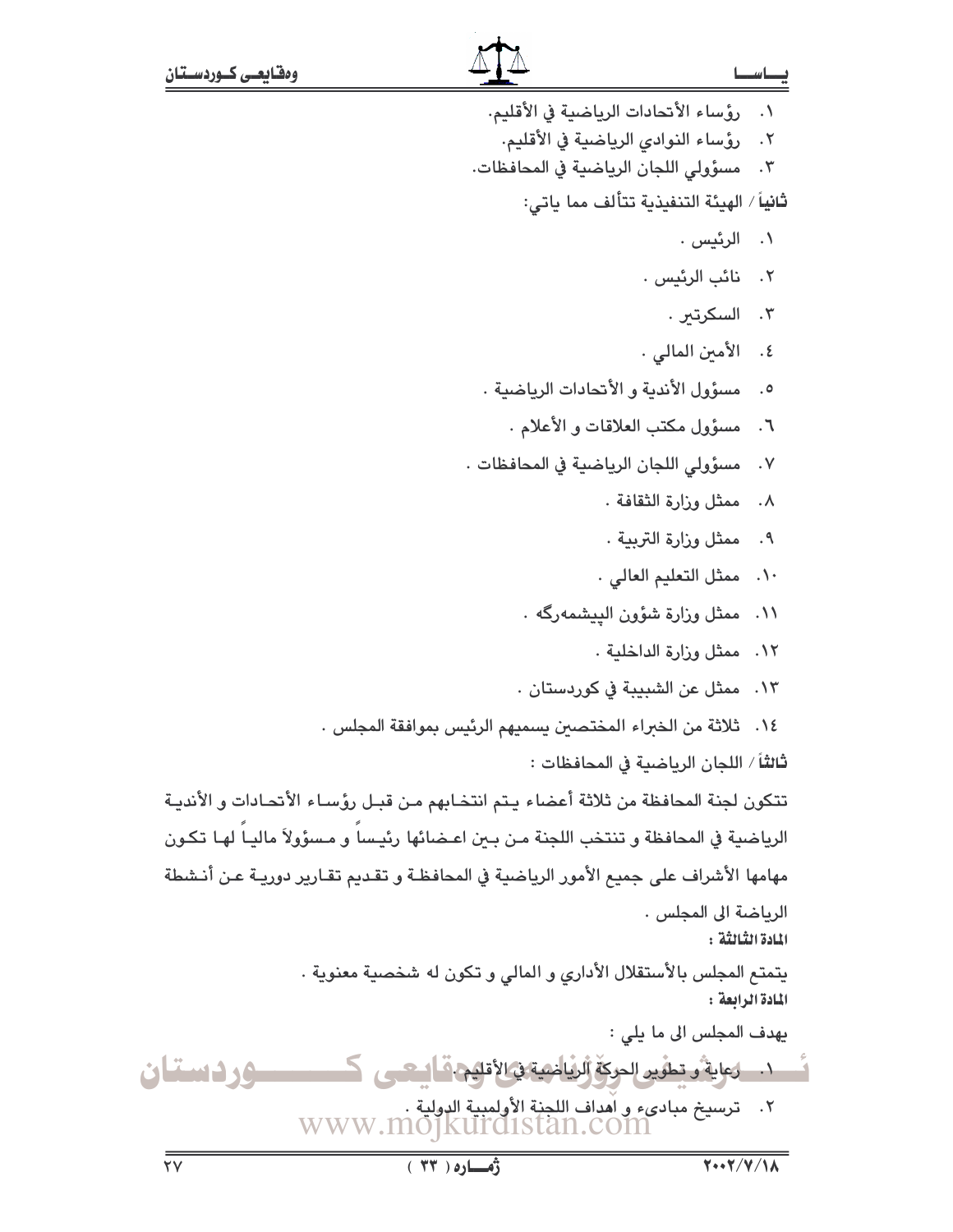١. رؤساء الأتحادات الرياضية في الأقليم. رؤساء النوادي الرياضية في الأقليم.  $.7$ مسؤولي اللجان الرياضية في المحافظات.  $\cdot$   $\mathsf{r}$ ثانياً / الهيئة التنفيذية تتألف مما ياتي: ۰۱ الرئیس . ٢. نائب الرئيس . ۰۳. السکرتىر . ٤. الأمين المالي . ٥. مسؤول الأندية والأتحادات الرياضية . ٦. مسؤول مكتب العلاقات والأعلام . مسؤولى اللجان الرياضية في المحافظات .  $\cdot$  .  $\vee$ ٨. ممثل وزارة الثقافة . ٩. ممثل وزارة التربية . ١٠. ممثل التعليم العالي . ١١. ممثل وزارة شؤون الييشمهرگه . ١٢. ممثل وزارة الداخلية . ١٣. ممثل عن الشبيبة في كوردستان . ١٤. ثلاثة من الخبراء المختصين يسميهم الرئيس بموافقة المجلس . ثالثاً / اللجان الرياضية في المحافظات : تتكون لجنة المحافظة من ثلاثة أعضاء يتم انتخابهم من قبل رؤساء الأتحادات و الأندية الرياضية في المحافظة و تنتخب اللجنة مـن بـعن اعـضائها رئيـسا و مـسؤولاً ماليـا لهـا تكـون مهامها الأشراف على جميع الأمور الرياضية في المحافظـة و تقـديم تقـارير دوريـة عـن أنـشطة الرياضة الى المجلس . المادة الثَّبالثَّة : يتمتع المجلس بالأستقلال الأداري و المالي و تكون له شخصية معنوية . المادة الرابعة : يهدف المجلس الى ما يلي : . ١. وعاية و تطوير الحركة الرياضية في الأقليم. قال تحيى وردستان ٢. ترسيخ مبادىء و أهداف اللجنة الأولمبية الدولية .<br>WWW.MOJKUI'CLISTan.COM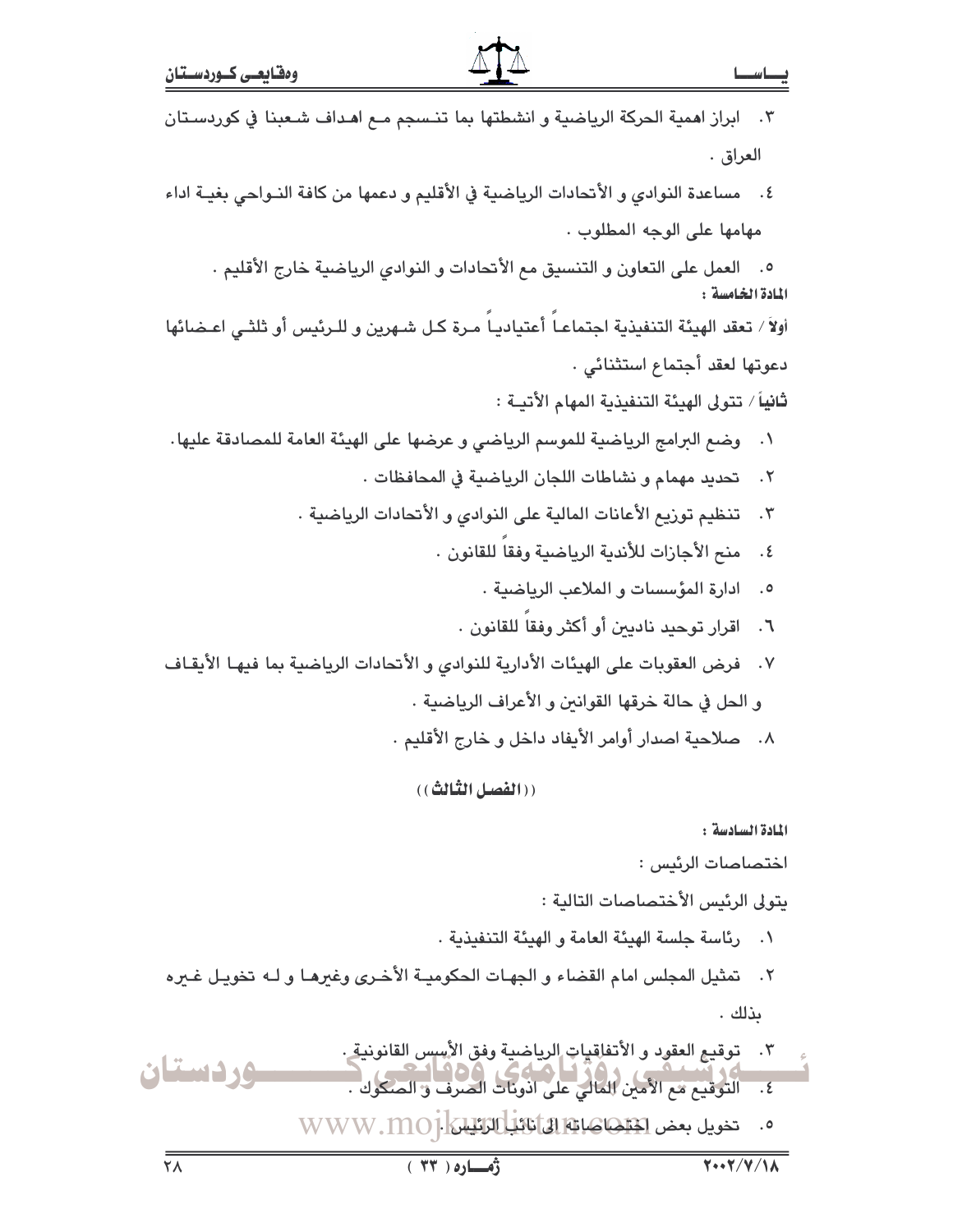|        | رهاره ( ٣٣ )<br>$Y \cdot Y / V / V \wedge$                                                                                      |                      |
|--------|---------------------------------------------------------------------------------------------------------------------------------|----------------------|
|        | 0. تخويل بعض الخلاها هابا الماتانيا الكليليا [www.moj                                                                           |                      |
| ردستان | .<br>٤.     التوقيع مع الأمين المالي على اذونات الصرف و الصكوك .<br>٤.     التوقيع مع الأمين المالي على اذونات الصرف و الصكوك . |                      |
|        | توقيع العقود و الأتفاقيات الرياضية وفق الأسس القانونية .                                                                        |                      |
|        | ىذلك .                                                                                                                          |                      |
|        | ٢.   تمثيل المجلس امام القضاء و الجهـات الحكوميـة الأخـرى وغيرهـا و لـه تخويـل غـيره                                            |                      |
|        | رئاسة جلسة الهيئة العامة و الهيئة التنفيذية .                                                                                   | $\cdot$              |
|        | يتولى الرئيس الأختصاصات التالية :                                                                                               |                      |
|        | اختصاصات الرئيس :                                                                                                               |                      |
|        | المادة السادسة :                                                                                                                |                      |
|        | ((الفصل الثّالث))                                                                                                               |                      |
|        | ٨.    صلاحية اصدار أوامر الأيفاد داخل و خارج الأقليم .                                                                          |                      |
|        | و الحل في حالة خرقها القوانين و الأعراف الرياضية .                                                                              |                      |
|        | فرض العقوبات على الهيئات الأدارية للنوادي و الأتحادات الرياضية بما فيهـا الأيقـاف                                               | $\cdot$ . $\vee$     |
|        | اقرار توحيد ناديين أو أكثر وفقا للقانون .                                                                                       | $\mathcal{F}$ .      |
|        | ادارة المؤسسات و الملاعب الرياضية .                                                                                             | $\cdot$ .0           |
|        | منح الأجازات للأندية الرياضية وفقا للقانون .                                                                                    | $\cdot$ {            |
|        | ٢.    تنظيم توريع الأعانات المالية على النوادي و الأتحادات الرياضية .                                                           |                      |
|        | تحديد مهمام و نشاطات اللجان الرياضية في المحافظات .                                                                             | $\cdot$ $\mathsf{r}$ |
|        | وضع البرامج الرياضية للموسم الرياضي و عرضها على الهيئة العامة للمصادقة عليها.                                                   | $\cdot$              |
|        | ثانياً / تتولى الهيئة التنفيذية المهام الأتيـة :                                                                                |                      |
|        | دعوتها لعقد أجتماع استثنائي .                                                                                                   |                      |
|        | أولاً / تعقد الهيئة التنفيذية اجتماعـاً أعتياديـاً مـرة كـل شـهرين و للـرئيس أو ثلثـى اعـضائها                                  |                      |
|        | ٥.    العمل على التعاون و التنسيق مع الأتحادات و النوادي الرياضية خارج الأقليم .<br>المادة الخامسة :                            |                      |
|        | مهامها على الوجه المطلوب .                                                                                                      |                      |
|        | ٤.    مساعدة النوادي و الأنحادات الرياضية في الأقليم و دعمها من كافة النـواحي بغيــة اداء                                       |                      |
|        |                                                                                                                                 |                      |
|        | العراق .                                                                                                                        |                      |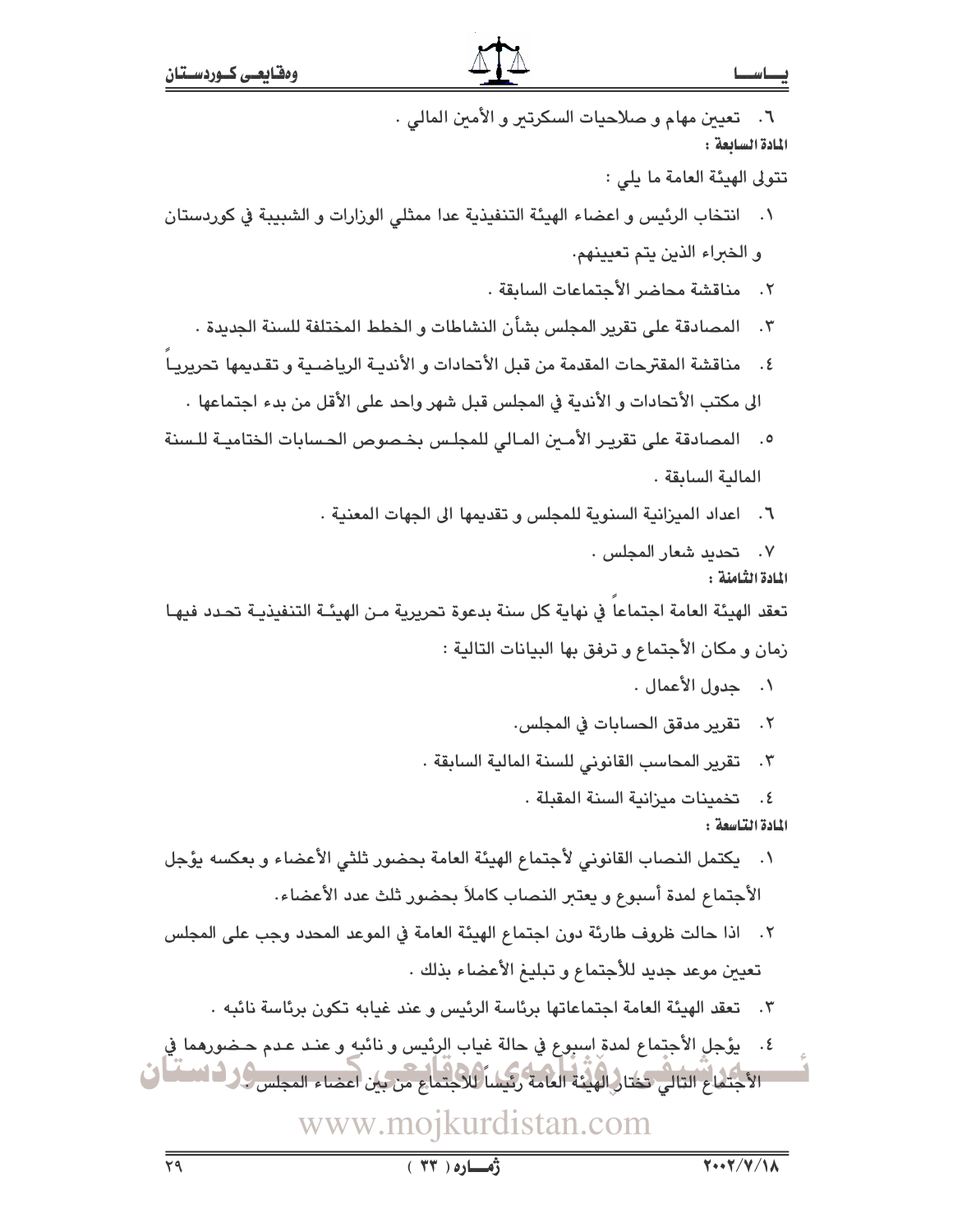| ٦.    تعيين مهام و صلاحيات السكرتير و الأمين المالي .                                                                                                        |
|--------------------------------------------------------------------------------------------------------------------------------------------------------------|
| المادة السابعة:<br>تتولى الهيئة العامة ما يلي :                                                                                                              |
| ٠١    انتخاب الرئيس و اعضاء الهيئة التنفيذية عدا ممثلي الوزارات و الشبيبة في كوردستان                                                                        |
| و الخبراء الذين يتم تعيينهم.                                                                                                                                 |
| ٢. مناقشة محاضر الأجتماعات السابقة .                                                                                                                         |
| ٢.    المصادقة على تقرير المجلس بشأن النشاطات و الخطط المختلفة للسنة الجديدة ٠                                                                               |
| ٤. مناقشة المقترحات المقدمة من قبل الأتحادات و الأنديـة الرياضـية و تقديمها تحريريـا                                                                         |
| الى مكتب الأنحادات و الأندية في المجلس قبل شهر واحد على الأقل من بدء اجتماعها .                                                                              |
| المصادقة على تقرير الأمـين المـالي للمجلـس بخـصوص الحـسابات الختاميـة للـسنة<br>$\cdot$ .0                                                                   |
| المالية السابقة .                                                                                                                                            |
|                                                                                                                                                              |
| ٦.   اعداد الميزانية السنوية للمجلس و تقديمها الى الجهات المعنية .                                                                                           |
| ۰۷ تحدید شعار المجلس ۰<br>المادة الثامنة :                                                                                                                   |
| تعقد الهيئة العامة اجتماعا في نهاية كل سنة بدعوة تحريرية مـن الهيئـة التنفيذيـة تحـدد فيهـا                                                                  |
| زمان و مكان الأجتماع و ترفق بها البيانات التالية :                                                                                                           |
| ٠. جدول الأعمال .                                                                                                                                            |
| ٢. تقرير مدقق الحسابات في المجلس.                                                                                                                            |
| ٣.    تقرير المحاسب القانوني للسنة المالية السابقة .                                                                                                         |
| ٤.     تخمينات ميزانية السنة المقبلة .                                                                                                                       |
| المادة التاسعة:                                                                                                                                              |
| ١.    يكتمل النصاب القانوني لأجتماع الهيئة العامة بحضور ثلثي الأعضاء و بعكسه يؤجل                                                                            |
| الأجتماع لمدة أسبوع و يعتبر النصاب كاملاً بحضور ثلث عدد الأعضاء.                                                                                             |
| اذا حالت ظروف طارئة دون اجتماع الهيئة العامة في الموعد المحدد وجب على المجلس<br>.7                                                                           |
| تعيين موعد جديد للأجتماع و تبليغ الأعضاء بذلك .                                                                                                              |
| ٣.    تعقد الهيئة العامة اجتماعاتها برئاسة الرئيس و عند غيابه تكون برئاسة نائبه .                                                                            |
| ٤.    يؤجل الأجتماع لمدة اسبوع في حالة غياب الرئيس و نائبه و عنـد عـدم حـضورهما في<br>الأجتماع التالي تختار الهيئة العامة رئيسا للاجتماع من بين أعضاء المجلس |
| www.mojkurdistan.com                                                                                                                                         |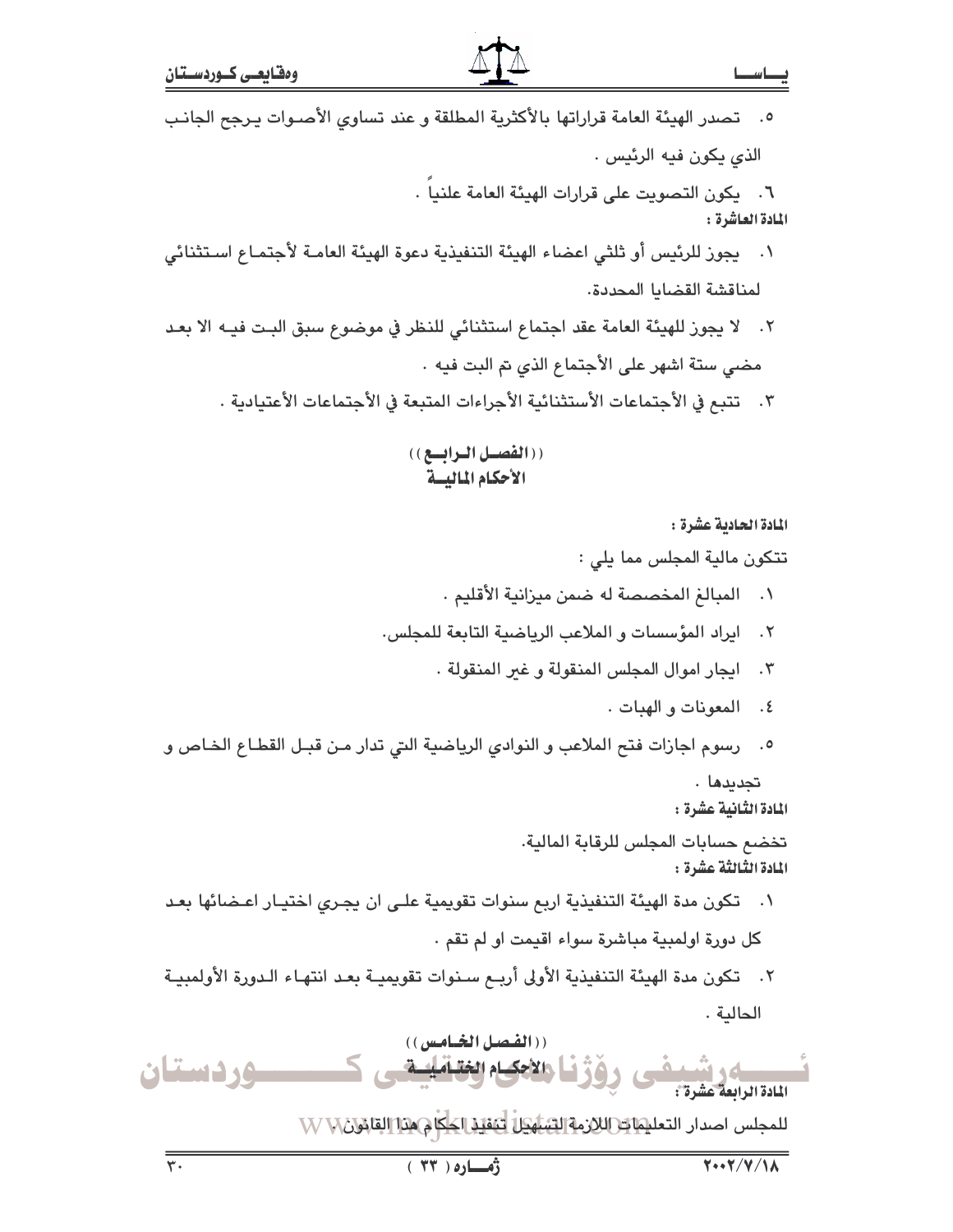| ٥.    تصدر الهيئة العامة قراراتها بالأكثرية المطلقة و عند تساوي الأصـوات يـرجح الجانـب                     |
|------------------------------------------------------------------------------------------------------------|
| الذي يكون فيه الرئيس .                                                                                     |
| ٦. يكون التصويت على قرارات الهيئة العامة علنيا .<br>المادة العاشرة :                                       |
| ١.    يجوز للرئيس أو ثلثي اعضاء الهيئة التنفيذية دعوة الهيئة العامـة لأجتمـاع اسـتثنائي                    |
| لمناقشة القضايا المحددة.                                                                                   |
| ٢.   لا يجوز للهيئة العامة عقد اجتماع استثنائي للنظر في موضوع سبق البت فيـه الا بعـد                       |
| مضى ستة اشهر على الأجتماع الذي تم البت فيه .                                                               |
| ٢.    تتبع في الأجتماعات الأستثنائية الأجراءات المتبعة في الأجتماعات الأعتيادية .                          |
| ((الفصيل البرابسع))<br>الأحكام الماليسة                                                                    |
| المادة الحادية عشرة :                                                                                      |
| تتكون مالية المجلس مما يلي :                                                                               |
| المبالغ المخصصة له ضمن ميزانية الأقليم .<br>$\cdot$                                                        |
| ايراد المؤسسات و الملاعب الرياضية التابعة للمجلس.<br>$\cdot$ ٢                                             |
| ايجار اموال المجلس المنقولة و غير المنقولة .<br>$\cdot$ $\mathsf{r}$                                       |
| المعونات و الهبات .<br>$\cdot$ ٤                                                                           |
| رسوم اجازات فتح الملاعب و النوادي الرياضية التي تدار مـن قبـل القطـاع الخـاص و<br>$\cdot$ 0                |
| تجديدها .<br>المادة الثَّانية عشرة :                                                                       |
| تخضم حسابات المجلس للرقابة المالية.<br>المادة الثّالثّة عشرة :                                             |
| ٠١     تكون مدة الهيئة التنفيذية اربع سنوات تقويمية علـى ان يجـري اختيـار اعـضائها بعـد                    |
| كل دورة اولمبية مباشرة سواء اقيمت او لم تقم .                                                              |
| ٢.   تكون مدة الهيئة التنفيذية الأولى أربـع سـنوات تقويميـة بعـد انتهـاء الـدورة الأولمبيـة                |
| الحالية .                                                                                                  |
| ((الفصل الخـامس))<br>وقاط والاجكام الخقـامليسة<br>را المسلم و المسلم .<br>المادة الرابعة عشرة :<br>وردستان |
| للمجلس اصدار التعليمات اللازمة الشنيكا لتنقيذ الحكام من القائلات W W                                       |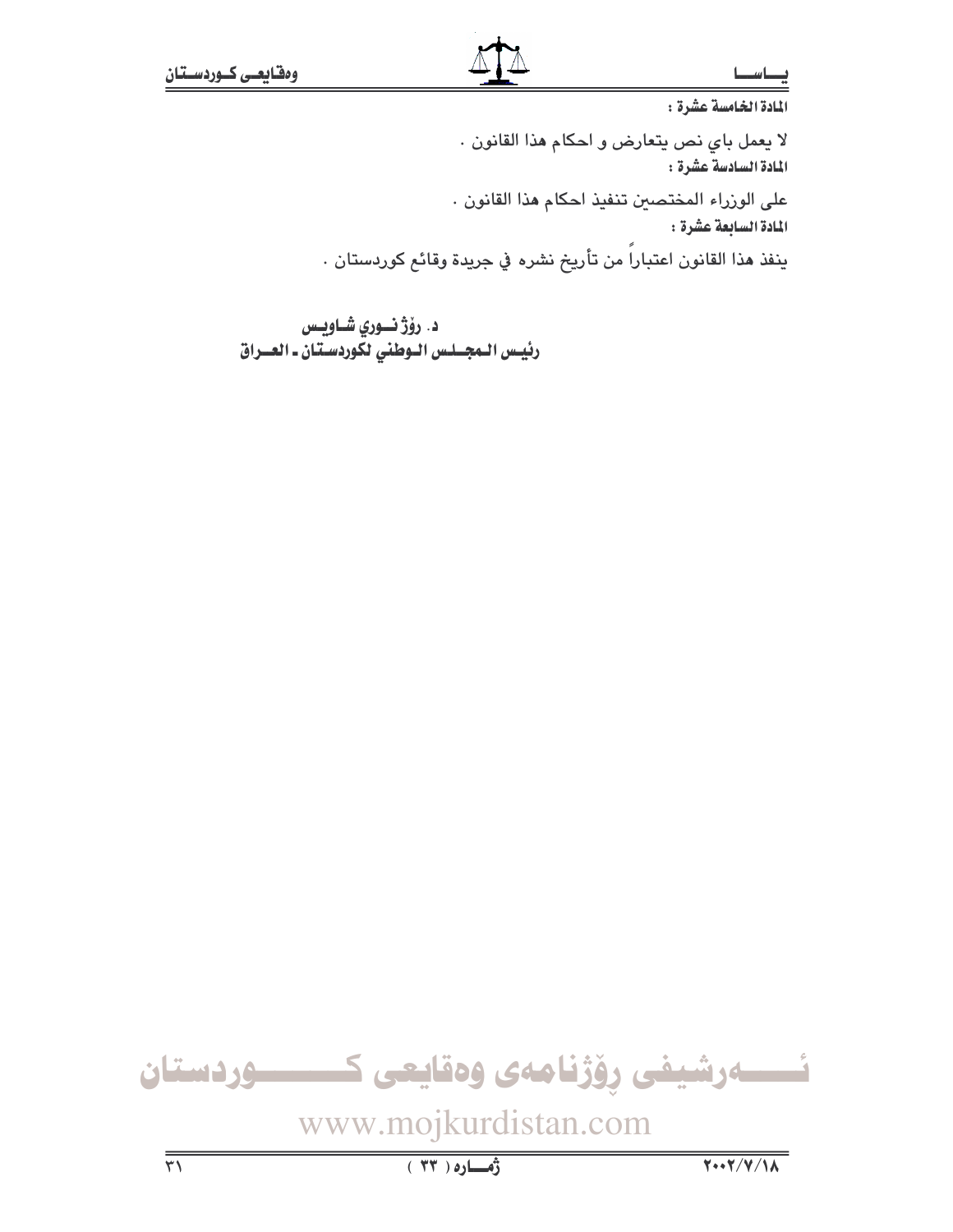المادة الخامسة عشرة : لا يعمل باي نص يتعارض و احكام هذا القانون . المادة السادسة عشرة : على الوزراء المختصين تنفيذ احكام هذا القانون . المادة السابعة عشرة : ينفذ هذا القانون اعتباراً من تأريخ نشره في جريدة وقائع كوردستان .

د. رۆژنــوري شــاويـس رئيس الـمجــلـس الـوطني لكوردســتان ـ العــراق

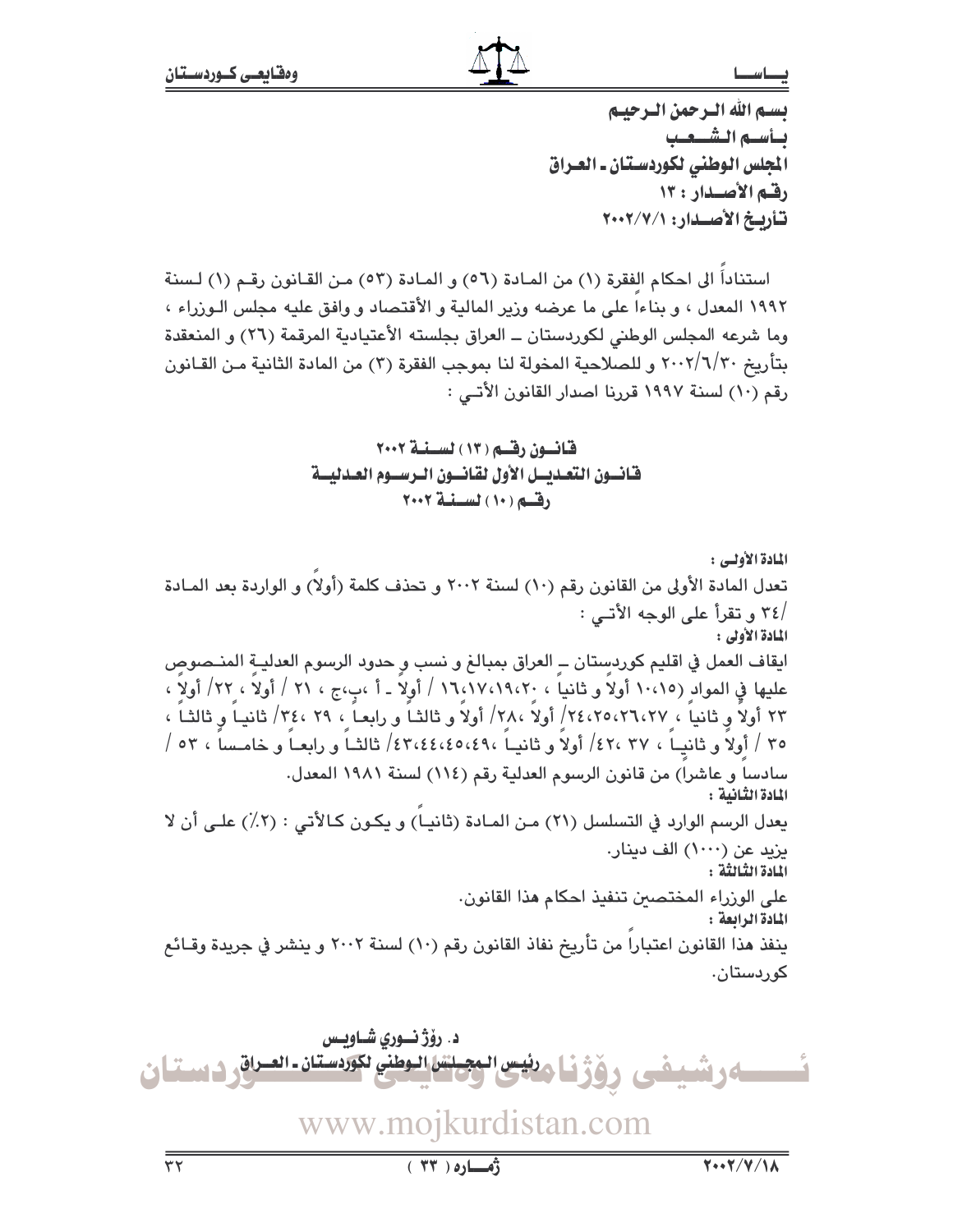يستم الله الترجمن الترجينم يسأسبه الشبعب الجلس الوطني لكوردستان ـ العراق رقم الأصدار: ١٣ تأريخ الأصدار: ٢٠٠٢/٧/١

استناداً الى احكام الفقرة (١) من المـادة (٥٦) و المـادة (٥٣) مـن القـانون رقـم (١) لـسنة ١٩٩٢ المعدل ، و بناءا على ما عرضه وزير المالية و الأقتصاد و وافق عليه مجلس الـوزراء ، وما شرعه المجلس الوطني لكوردستان ــ العراق بجلسته الأعتيادية المرقمة (٢٦) و المنعقدة بتأريخ ٢٠٠٢/٦/٣٠ و للصلاحية المخولة لنا بموجب الفقرة (٢) من المادة الثانية مـن القـانون رقم (١٠) لسنة ١٩٩٧ قررنا اصدار القانون الأتـي :

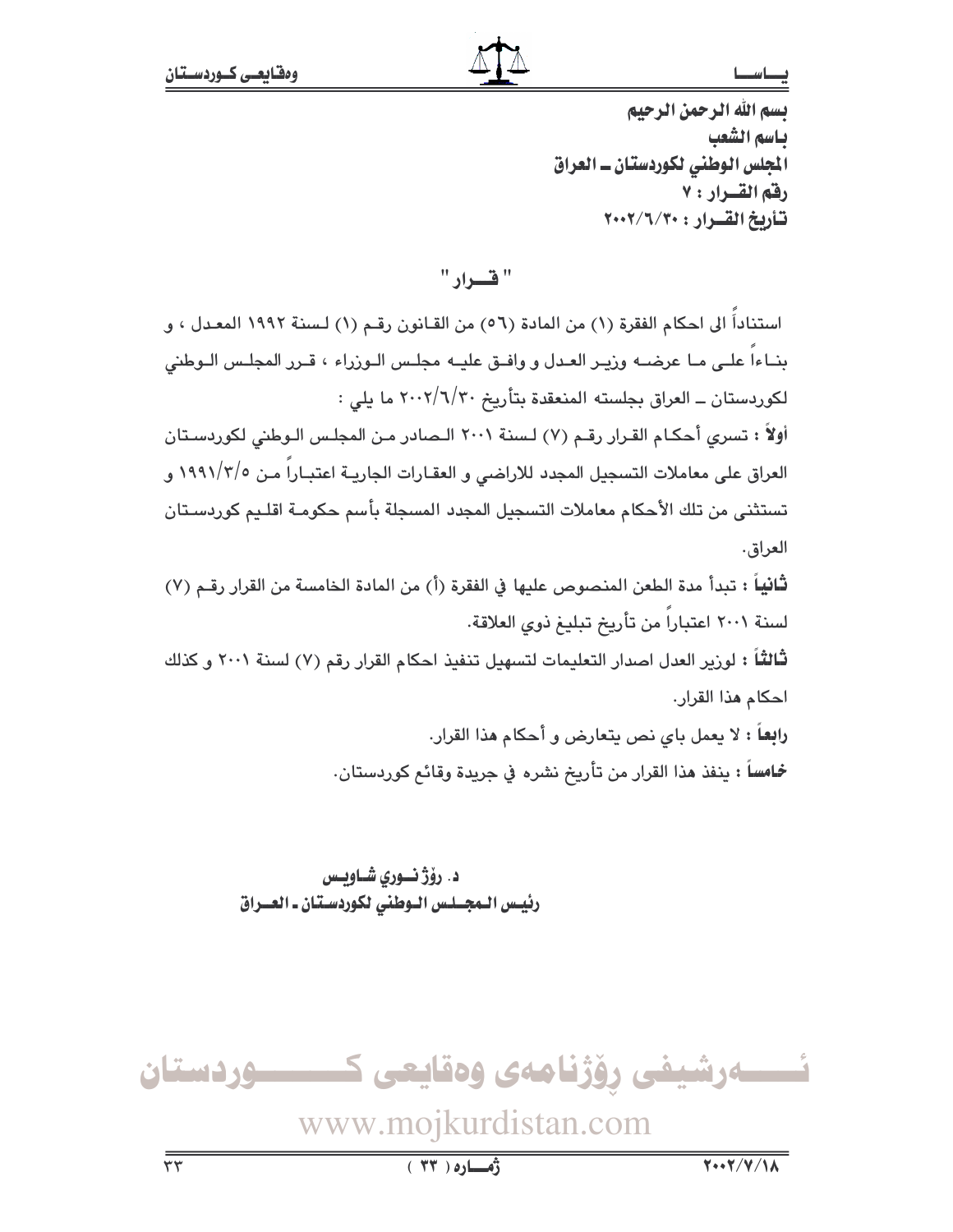بسم الله الرحمن الرحيم ياسم الشعب المجلس الوطني لكوردستان ـ العراق رفق القرار : ٧ تأريخ القرار : ٢٠٠٢/٦/٢٠٠٠

" فسداد "

استناداً الى احكام الفقرة (١) من المادة (٥٦) من القـانون رقـم (١) لـسنة ١٩٩٢ المعـدل ، و بنــاءا علــى مــا عرضــه وزيــر العـدل و وافــق عليــه مجلـس الـوزراء ، قــرر المجلـس الـوطنى لكوردستان ــ العراق بجلسته المنعقدة بتأريخ ٢٠٠٢/٦/٢٠ ما يلي : أولاً : تسرى أحكـام القـرار رقـم (٧) لـسنة ٢٠٠١ الـصادر مـن المجلـس الـوطني لكوردسـتان العراق على معاملات التسجيل المجدد للاراضي و العقـارات الجاريــة اعتبـاراً مـن ١٩٩١/٢/٥ و تستثنى من تلك الأحكام معاملات التسجيل المجدد المسجلة بأسم حكومـة اقلـيم كوردسـتان العراق. **ثَانياً :** تبدأ مدة الطعن المنصوص عليها في الفقرة (أ) من المادة الخامسة من القرار رقـم (٧) لسنة ٢٠٠١ اعتباراً من تأريخ تبليغ ذوى العلاقة. ثالثاً : لورير العدل اصدار التعليمات لتسهيل تنفيذ احكام القرار رقم (٧) لسنة ٢٠٠١ و كذلك احكام هذا القرار. **رابعاً :** لا يعمل باي نص يتعارض و أحكام هذا القرار. خمامساً : ينفذ هذا القرار من تأريخ نشره في جريدة وقائع كوردستان.

> د. رؤژ نسوری شــاویــس رئيس المجلس الوطني لكوردستان ـ العـراق

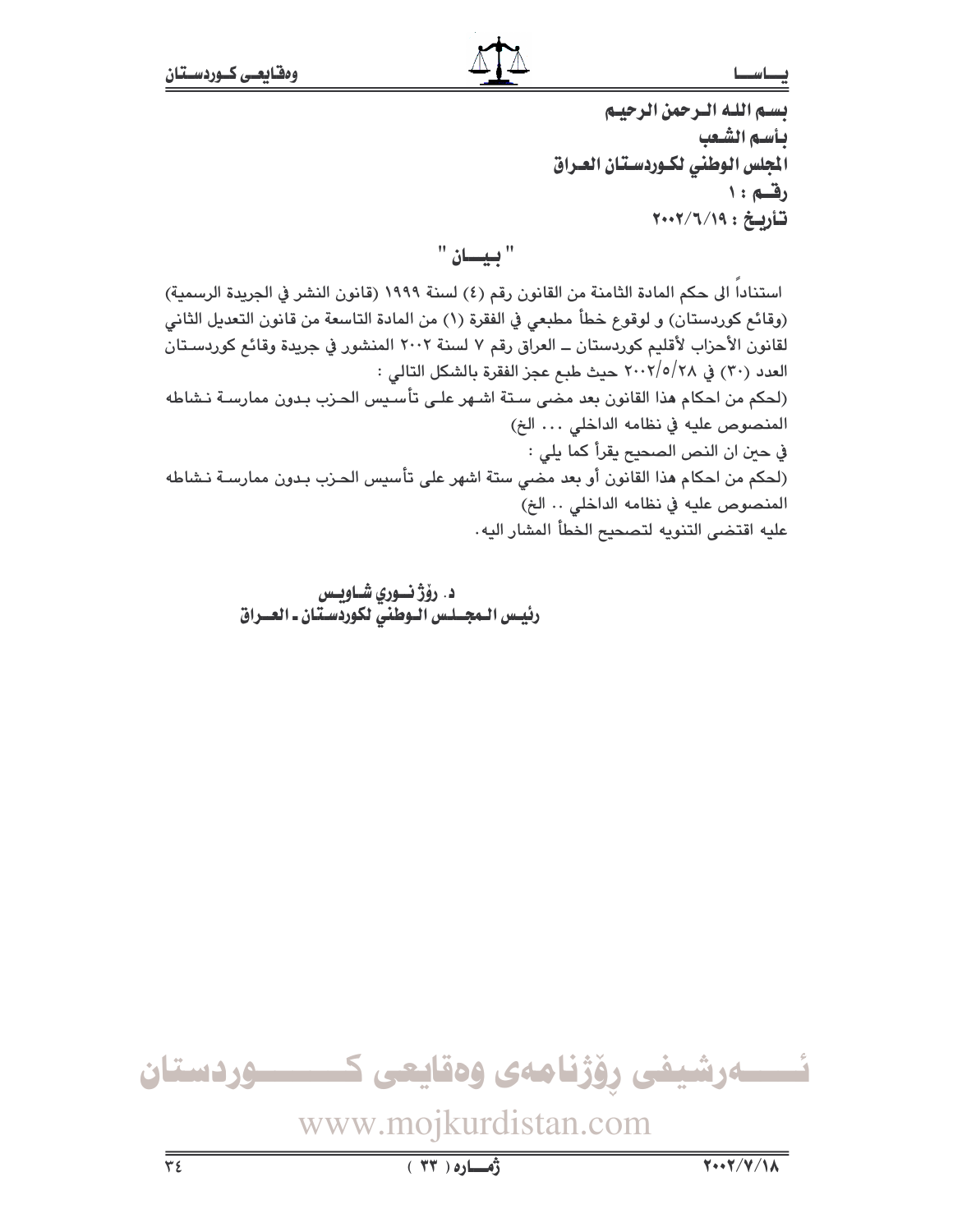بسم الله الرحمن الرحيم بأسم الشّعب المجلس الوطنى لكـوردسـتان العـراق رقسم : ۱ تأريخ: ٢٠٠٢/٦/١٩

" بيسان "

استنادا الى حكم المادة الثامنة من القانون رقم (٤) لسنة ١٩٩٩ (قانون النشر في الجريدة الرسمية) (وقائم كوردستان) و لوقوع خطأ مطبعى في الفقرة (١) من المادة التاسعة من قانون التعديل الثاني لقانون الأحزاب لأقليم كوردستان ــ العراق رقم ٧ لسنة ٢٠٠٢ المنشور في جريدة وقائم كوردسـتان العدد (٣٠) في ٢٠٠٢/٥/٢٨ حيث طبع عجز الفقرة بالشكل التالي : (لحكم من احكام هذا القانون بعد مضى سـتة اشـهر علـى تأسـيس الحـزب بـدون ممارسـة نـشاطه المنصوص عليه في نظامه الداخلي ... الخ) في حين ان النص الصحيح يقرأ كما يلي : (لحكم من احكام هذا القانون أو بعد مضى ستة اشهر على تأسيس الحـزب بـدون ممارسـة نـشاطه المنصوص عليه في نظامه الداخلي .. الخ) عليه اقتضى التنويه لتصحيح الخطأ المشار اليه.

> د. رۆژ نسوري شـاويس رئيس الـمجــلـس الـوطنيّ لكوردّسـتان ـ العــراق